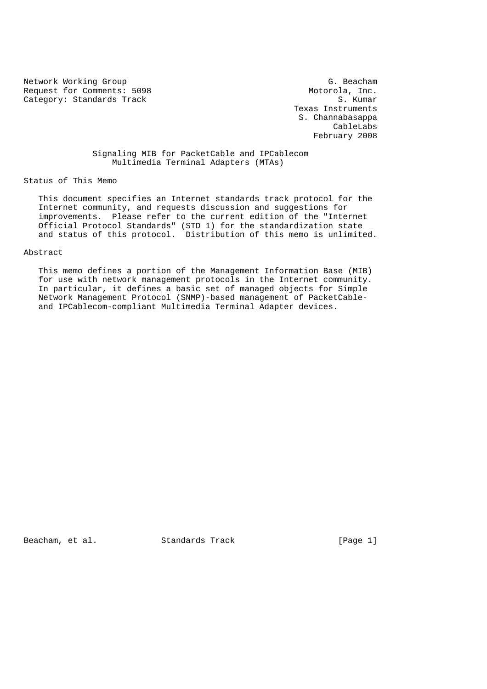Network Working Group<br>Request for Comments: 5098 G. Beacham Request for Comments: 5098 Motorola, Inc.<br>
Category: Standards Track S. Kumar Category: Standards Track

 Texas Instruments S. Channabasappa CableLabs February 2008

### Signaling MIB for PacketCable and IPCablecom Multimedia Terminal Adapters (MTAs)

Status of This Memo

 This document specifies an Internet standards track protocol for the Internet community, and requests discussion and suggestions for improvements. Please refer to the current edition of the "Internet Official Protocol Standards" (STD 1) for the standardization state and status of this protocol. Distribution of this memo is unlimited.

#### Abstract

 This memo defines a portion of the Management Information Base (MIB) for use with network management protocols in the Internet community. In particular, it defines a basic set of managed objects for Simple Network Management Protocol (SNMP)-based management of PacketCable and IPCablecom-compliant Multimedia Terminal Adapter devices.

Beacham, et al. Standards Track [Page 1]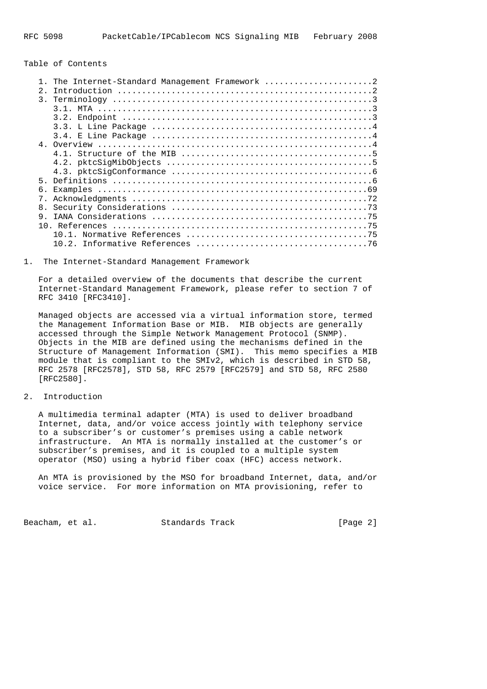Table of Contents

| 2.1              | The Internet-Standard Management Framework 2 |
|------------------|----------------------------------------------|
| $\overline{3}$ . |                                              |
|                  |                                              |
|                  |                                              |
|                  |                                              |
|                  |                                              |
|                  |                                              |
|                  |                                              |
|                  |                                              |
|                  |                                              |
|                  |                                              |
| $5 -$            |                                              |
|                  |                                              |
| 6.               |                                              |
| $7_{\odot}$      |                                              |
| 8 <sub>1</sub>   |                                              |
| 9                |                                              |
|                  |                                              |
|                  |                                              |
|                  | 10.2.                                        |
|                  |                                              |

1. The Internet-Standard Management Framework

 For a detailed overview of the documents that describe the current Internet-Standard Management Framework, please refer to section 7 of RFC 3410 [RFC3410].

 Managed objects are accessed via a virtual information store, termed the Management Information Base or MIB. MIB objects are generally accessed through the Simple Network Management Protocol (SNMP). Objects in the MIB are defined using the mechanisms defined in the Structure of Management Information (SMI). This memo specifies a MIB module that is compliant to the SMIv2, which is described in STD 58, RFC 2578 [RFC2578], STD 58, RFC 2579 [RFC2579] and STD 58, RFC 2580 [RFC2580].

2. Introduction

 A multimedia terminal adapter (MTA) is used to deliver broadband Internet, data, and/or voice access jointly with telephony service to a subscriber's or customer's premises using a cable network infrastructure. An MTA is normally installed at the customer's or subscriber's premises, and it is coupled to a multiple system operator (MSO) using a hybrid fiber coax (HFC) access network.

 An MTA is provisioned by the MSO for broadband Internet, data, and/or voice service. For more information on MTA provisioning, refer to

Beacham, et al. Standards Track [Page 2]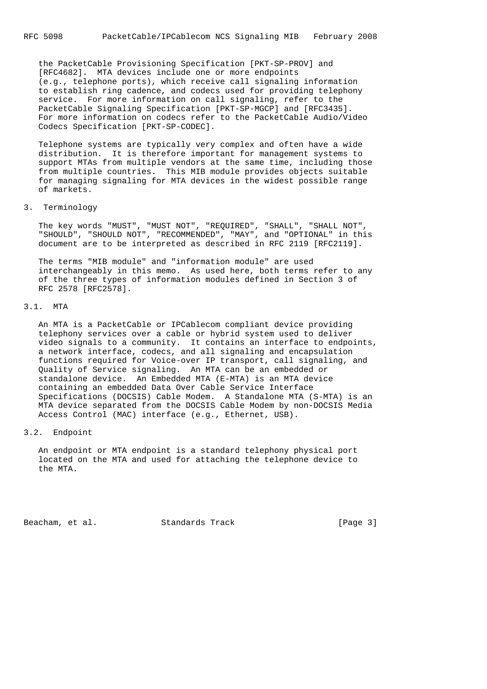the PacketCable Provisioning Specification [PKT-SP-PROV] and [RFC4682]. MTA devices include one or more endpoints (e.g., telephone ports), which receive call signaling information to establish ring cadence, and codecs used for providing telephony service. For more information on call signaling, refer to the PacketCable Signaling Specification [PKT-SP-MGCP] and [RFC3435]. For more information on codecs refer to the PacketCable Audio/Video Codecs Specification [PKT-SP-CODEC].

 Telephone systems are typically very complex and often have a wide distribution. It is therefore important for management systems to support MTAs from multiple vendors at the same time, including those from multiple countries. This MIB module provides objects suitable for managing signaling for MTA devices in the widest possible range of markets.

#### 3. Terminology

 The key words "MUST", "MUST NOT", "REQUIRED", "SHALL", "SHALL NOT", "SHOULD", "SHOULD NOT", "RECOMMENDED", "MAY", and "OPTIONAL" in this document are to be interpreted as described in RFC 2119 [RFC2119].

 The terms "MIB module" and "information module" are used interchangeably in this memo. As used here, both terms refer to any of the three types of information modules defined in Section 3 of RFC 2578 [RFC2578].

# 3.1. MTA

 An MTA is a PacketCable or IPCablecom compliant device providing telephony services over a cable or hybrid system used to deliver video signals to a community. It contains an interface to endpoints, a network interface, codecs, and all signaling and encapsulation functions required for Voice-over IP transport, call signaling, and Quality of Service signaling. An MTA can be an embedded or standalone device. An Embedded MTA (E-MTA) is an MTA device containing an embedded Data Over Cable Service Interface Specifications (DOCSIS) Cable Modem. A Standalone MTA (S-MTA) is an MTA device separated from the DOCSIS Cable Modem by non-DOCSIS Media Access Control (MAC) interface (e.g., Ethernet, USB).

# 3.2. Endpoint

 An endpoint or MTA endpoint is a standard telephony physical port located on the MTA and used for attaching the telephone device to the MTA.

Beacham, et al. Standards Track [Page 3]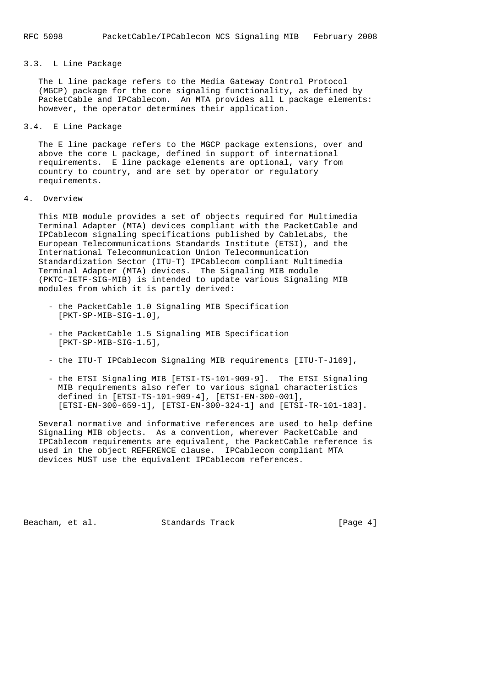# 3.3. L Line Package

 The L line package refers to the Media Gateway Control Protocol (MGCP) package for the core signaling functionality, as defined by PacketCable and IPCablecom. An MTA provides all L package elements: however, the operator determines their application.

#### 3.4. E Line Package

 The E line package refers to the MGCP package extensions, over and above the core L package, defined in support of international requirements. E line package elements are optional, vary from country to country, and are set by operator or regulatory requirements.

### 4. Overview

 This MIB module provides a set of objects required for Multimedia Terminal Adapter (MTA) devices compliant with the PacketCable and IPCablecom signaling specifications published by CableLabs, the European Telecommunications Standards Institute (ETSI), and the International Telecommunication Union Telecommunication Standardization Sector (ITU-T) IPCablecom compliant Multimedia Terminal Adapter (MTA) devices. The Signaling MIB module (PKTC-IETF-SIG-MIB) is intended to update various Signaling MIB modules from which it is partly derived:

- the PacketCable 1.0 Signaling MIB Specification [PKT-SP-MIB-SIG-1.0],
- the PacketCable 1.5 Signaling MIB Specification [PKT-SP-MIB-SIG-1.5],
- the ITU-T IPCablecom Signaling MIB requirements [ITU-T-J169],
- the ETSI Signaling MIB [ETSI-TS-101-909-9]. The ETSI Signaling MIB requirements also refer to various signal characteristics defined in [ETSI-TS-101-909-4], [ETSI-EN-300-001], [ETSI-EN-300-659-1], [ETSI-EN-300-324-1] and [ETSI-TR-101-183].

 Several normative and informative references are used to help define Signaling MIB objects. As a convention, wherever PacketCable and IPCablecom requirements are equivalent, the PacketCable reference is used in the object REFERENCE clause. IPCablecom compliant MTA devices MUST use the equivalent IPCablecom references.

Beacham, et al. Standards Track [Page 4]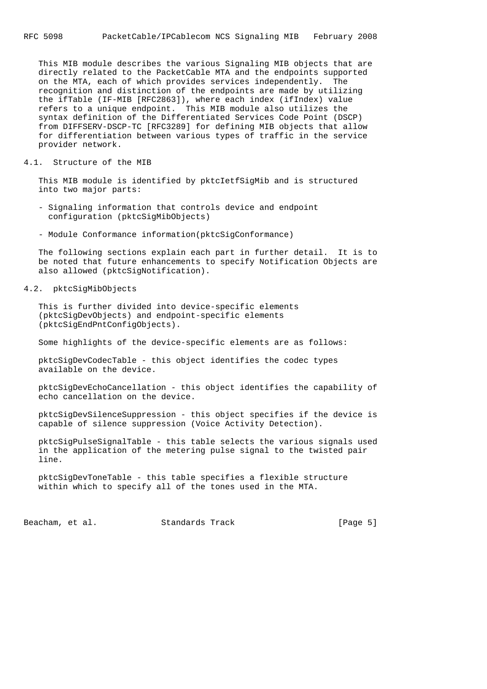This MIB module describes the various Signaling MIB objects that are directly related to the PacketCable MTA and the endpoints supported on the MTA, each of which provides services independently. The recognition and distinction of the endpoints are made by utilizing the ifTable (IF-MIB [RFC2863]), where each index (ifIndex) value refers to a unique endpoint. This MIB module also utilizes the syntax definition of the Differentiated Services Code Point (DSCP) from DIFFSERV-DSCP-TC [RFC3289] for defining MIB objects that allow for differentiation between various types of traffic in the service provider network.

#### 4.1. Structure of the MIB

 This MIB module is identified by pktcIetfSigMib and is structured into two major parts:

- Signaling information that controls device and endpoint configuration (pktcSigMibObjects)
- Module Conformance information(pktcSigConformance)

 The following sections explain each part in further detail. It is to be noted that future enhancements to specify Notification Objects are also allowed (pktcSigNotification).

# 4.2. pktcSigMibObjects

 This is further divided into device-specific elements (pktcSigDevObjects) and endpoint-specific elements (pktcSigEndPntConfigObjects).

Some highlights of the device-specific elements are as follows:

 pktcSigDevCodecTable - this object identifies the codec types available on the device.

 pktcSigDevEchoCancellation - this object identifies the capability of echo cancellation on the device.

 pktcSigDevSilenceSuppression - this object specifies if the device is capable of silence suppression (Voice Activity Detection).

 pktcSigPulseSignalTable - this table selects the various signals used in the application of the metering pulse signal to the twisted pair line.

 pktcSigDevToneTable - this table specifies a flexible structure within which to specify all of the tones used in the MTA.

Beacham, et al. Standards Track [Page 5]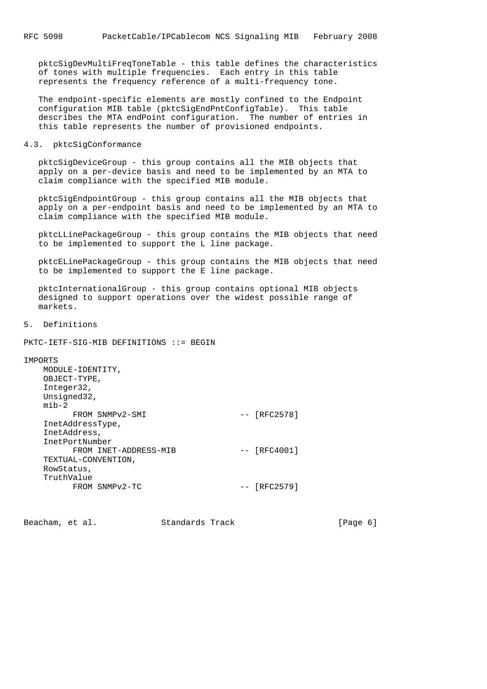pktcSigDevMultiFreqToneTable - this table defines the characteristics of tones with multiple frequencies. Each entry in this table represents the frequency reference of a multi-frequency tone.

 The endpoint-specific elements are mostly confined to the Endpoint configuration MIB table (pktcSigEndPntConfigTable). This table describes the MTA endPoint configuration. The number of entries in this table represents the number of provisioned endpoints.

#### 4.3. pktcSigConformance

 pktcSigDeviceGroup - this group contains all the MIB objects that apply on a per-device basis and need to be implemented by an MTA to claim compliance with the specified MIB module.

 pktcSigEndpointGroup - this group contains all the MIB objects that apply on a per-endpoint basis and need to be implemented by an MTA to claim compliance with the specified MIB module.

 pktcLLinePackageGroup - this group contains the MIB objects that need to be implemented to support the L line package.

 pktcELinePackageGroup - this group contains the MIB objects that need to be implemented to support the E line package.

 pktcInternationalGroup - this group contains optional MIB objects designed to support operations over the widest possible range of markets.

5. Definitions

PKTC-IETF-SIG-MIB DEFINITIONS ::= BEGIN

# IMPORTS

| MODULE-IDENTITY,      |                |
|-----------------------|----------------|
| OBJECT-TYPE,          |                |
| Integer32,            |                |
| Unsigned32,           |                |
| $min-2$               |                |
| FROM SNMPv2-SMI       | $-- [RFC2578]$ |
| InetAddressType,      |                |
| InetAddress,          |                |
| InetPortNumber        |                |
| FROM INET-ADDRESS-MIB | $-- [RFC4001]$ |
| TEXTUAL-CONVENTION,   |                |
| RowStatus,            |                |
| TruthValue            |                |
| FROM SNMPv2-TC        | [RFC2579]      |
|                       |                |

Beacham, et al. Standards Track [Page 6]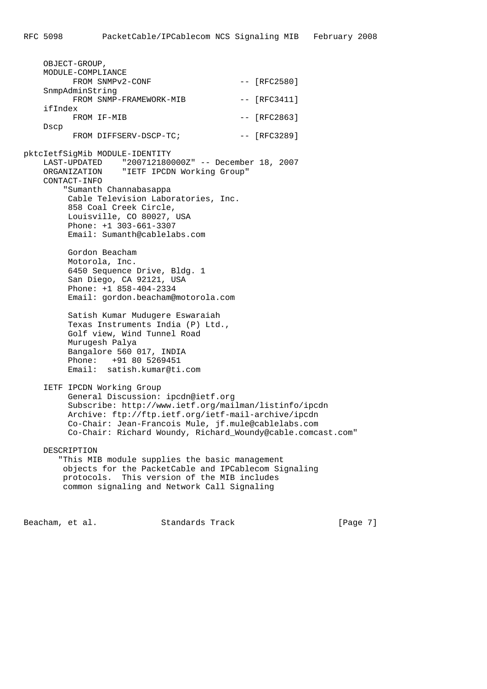OBJECT-GROUP, MODULE-COMPLIANCE FROM SNMPv2-CONF -- [RFC2580] SnmpAdminString FROM SNMP-FRAMEWORK-MIB -- [RFC3411] ifIndex FROM IF-MIB -- [RFC2863] Dscp FROM DIFFSERV-DSCP-TC; -- [RFC3289] pktcIetfSigMib MODULE-IDENTITY LAST-UPDATED "200712180000Z" -- December 18, 2007 ORGANIZATION "IETF IPCDN Working Group" CONTACT-INFO "Sumanth Channabasappa Cable Television Laboratories, Inc. 858 Coal Creek Circle, Louisville, CO 80027, USA Phone: +1 303-661-3307 Email: Sumanth@cablelabs.com Gordon Beacham Motorola, Inc. 6450 Sequence Drive, Bldg. 1 San Diego, CA 92121, USA Phone: +1 858-404-2334 Email: gordon.beacham@motorola.com Satish Kumar Mudugere Eswaraiah Texas Instruments India (P) Ltd., Golf view, Wind Tunnel Road Murugesh Palya Bangalore 560 017, INDIA Phone: +91 80 5269451 Email: satish.kumar@ti.com IETF IPCDN Working Group General Discussion: ipcdn@ietf.org Subscribe: http://www.ietf.org/mailman/listinfo/ipcdn Archive: ftp://ftp.ietf.org/ietf-mail-archive/ipcdn Co-Chair: Jean-Francois Mule, jf.mule@cablelabs.com Co-Chair: Richard Woundy, Richard\_Woundy@cable.comcast.com" DESCRIPTION "This MIB module supplies the basic management objects for the PacketCable and IPCablecom Signaling protocols. This version of the MIB includes common signaling and Network Call Signaling

Beacham, et al. Standards Track [Page 7]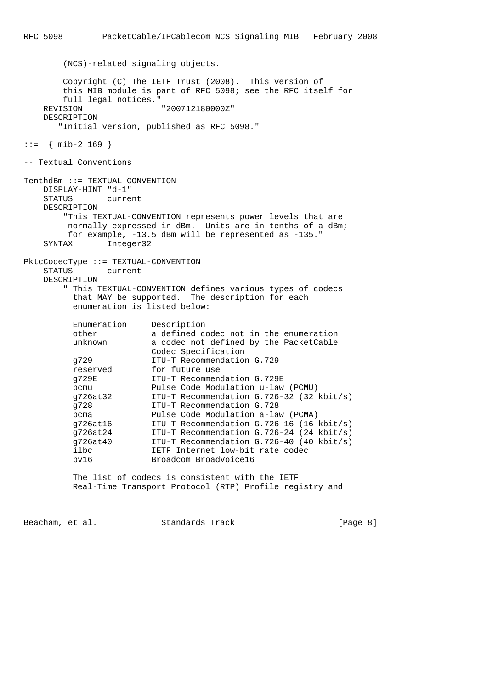```
 (NCS)-related signaling objects.
         Copyright (C) The IETF Trust (2008). This version of
         this MIB module is part of RFC 5098; see the RFC itself for
         full legal notices."
    REVISION "200712180000Z"
    DESCRIPTION
        "Initial version, published as RFC 5098."
::= { mib-2 169 }
-- Textual Conventions
TenthdBm ::= TEXTUAL-CONVENTION
    DISPLAY-HINT "d-1"
    STATUS current
    DESCRIPTION
         "This TEXTUAL-CONVENTION represents power levels that are
         normally expressed in dBm. Units are in tenths of a dBm;
         for example, -13.5 dBm will be represented as -135."
    SYNTAX Integer32
PktcCodecType ::= TEXTUAL-CONVENTION
     STATUS current
    DESCRIPTION
         " This TEXTUAL-CONVENTION defines various types of codecs
           that MAY be supported. The description for each
           enumeration is listed below:
          Enumeration Description
          other a defined codec not in the enumeration
         Uther a codec not defined by the PacketCable<br>unknown a codec not defined by the PacketCable
                         Codec Specification
          g729 ITU-T Recommendation G.729
         reserved for future use
          g729E ITU-T Recommendation G.729E
          pcmu Pulse Code Modulation u-law (PCMU)
         g726at32 ITU-T Recommendation G.726-32 (32 kbit/s)
          g728 ITU-T Recommendation G.728
          pcma Pulse Code Modulation a-law (PCMA)
         g726at16 ITU-T Recommendation G.726-16 (16 kbit/s)<br>g726at24 ITU-T Recommendation G.726-24 (24 kbit/s)
                         ITU-T Recommendation G.726-24 (24 kbit/s)
          g726at40 ITU-T Recommendation G.726-40 (40 kbit/s)
         ilbc     IETF Internet low-bit rate codec<br>by16       Broadcom BroadVoice16
                         Broadcom BroadVoice16
           The list of codecs is consistent with the IETF
```
Real-Time Transport Protocol (RTP) Profile registry and

Beacham, et al. Standards Track [Page 8]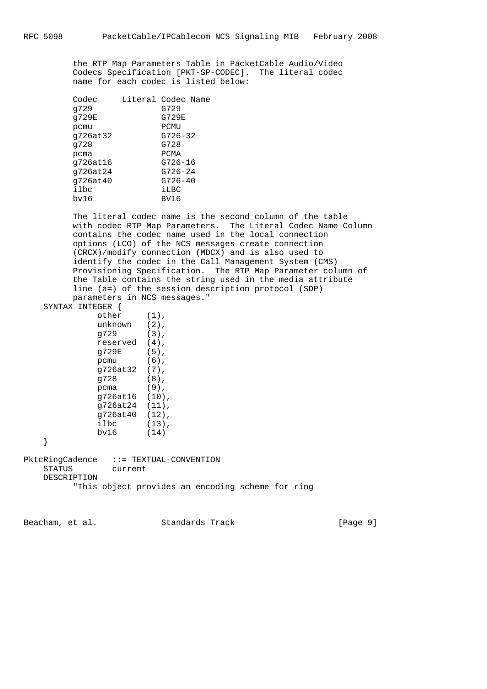the RTP Map Parameters Table in PacketCable Audio/Video Codecs Specification [PKT-SP-CODEC]. The literal codec name for each codec is listed below:

| Codec    | Literal Codec Name |             |  |
|----------|--------------------|-------------|--|
| q729     |                    | G729        |  |
| q729E    |                    | G729E       |  |
| pcmu     |                    | PCMU        |  |
| q726at32 |                    | $G726 - 32$ |  |
| q728     |                    | G728        |  |
| pcma     |                    | <b>PCMA</b> |  |
| q726at16 |                    | $G726 - 16$ |  |
| q726at24 |                    | $G726 - 24$ |  |
| g726at40 |                    | $G726 - 40$ |  |
| ilbc     |                    | iLBC        |  |
| bv16     |                    | BV16        |  |
|          |                    |             |  |

 The literal codec name is the second column of the table with codec RTP Map Parameters. The Literal Codec Name Column contains the codec name used in the local connection options (LCO) of the NCS messages create connection (CRCX)/modify connection (MDCX) and is also used to identify the codec in the Call Management System (CMS) Provisioning Specification. The RTP Map Parameter column of the Table contains the string used in the media attribute line (a=) of the session description protocol (SDP) parameters in NCS messages." SYNTAX INTEGER {

```
other (1),
 unknown (2),
           g729 (3),
           reserved (4),
           g729E (5),
          \sum_{i=1}^{n} g726at32 (7),
g728 (8),
pcma (9),
           g726at16 (10),
           g726at24 (11),
           g726at40 (12),
          ilbc (13),<br>bv16 (14)(14)
```
PktcRingCadence ::= TEXTUAL-CONVENTION STATUS current DESCRIPTION "This object provides an encoding scheme for ring

Beacham, et al. Standards Track [Page 9]

}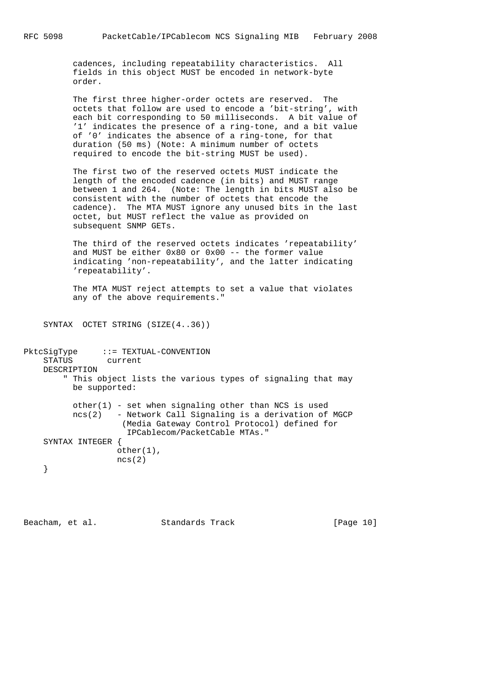cadences, including repeatability characteristics. All fields in this object MUST be encoded in network-byte order.

 The first three higher-order octets are reserved. The octets that follow are used to encode a 'bit-string', with each bit corresponding to 50 milliseconds. A bit value of '1' indicates the presence of a ring-tone, and a bit value of '0' indicates the absence of a ring-tone, for that duration (50 ms) (Note: A minimum number of octets required to encode the bit-string MUST be used).

 The first two of the reserved octets MUST indicate the length of the encoded cadence (in bits) and MUST range between 1 and 264. (Note: The length in bits MUST also be consistent with the number of octets that encode the cadence). The MTA MUST ignore any unused bits in the last octet, but MUST reflect the value as provided on subsequent SNMP GETs.

 The third of the reserved octets indicates 'repeatability' and MUST be either 0x80 or 0x00 -- the former value indicating 'non-repeatability', and the latter indicating 'repeatability'.

 The MTA MUST reject attempts to set a value that violates any of the above requirements."

SYNTAX OCTET STRING (SIZE(4..36))

```
PktcSigType ::= TEXTUAL-CONVENTION
    STATUS current
    DESCRIPTION
         " This object lists the various types of signaling that may
          be supported:
         other(1) - set when signaling other than NCS is used
          ncs(2) - Network Call Signaling is a derivation of MGCP
                    (Media Gateway Control Protocol) defined for
                     IPCablecom/PacketCable MTAs."
    SYNTAX INTEGER {
                   other(1),
                   ncs(2)
```

```
 }
```
Beacham, et al. Standards Track [Page 10]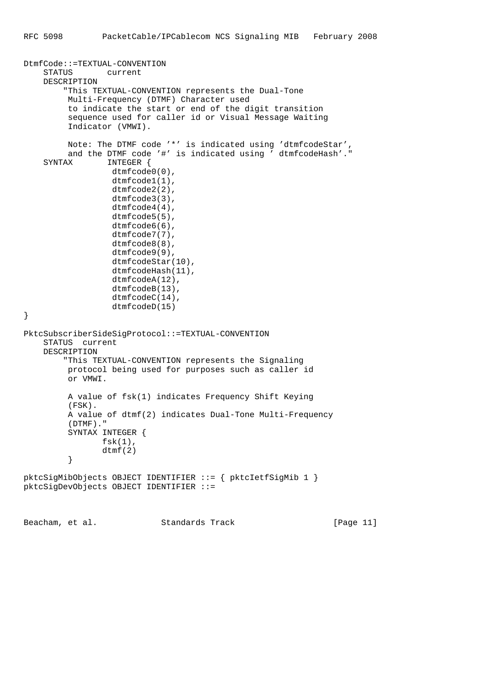```
DtmfCode::=TEXTUAL-CONVENTION
     STATUS current
     DESCRIPTION
         "This TEXTUAL-CONVENTION represents the Dual-Tone
          Multi-Frequency (DTMF) Character used
          to indicate the start or end of the digit transition
          sequence used for caller id or Visual Message Waiting
          Indicator (VMWI).
          Note: The DTMF code '*' is indicated using 'dtmfcodeStar',
         and the DTMF code '#' is indicated using ' dtmfcodeHash'."
     SYNTAX INTEGER {
                   dtmfcode0(0),
                   dtmfcode1(1),
                   dtmfcode2(2),
                   dtmfcode3(3),
                   dtmfcode4(4),
                   dtmfcode5(5),
                   dtmfcode6(6),
                   dtmfcode7(7),
                   dtmfcode8(8),
                   dtmfcode9(9),
                   dtmfcodeStar(10),
                   dtmfcodeHash(11),
                   dtmfcodeA(12),
                   dtmfcodeB(13),
                   dtmfcodeC(14),
                   dtmfcodeD(15)
}
PktcSubscriberSideSigProtocol::=TEXTUAL-CONVENTION
     STATUS current
     DESCRIPTION
         "This TEXTUAL-CONVENTION represents the Signaling
          protocol being used for purposes such as caller id
          or VMWI.
          A value of fsk(1) indicates Frequency Shift Keying
          (FSK).
          A value of dtmf(2) indicates Dual-Tone Multi-Frequency
          (DTMF)."
          SYNTAX INTEGER {
                fsk(1),
                 dtmf(2)
          }
pktcSigMibObjects OBJECT IDENTIFIER ::= { pktcIetfSigMib 1 }
pktcSigDevObjects OBJECT IDENTIFIER ::=
```
Beacham, et al. Standards Track [Page 11]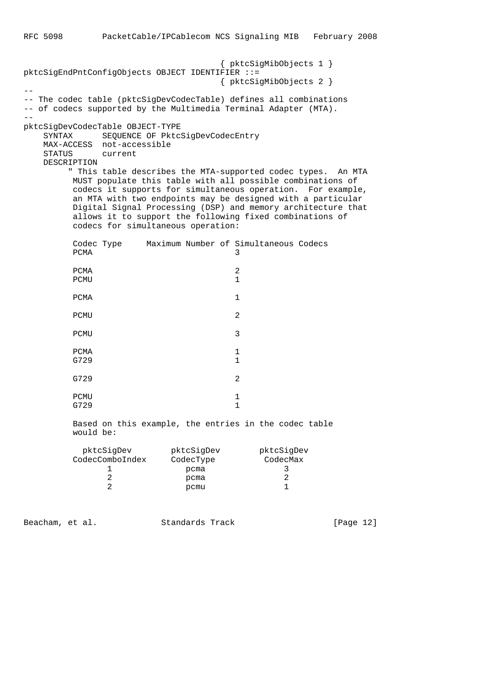{ pktcSigMibObjects 1 } pktcSigEndPntConfigObjects OBJECT IDENTIFIER ::= { pktcSigMibObjects 2 } -- -- The codec table (pktcSigDevCodecTable) defines all combinations -- of codecs supported by the Multimedia Terminal Adapter (MTA). - pktcSigDevCodecTable OBJECT-TYPE SYNTAX SEQUENCE OF PktcSigDevCodecEntry MAX-ACCESS not-accessible STATUS current DESCRIPTION " This table describes the MTA-supported codec types. An MTA MUST populate this table with all possible combinations of codecs it supports for simultaneous operation. For example, an MTA with two endpoints may be designed with a particular Digital Signal Processing (DSP) and memory architecture that allows it to support the following fixed combinations of codecs for simultaneous operation: Codec Type Maximum Number of Simultaneous Codecs PCMA 3 PCMA 2 PCMU 1 PCMA 2 PCMU 2 PCMU 3 PCMA 2 G729 1 G729 2 PCMU 1 G729 1 Based on this example, the entries in the codec table would be: pktcSigDev pktcSigDev pktcSigDev CodecComboIndex 1 pcma 3<br>2 pcma 2 2 pcma 2 2 pcmu 1

Beacham, et al. Standards Track [Page 12]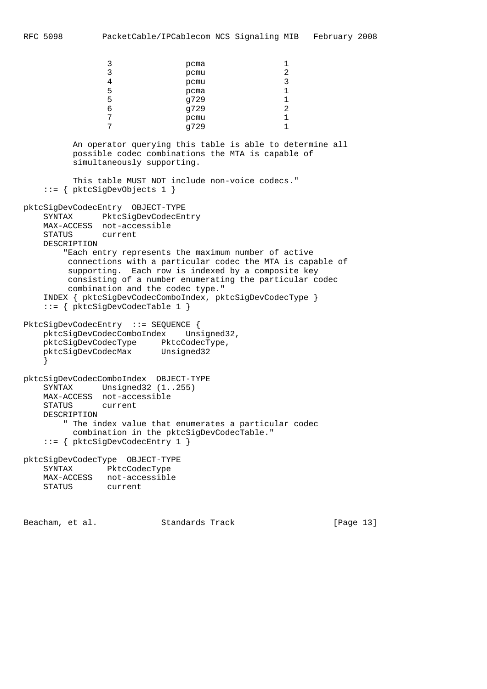|                                                              | 3                             |                                                                                                                                                                          | pcma                                                                                                                                                                                                                                                                                          | 1              |
|--------------------------------------------------------------|-------------------------------|--------------------------------------------------------------------------------------------------------------------------------------------------------------------------|-----------------------------------------------------------------------------------------------------------------------------------------------------------------------------------------------------------------------------------------------------------------------------------------------|----------------|
|                                                              | 3                             |                                                                                                                                                                          | pcmu                                                                                                                                                                                                                                                                                          | 2              |
|                                                              | $\overline{4}$                |                                                                                                                                                                          | pcmu                                                                                                                                                                                                                                                                                          | 3              |
|                                                              | 5                             |                                                                                                                                                                          | pcma                                                                                                                                                                                                                                                                                          | 1              |
|                                                              | 5                             |                                                                                                                                                                          | g729                                                                                                                                                                                                                                                                                          | $\mathbf{1}$   |
|                                                              | 6                             |                                                                                                                                                                          | g729                                                                                                                                                                                                                                                                                          | $\overline{2}$ |
|                                                              | 7                             |                                                                                                                                                                          | pcmu                                                                                                                                                                                                                                                                                          | 1              |
|                                                              | 7                             |                                                                                                                                                                          | g729                                                                                                                                                                                                                                                                                          | 1              |
|                                                              |                               | simultaneously supporting.                                                                                                                                               | An operator querying this table is able to determine all<br>possible codec combinations the MTA is capable of<br>This table MUST NOT include non-voice codecs."                                                                                                                               |                |
|                                                              |                               | $ ::= \{$ pktcSigDevObjects 1 $\}$                                                                                                                                       |                                                                                                                                                                                                                                                                                               |                |
|                                                              | STATUS current<br>DESCRIPTION | pktcSigDevCodecEntry OBJECT-TYPE<br>SYNTAX PktcSigDevCodecEntry<br>MAX-ACCESS not-accessible<br>combination and the codec type."<br>$::= \{$ pktcSigDevCodecTable 1 $\}$ | "Each entry represents the maximum number of active<br>connections with a particular codec the MTA is capable of<br>supporting. Each row is indexed by a composite key<br>consisting of a number enumerating the particular codec<br>INDEX { pktcSigDevCodecComboIndex, pktcSigDevCodecType } |                |
|                                                              |                               | PktcSigDevCodecEntry ::= SEQUENCE {<br>pktcSigDevCodecComboIndex Unsigned32,<br>pktcSigDevCodecType PktcCodecType,<br>pktcSigDevCodecMax Unsigned32                      |                                                                                                                                                                                                                                                                                               |                |
|                                                              | STATUS current<br>DESCRIPTION | pktcSigDevCodecComboIndex OBJECT-TYPE<br>SYNTAX Unsigned32 (1255)<br>MAX-ACCESS not-accessible<br>$::= \{ pktcsigDevCodeChtry 1 \}$                                      | " The index value that enumerates a particular codec<br>combination in the pktcSigDevCodecTable."                                                                                                                                                                                             |                |
| pktcSigDevCodecType<br>SYNTAX<br>MAX-ACCESS<br><b>STATUS</b> |                               | OBJECT-TYPE<br>PktcCodecType<br>not-accessible<br>current                                                                                                                |                                                                                                                                                                                                                                                                                               |                |

Beacham, et al. Standards Track [Page 13]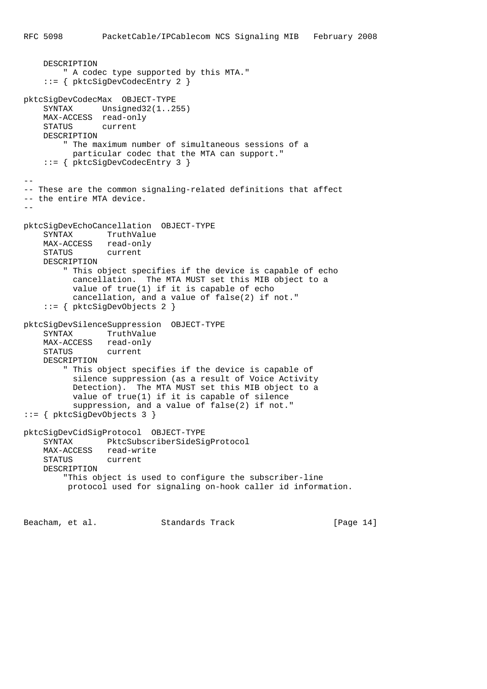```
 DESCRIPTION
        " A codec type supported by this MTA."
     ::= { pktcSigDevCodecEntry 2 }
pktcSigDevCodecMax OBJECT-TYPE
     SYNTAX Unsigned32(1..255)
     MAX-ACCESS read-only
     STATUS current
     DESCRIPTION
         " The maximum number of simultaneous sessions of a
          particular codec that the MTA can support."
     ::= { pktcSigDevCodecEntry 3 }
--
-- These are the common signaling-related definitions that affect
-- the entire MTA device.
--
pktcSigDevEchoCancellation OBJECT-TYPE
     SYNTAX TruthValue
     MAX-ACCESS read-only
     STATUS current
     DESCRIPTION
         " This object specifies if the device is capable of echo
           cancellation. The MTA MUST set this MIB object to a
           value of true(1) if it is capable of echo
          cancellation, and a value of false(2) if not."
     ::= { pktcSigDevObjects 2 }
pktcSigDevSilenceSuppression OBJECT-TYPE
     SYNTAX TruthValue
     MAX-ACCESS read-only
     STATUS current
     DESCRIPTION
         " This object specifies if the device is capable of
           silence suppression (as a result of Voice Activity
          Detection). The MTA MUST set this MIB object to a
          value of true(1) if it is capable of silence
           suppression, and a value of false(2) if not."
::= { pktcSigDevObjects 3 }
pktcSigDevCidSigProtocol OBJECT-TYPE
     SYNTAX PktcSubscriberSideSigProtocol
    MAX-ACCESS read-write<br>STATUS current
                current
     DESCRIPTION
         "This object is used to configure the subscriber-line
         protocol used for signaling on-hook caller id information.
```
Beacham, et al. Standards Track [Page 14]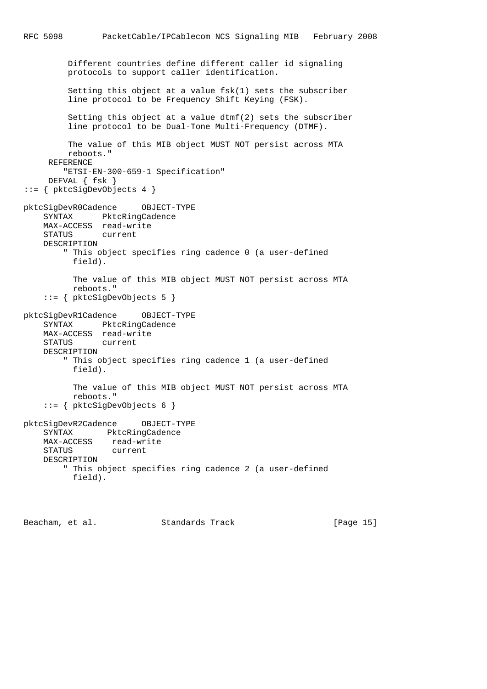```
 Different countries define different caller id signaling
         protocols to support caller identification.
          Setting this object at a value fsk(1) sets the subscriber
          line protocol to be Frequency Shift Keying (FSK).
        Setting this object at a value dtmf(2) sets the subscriber
          line protocol to be Dual-Tone Multi-Frequency (DTMF).
         The value of this MIB object MUST NOT persist across MTA
         reboots."
      REFERENCE
         "ETSI-EN-300-659-1 Specification"
      DEFVAL { fsk }
::= { pktcSigDevObjects 4 }
pktcSigDevR0Cadence OBJECT-TYPE
     SYNTAX PktcRingCadence
     MAX-ACCESS read-write
     STATUS current
     DESCRIPTION
         " This object specifies ring cadence 0 (a user-defined
           field).
          The value of this MIB object MUST NOT persist across MTA
           reboots."
     ::= { pktcSigDevObjects 5 }
pktcSigDevR1Cadence OBJECT-TYPE
     SYNTAX PktcRingCadence
     MAX-ACCESS read-write
     STATUS current
     DESCRIPTION
         " This object specifies ring cadence 1 (a user-defined
          field).
          The value of this MIB object MUST NOT persist across MTA
          reboots."
     ::= { pktcSigDevObjects 6 }
pktcSigDevR2Cadence OBJECT-TYPE
     SYNTAX PktcRingCadence
     MAX-ACCESS read-write
     STATUS current
     DESCRIPTION
         " This object specifies ring cadence 2 (a user-defined
          field).
```
Beacham, et al. Standards Track [Page 15]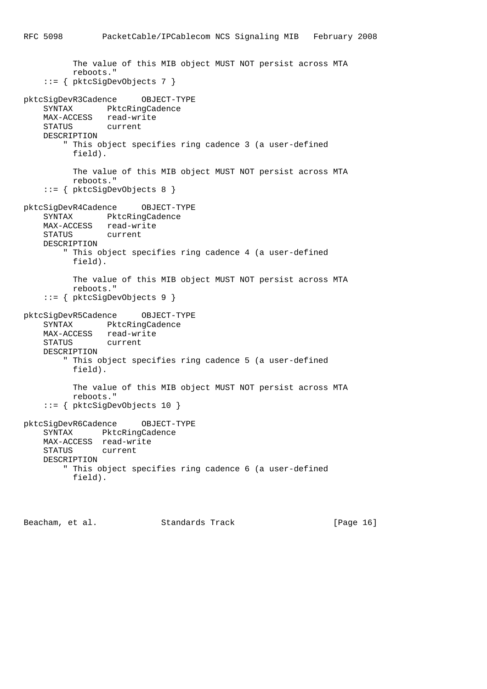```
 The value of this MIB object MUST NOT persist across MTA
          reboots."
     ::= { pktcSigDevObjects 7 }
pktcSigDevR3Cadence OBJECT-TYPE
    SYNTAX PktcRingCadence
    MAX-ACCESS read-write
    STATUS current
    DESCRIPTION
         " This object specifies ring cadence 3 (a user-defined
          field).
          The value of this MIB object MUST NOT persist across MTA
          reboots."
     ::= { pktcSigDevObjects 8 }
pktcSigDevR4Cadence OBJECT-TYPE
    SYNTAX PktcRingCadence
    MAX-ACCESS read-write
    STATUS current
    DESCRIPTION
         " This object specifies ring cadence 4 (a user-defined
          field).
          The value of this MIB object MUST NOT persist across MTA
          reboots."
     ::= { pktcSigDevObjects 9 }
pktcSigDevR5Cadence OBJECT-TYPE
    SYNTAX PktcRingCadence
    MAX-ACCESS read-write
    STATUS current
    DESCRIPTION
         " This object specifies ring cadence 5 (a user-defined
          field).
          The value of this MIB object MUST NOT persist across MTA
          reboots."
     ::= { pktcSigDevObjects 10 }
pktcSigDevR6Cadence OBJECT-TYPE
    SYNTAX PktcRingCadence
    MAX-ACCESS read-write
    STATUS current
    DESCRIPTION
         " This object specifies ring cadence 6 (a user-defined
          field).
```
Beacham, et al. Standards Track [Page 16]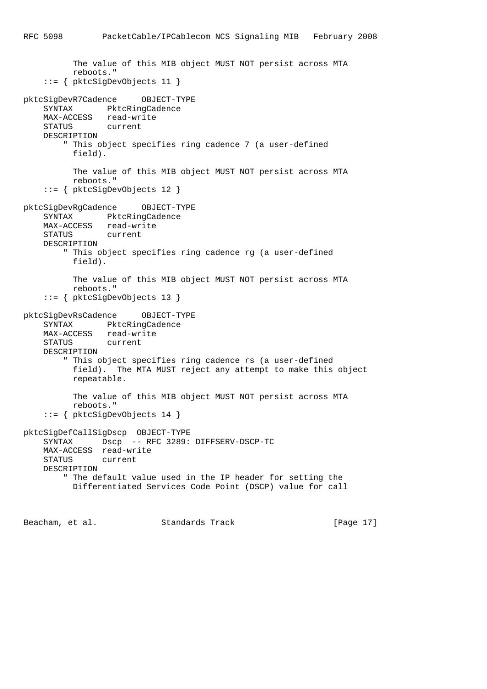```
 The value of this MIB object MUST NOT persist across MTA
           reboots."
     ::= { pktcSigDevObjects 11 }
pktcSigDevR7Cadence OBJECT-TYPE
    SYNTAX PktcRingCadence
    MAX-ACCESS read-write
    STATUS current
    DESCRIPTION
         " This object specifies ring cadence 7 (a user-defined
          field).
          The value of this MIB object MUST NOT persist across MTA
          reboots."
     ::= { pktcSigDevObjects 12 }
pktcSigDevRgCadence OBJECT-TYPE
    SYNTAX PktcRingCadence
    MAX-ACCESS read-write
    STATUS current
    DESCRIPTION
         " This object specifies ring cadence rg (a user-defined
           field).
          The value of this MIB object MUST NOT persist across MTA
          reboots."
     ::= { pktcSigDevObjects 13 }
pktcSigDevRsCadence OBJECT-TYPE
    SYNTAX PktcRingCadence
    MAX-ACCESS read-write
    STATUS current
    DESCRIPTION
         " This object specifies ring cadence rs (a user-defined
          field). The MTA MUST reject any attempt to make this object
          repeatable.
          The value of this MIB object MUST NOT persist across MTA
          reboots."
     ::= { pktcSigDevObjects 14 }
pktcSigDefCallSigDscp OBJECT-TYPE
    SYNTAX Dscp -- RFC 3289: DIFFSERV-DSCP-TC
    MAX-ACCESS read-write
    STATUS current
    DESCRIPTION
         " The default value used in the IP header for setting the
          Differentiated Services Code Point (DSCP) value for call
```
Beacham, et al. Standards Track [Page 17]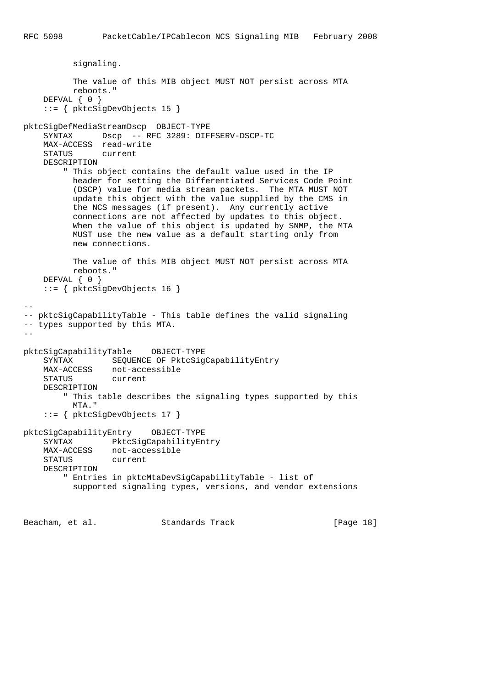```
 signaling.
           The value of this MIB object MUST NOT persist across MTA
          reboots."
    DEFVAL { 0 }
     ::= { pktcSigDevObjects 15 }
pktcSigDefMediaStreamDscp OBJECT-TYPE
     SYNTAX Dscp -- RFC 3289: DIFFSERV-DSCP-TC
     MAX-ACCESS read-write
     STATUS current
     DESCRIPTION
         " This object contains the default value used in the IP
          header for setting the Differentiated Services Code Point
          (DSCP) value for media stream packets. The MTA MUST NOT
          update this object with the value supplied by the CMS in
          the NCS messages (if present). Any currently active
          connections are not affected by updates to this object.
          When the value of this object is updated by SNMP, the MTA
          MUST use the new value as a default starting only from
          new connections.
          The value of this MIB object MUST NOT persist across MTA
          reboots."
    DEFVAL { 0 }
     ::= { pktcSigDevObjects 16 }
--
-- pktcSigCapabilityTable - This table defines the valid signaling
-- types supported by this MTA.
--
pktcSigCapabilityTable OBJECT-TYPE
     SYNTAX SEQUENCE OF PktcSigCapabilityEntry
     MAX-ACCESS not-accessible
     STATUS current
     DESCRIPTION
         " This table describes the signaling types supported by this
          MTA."
     ::= { pktcSigDevObjects 17 }
pktcSigCapabilityEntry OBJECT-TYPE
    SYNTAX PktcSigCapabilityEntry
    MAX-ACCESS not-accessible<br>STATUS current
                 current
     DESCRIPTION
         " Entries in pktcMtaDevSigCapabilityTable - list of
           supported signaling types, versions, and vendor extensions
```
Beacham, et al. Standards Track [Page 18]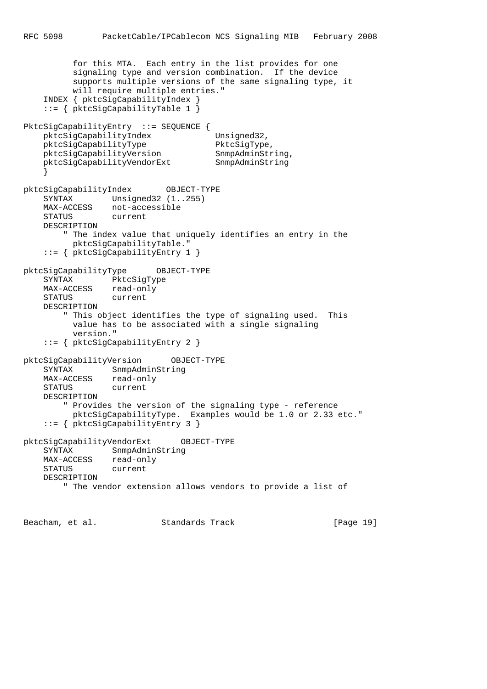```
 for this MTA. Each entry in the list provides for one
          signaling type and version combination. If the device
          supports multiple versions of the same signaling type, it
          will require multiple entries."
     INDEX { pktcSigCapabilityIndex }
     ::= { pktcSigCapabilityTable 1 }
PktcSigCapabilityEntry ::= SEQUENCE {
    pktcSigCapabilityIndex Unsigned32,
   pktcSigCapabilityType PktcSigType,
   pktcSigCapabilityVersion SnmpAdminString,
    pktcSigCapabilityVendorExt SnmpAdminString
     }
pktcSigCapabilityIndex OBJECT-TYPE
   SYNTAX Unsigned32 (1..255)
   MAX-ACCESS not-accessible<br>STATUS current
   STATUS
    DESCRIPTION
         " The index value that uniquely identifies an entry in the
          pktcSigCapabilityTable."
     ::= { pktcSigCapabilityEntry 1 }
pktcSigCapabilityType OBJECT-TYPE
    SYNTAX PktcSigType
   MAX-ACCESS read-only
    STATUS current
    DESCRIPTION
         " This object identifies the type of signaling used. This
          value has to be associated with a single signaling
          version."
     ::= { pktcSigCapabilityEntry 2 }
pktcSigCapabilityVersion OBJECT-TYPE
    SYNTAX SnmpAdminString
    MAX-ACCESS read-only
    STATUS current
    DESCRIPTION
         " Provides the version of the signaling type - reference
          pktcSigCapabilityType. Examples would be 1.0 or 2.33 etc."
     ::= { pktcSigCapabilityEntry 3 }
pktcSigCapabilityVendorExt OBJECT-TYPE
   SYNTAX SnmpAdminString<br>
MAX-ACCESS read-only
               read-only
     STATUS current
    DESCRIPTION
         " The vendor extension allows vendors to provide a list of
```
Beacham, et al. Standards Track [Page 19]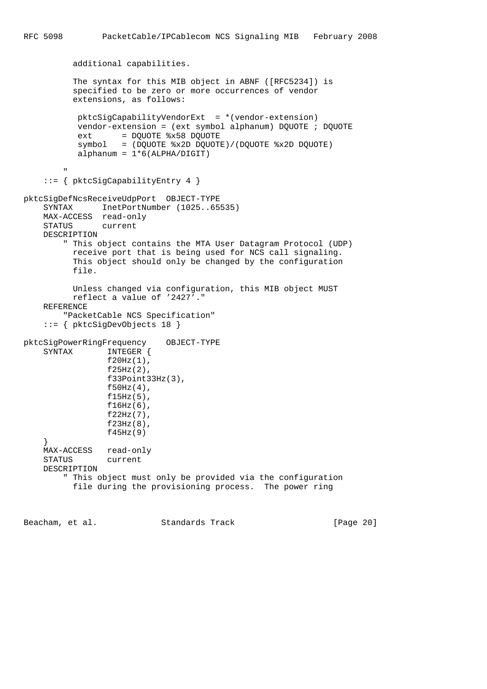```
 additional capabilities.
           The syntax for this MIB object in ABNF ([RFC5234]) is
           specified to be zero or more occurrences of vendor
           extensions, as follows:
           pktcSigCapabilityVendorExt = *(vendor-extension)
           vendor-extension = (ext symbol alphanum) DQUOTE ; DQUOTE
           ext = DOUOTE %x58 DOUOTE
          symbol = (DOUOTE x2D DOUOTE)/(DOUOTE x2D DOUOTE)
           alphalphanum = 1*6(ALPHA/DIGIT) "
     ::= { pktcSigCapabilityEntry 4 }
pktcSigDefNcsReceiveUdpPort OBJECT-TYPE
    SYNTAX InetPortNumber (1025..65535)
     MAX-ACCESS read-only
     STATUS current
     DESCRIPTION
         " This object contains the MTA User Datagram Protocol (UDP)
           receive port that is being used for NCS call signaling.
           This object should only be changed by the configuration
           file.
          Unless changed via configuration, this MIB object MUST
          reflect a value of '2427'."
     REFERENCE
         "PacketCable NCS Specification"
     ::= { pktcSigDevObjects 18 }
pktcSigPowerRingFrequency OBJECT-TYPE
     SYNTAX INTEGER {
                f20Hz(1),
                 f25Hz(2),
                 f33Point33Hz(3),
                 f50Hz(4),
                 f15Hz(5),
                f16Hz(6),
                 f22Hz(7),
                 f23Hz(8),
                 f45Hz(9)
 }
     MAX-ACCESS read-only
     STATUS current
     DESCRIPTION
         " This object must only be provided via the configuration
           file during the provisioning process. The power ring
```
Beacham, et al. Standards Track [Page 20]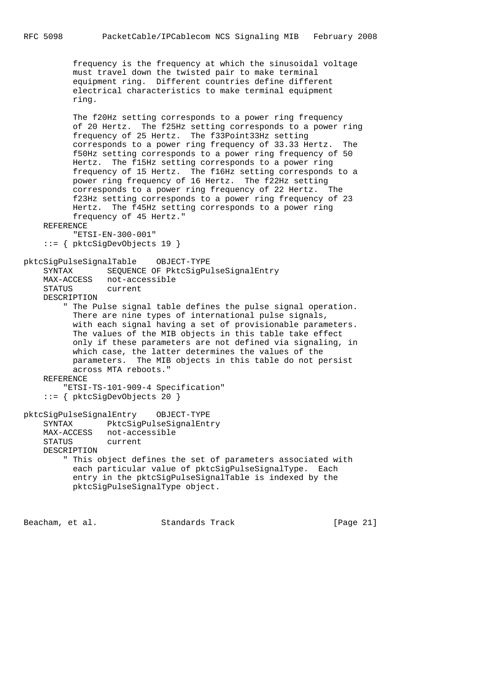frequency is the frequency at which the sinusoidal voltage must travel down the twisted pair to make terminal equipment ring. Different countries define different electrical characteristics to make terminal equipment ring. The f20Hz setting corresponds to a power ring frequency of 20 Hertz. The f25Hz setting corresponds to a power ring frequency of 25 Hertz. The f33Point33Hz setting corresponds to a power ring frequency of 33.33 Hertz. The f50Hz setting corresponds to a power ring frequency of 50 Hertz. The f15Hz setting corresponds to a power ring frequency of 15 Hertz. The f16Hz setting corresponds to a power ring frequency of 16 Hertz. The f22Hz setting corresponds to a power ring frequency of 22 Hertz. The f23Hz setting corresponds to a power ring frequency of 23 Hertz. The f45Hz setting corresponds to a power ring frequency of 45 Hertz." REFERENCE "ETSI-EN-300-001" ::= { pktcSigDevObjects 19 } pktcSigPulseSignalTable OBJECT-TYPE SYNTAX SEQUENCE OF PktcSigPulseSignalEntry MAX-ACCESS not-accessible STATUS current DESCRIPTION " The Pulse signal table defines the pulse signal operation. There are nine types of international pulse signals, with each signal having a set of provisionable parameters. The values of the MIB objects in this table take effect only if these parameters are not defined via signaling, in which case, the latter determines the values of the parameters. The MIB objects in this table do not persist across MTA reboots." REFERENCE "ETSI-TS-101-909-4 Specification" ::= { pktcSigDevObjects 20 } pktcSigPulseSignalEntry OBJECT-TYPE SYNTAX PktcSigPulseSignalEntry MAX-ACCESS not-accessible STATUS current DESCRIPTION " This object defines the set of parameters associated with each particular value of pktcSigPulseSignalType. Each entry in the pktcSigPulseSignalTable is indexed by the pktcSigPulseSignalType object.

Beacham, et al. Standards Track [Page 21]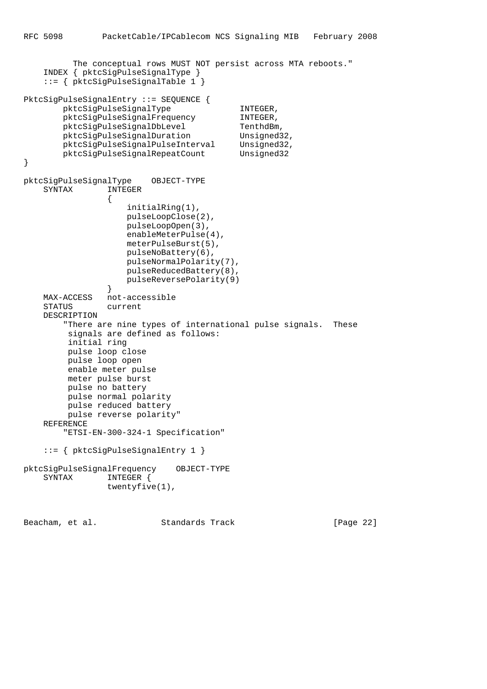```
 The conceptual rows MUST NOT persist across MTA reboots."
     INDEX { pktcSigPulseSignalType }
     ::= { pktcSigPulseSignalTable 1 }
PktcSigPulseSignalEntry ::= SEQUENCE {
       pktcSigPulseSignalType INTEGER,
       pktcSigPulseSignalFrequency INTEGER,<br>pktcSiqPulseSiqnalDbLevel TenthdBm,
pktcSigPulseSignalDbLevel TenthdBm,
pktcSigPulseSignalDuration Unsigned32,
 pktcSigPulseSignalPulseInterval Unsigned32,
 pktcSigPulseSignalRepeatCount Unsigned32
}
pktcSigPulseSignalType OBJECT-TYPE
    SYNTAX INTEGER
\{ initialRing(1),
                     pulseLoopClose(2),
                     pulseLoopOpen(3),
                     enableMeterPulse(4),
                     meterPulseBurst(5),
                     pulseNoBattery(6),
                     pulseNormalPolarity(7),
                     pulseReducedBattery(8),
                     pulseReversePolarity(9)
 }
    MAX-ACCESS not-accessible
    STATUS current
    DESCRIPTION
        "There are nine types of international pulse signals. These
         signals are defined as follows:
         initial ring
         pulse loop close
         pulse loop open
         enable meter pulse
         meter pulse burst
         pulse no battery
         pulse normal polarity
         pulse reduced battery
         pulse reverse polarity"
    REFERENCE
        "ETSI-EN-300-324-1 Specification"
     ::= { pktcSigPulseSignalEntry 1 }
pktcSigPulseSignalFrequency OBJECT-TYPE
               INTEGER {
                 twentyfive(1),
```
Beacham, et al. Standards Track [Page 22]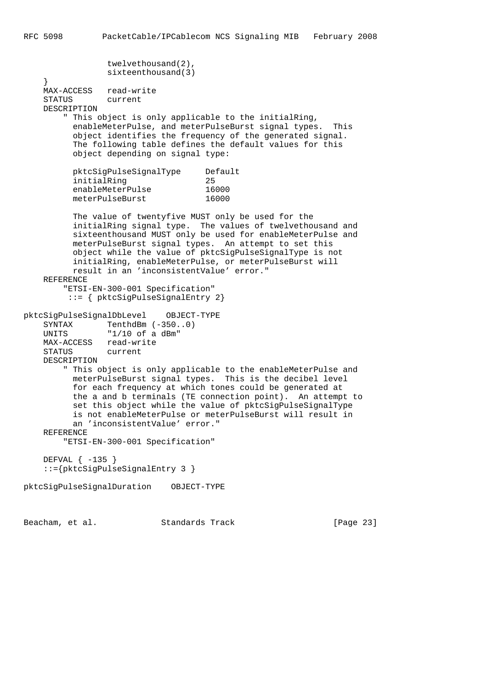twelvethousand(2), sixteenthousand(3) } MAX-ACCESS read-write STATUS current DESCRIPTION " This object is only applicable to the initialRing, enableMeterPulse, and meterPulseBurst signal types. This object identifies the frequency of the generated signal. The following table defines the default values for this object depending on signal type: pktcSigPulseSignalType Default initialRing 25 enableMeterPulse 16000<br>meterPulseBurst 16000 meterPulseBurst 16000 The value of twentyfive MUST only be used for the initialRing signal type. The values of twelvethousand and sixteenthousand MUST only be used for enableMeterPulse and meterPulseBurst signal types. An attempt to set this object while the value of pktcSigPulseSignalType is not initialRing, enableMeterPulse, or meterPulseBurst will result in an 'inconsistentValue' error." REFERENCE "ETSI-EN-300-001 Specification" ::= { pktcSigPulseSignalEntry 2} pktcSigPulseSignalDbLevel OBJECT-TYPE SYNTAX TenthdBm (-350..0) UNITS "1/10 of a dBm" MAX-ACCESS read-write STATUS current DESCRIPTION " This object is only applicable to the enableMeterPulse and meterPulseBurst signal types. This is the decibel level for each frequency at which tones could be generated at the a and b terminals (TE connection point). An attempt to set this object while the value of pktcSigPulseSignalType is not enableMeterPulse or meterPulseBurst will result in an 'inconsistentValue' error." REFERENCE "ETSI-EN-300-001 Specification" DEFVAL { -135 } ::={pktcSigPulseSignalEntry 3 } pktcSigPulseSignalDuration OBJECT-TYPE

Beacham, et al. Standards Track [Page 23]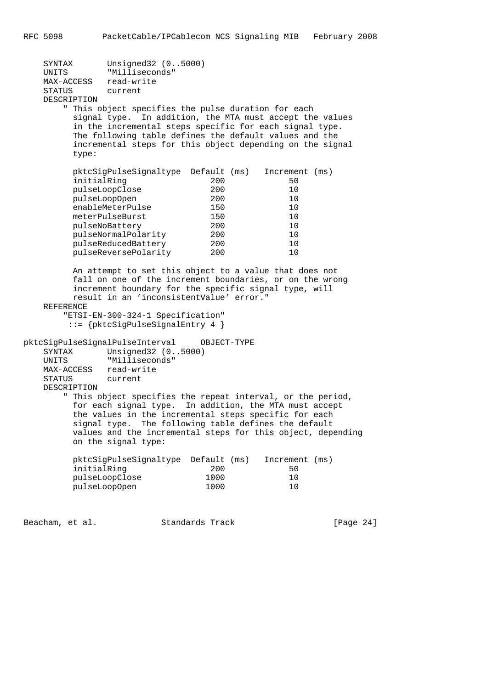SYNTAX Unsigned32 (0..5000) UNITS "Milliseconds" MAX-ACCESS read-write STATUS current DESCRIPTION " This object specifies the pulse duration for each signal type. In addition, the MTA must accept the values in the incremental steps specific for each signal type. The following table defines the default values and the incremental steps for this object depending on the signal type: pktcSigPulseSignaltype Default (ms) Increment (ms) initialRing 200 50<br>
pulseLoopClose 200 10 pulseLoopClose 200 10<br>pulseLoopOpen 200 10 pulseLoopOpen 200 10<br>enableMeterPulse 150 10 enableMeterPulse 150<br>meterPulseBurst 150 meterPulseBurst 150 10<br>pulseNoBattery 200 10 pulseNoBattery 200 10<br>
pulseNormalPolarity 200 10<br>
pulseReducedBattery 200 10 pulseNormalPolarity 200 200 pulseReducedBattery 200 200 pulseReversePolarity 200 10 An attempt to set this object to a value that does not fall on one of the increment boundaries, or on the wrong increment boundary for the specific signal type, will result in an 'inconsistentValue' error." REFERENCE "ETSI-EN-300-324-1 Specification" ::= {pktcSigPulseSignalEntry 4 } pktcSigPulseSignalPulseInterval OBJECT-TYPE SYNTAX Unsigned32 (0..5000) UNITS "Milliseconds" MAX-ACCESS read-write STATUS current DESCRIPTION " This object specifies the repeat interval, or the period, for each signal type. In addition, the MTA must accept the values in the incremental steps specific for each signal type. The following table defines the default values and the incremental steps for this object, depending on the signal type: pktcSigPulseSignaltype Default (ms) Increment (ms) initialRing 200 50<br>
pulseLoopClose 1000 10 pulseLoopClose 1000 10<br>
pulseLoopOpen 1000 10 pulseLoopOpen

Beacham, et al. Standards Track [Page 24]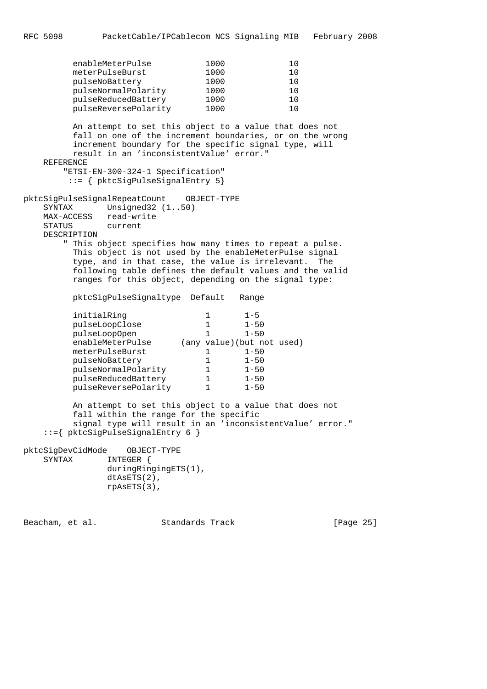```
enableMeterPulse 1000 10
        meterPulseBurst 1000 10<br>
pulseNoBattery 1000 10
        pulseNoBattery 1000 10<br>
pulseNormalPolarity 1000 10
        pulseNormalPolarity 1000 10
        pulseReducedBattery 1000 10
        pulseReversePolarity 1000 10
         An attempt to set this object to a value that does not
         fall on one of the increment boundaries, or on the wrong
         increment boundary for the specific signal type, will
         result in an 'inconsistentValue' error."
    REFERENCE
        "ETSI-EN-300-324-1 Specification"
        ::= { pktcSigPulseSignalEntry 5}
pktcSigPulseSignalRepeatCount OBJECT-TYPE
   SYNTAX Unsigned32 (1..50)
   MAX-ACCESS read-write<br>STATUS current
   STATUS
    DESCRIPTION
        " This object specifies how many times to repeat a pulse.
         This object is not used by the enableMeterPulse signal
 type, and in that case, the value is irrelevant. The
 following table defines the default values and the valid
         ranges for this object, depending on the signal type:
         pktcSigPulseSignaltype Default Range
        initialRing 1 1-5
        pulseLoopClose 1 1-50
        pulseLoopOpen 1 1-50<br>enableMeterPulse (any value)(but n<br>enterPulsePeurst
                           (any value)(but not used)
meterPulseBurst 1 1-50
pulseNoBattery 1 1-50
 pulseNormalPolarity 1 1-50
pulseReducedBattery 1 1-50
        pulseReversePolarity 1 1-50
         An attempt to set this object to a value that does not
         fall within the range for the specific
          signal type will result in an 'inconsistentValue' error."
    ::={ pktcSigPulseSignalEntry 6 }
pktcSigDevCidMode OBJECT-TYPE
   SYNTAX INTEGER {
                duringRingingETS(1),
                dtAsETS(2),
                rpAsETS(3),
```
Beacham, et al. Standards Track [Page 25]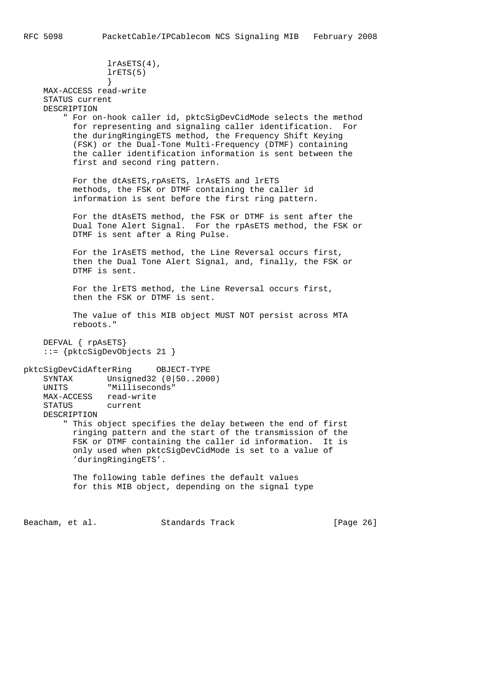```
 lrAsETS(4),
                  lrETS(5)
 }
     MAX-ACCESS read-write
     STATUS current
     DESCRIPTION
         " For on-hook caller id, pktcSigDevCidMode selects the method
          for representing and signaling caller identification. For
           the duringRingingETS method, the Frequency Shift Keying
           (FSK) or the Dual-Tone Multi-Frequency (DTMF) containing
           the caller identification information is sent between the
           first and second ring pattern.
          For the dtAsETS,rpAsETS, lrAsETS and lrETS
          methods, the FSK or DTMF containing the caller id
           information is sent before the first ring pattern.
          For the dtAsETS method, the FSK or DTMF is sent after the
          Dual Tone Alert Signal. For the rpAsETS method, the FSK or
          DTMF is sent after a Ring Pulse.
           For the lrAsETS method, the Line Reversal occurs first,
           then the Dual Tone Alert Signal, and, finally, the FSK or
          DTMF is sent.
          For the lrETS method, the Line Reversal occurs first,
           then the FSK or DTMF is sent.
           The value of this MIB object MUST NOT persist across MTA
          reboots."
     DEFVAL { rpAsETS}
     ::= {pktcSigDevObjects 21 }
pktcSigDevCidAfterRing OBJECT-TYPE
     SYNTAX Unsigned32 (0|50..2000)
     UNITS "Milliseconds"
     MAX-ACCESS read-write
     STATUS current
     DESCRIPTION
         " This object specifies the delay between the end of first
          ringing pattern and the start of the transmission of the
          FSK or DTMF containing the caller id information. It is
          only used when pktcSigDevCidMode is set to a value of
           'duringRingingETS'.
           The following table defines the default values
           for this MIB object, depending on the signal type
```
Beacham, et al. Standards Track [Page 26]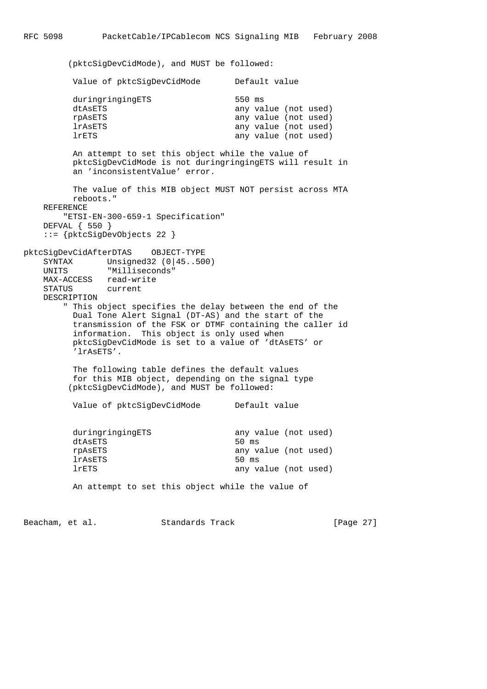(pktcSigDevCidMode), and MUST be followed:

| duringringingETS<br>550 ms<br>dtAsETS<br>any value (not used)<br>any value (not used)<br>rpAsETS<br>any value (not used)<br><b>lrAsETS</b><br>1rETS<br>any value (not used) |  |
|-----------------------------------------------------------------------------------------------------------------------------------------------------------------------------|--|

 An attempt to set this object while the value of pktcSigDevCidMode is not duringringingETS will result in an 'inconsistentValue' error.

 The value of this MIB object MUST NOT persist across MTA reboots." REFERENCE "ETSI-EN-300-659-1 Specification" DEFVAL { 550 } ::= {pktcSigDevObjects 22 }

pktcSigDevCidAfterDTAS OBJECT-TYPE SYNTAX Unsigned32 (0|45..500) UNITS "Milliseconds" MAX-ACCESS read-write STATUS current

 DESCRIPTION " This object specifies the delay between the end of the Dual Tone Alert Signal (DT-AS) and the start of the transmission of the FSK or DTMF containing the caller id information. This object is only used when pktcSigDevCidMode is set to a value of 'dtAsETS' or 'lrAsETS'.

 The following table defines the default values for this MIB object, depending on the signal type (pktcSigDevCidMode), and MUST be followed:

Value of pktcSigDevCidMode Default value

| duringringingETS | any value (not used) |
|------------------|----------------------|
| dtAsETS          | $50 \text{ ms}$      |
| rpAsETS          | any value (not used) |
| <i>lrAsETS</i>   | $50 \text{ ms}$      |
| $l$ r $ETS$      | any value (not used) |
|                  |                      |

An attempt to set this object while the value of

Beacham, et al. Standards Track [Page 27]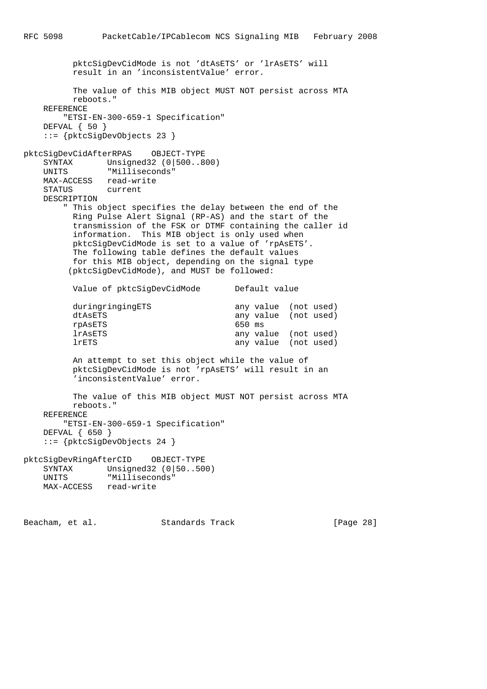pktcSigDevCidMode is not 'dtAsETS' or 'lrAsETS' will result in an 'inconsistentValue' error. The value of this MIB object MUST NOT persist across MTA reboots." REFERENCE "ETSI-EN-300-659-1 Specification" DEFVAL { 50 } ::= {pktcSigDevObjects 23 } pktcSigDevCidAfterRPAS OBJECT-TYPE SYNTAX Unsigned32 (0|500..800) UNITS "Milliseconds" MAX-ACCESS read-write STATUS current DESCRIPTION " This object specifies the delay between the end of the Ring Pulse Alert Signal (RP-AS) and the start of the transmission of the FSK or DTMF containing the caller id information. This MIB object is only used when pktcSigDevCidMode is set to a value of 'rpAsETS'. The following table defines the default values for this MIB object, depending on the signal type (pktcSigDevCidMode), and MUST be followed: Value of pktcSigDevCidMode Default value duringringingETS any value (not used) dtAsETS any value (not used)<br>
reflects rpAsETS lrAsETS any value (not used) lrETS any value (not used) An attempt to set this object while the value of pktcSigDevCidMode is not 'rpAsETS' will result in an 'inconsistentValue' error. The value of this MIB object MUST NOT persist across MTA reboots." REFERENCE "ETSI-EN-300-659-1 Specification" DEFVAL { 650 } ::= {pktcSigDevObjects 24 } pktcSigDevRingAfterCID OBJECT-TYPE SYNTAX Unsigned32 (0|50..500) UNITS "Milliseconds" MAX-ACCESS read-write

Beacham, et al. Standards Track [Page 28]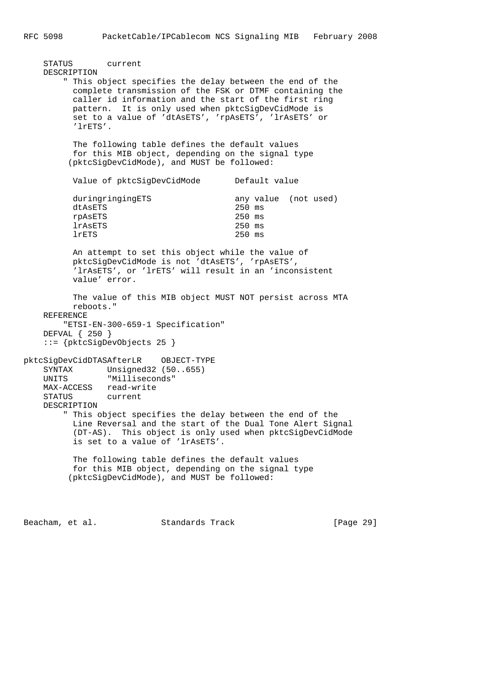STATUS current DESCRIPTION " This object specifies the delay between the end of the complete transmission of the FSK or DTMF containing the caller id information and the start of the first ring pattern. It is only used when pktcSigDevCidMode is set to a value of 'dtAsETS', 'rpAsETS', 'lrAsETS' or 'lrETS'. The following table defines the default values for this MIB object, depending on the signal type (pktcSigDevCidMode), and MUST be followed: Value of pktcSigDevCidMode Default value duringringingETS any value (not used)<br>dtAsETS 250 ms dtAsETS rpAsETS 250 ms lrAsETS 250 ms lrETS 250 ms An attempt to set this object while the value of pktcSigDevCidMode is not 'dtAsETS', 'rpAsETS', 'lrAsETS', or 'lrETS' will result in an 'inconsistent value' error. The value of this MIB object MUST NOT persist across MTA reboots." REFERENCE "ETSI-EN-300-659-1 Specification" DEFVAL { 250 } ::= {pktcSigDevObjects 25 } pktcSigDevCidDTASAfterLR OBJECT-TYPE SYNTAX Unsigned32 (50..655) UNITS "Milliseconds" MAX-ACCESS read-write STATUS current DESCRIPTION " This object specifies the delay between the end of the Line Reversal and the start of the Dual Tone Alert Signal (DT-AS). This object is only used when pktcSigDevCidMode is set to a value of 'lrAsETS'. The following table defines the default values for this MIB object, depending on the signal type (pktcSigDevCidMode), and MUST be followed:

Beacham, et al. Standards Track [Page 29]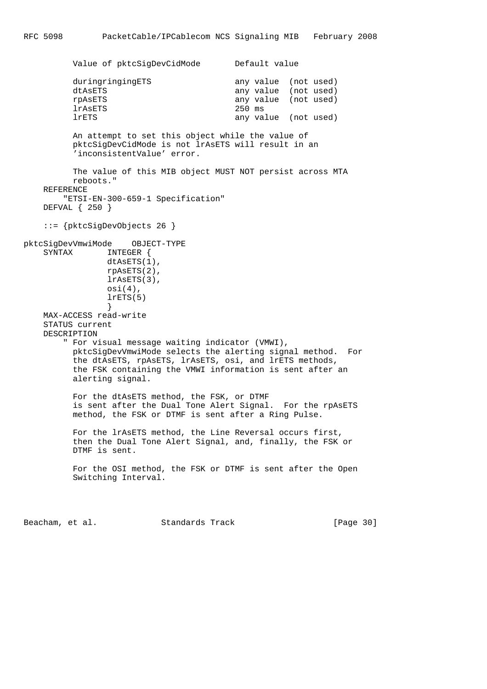```
 Value of pktcSigDevCidMode Default value
         duringringingETS any value (not used)
         dtAsETS dtAseTS any value (not used)
          rpAsETS any value (not used)
          lrAsETS 250 ms
          lrETS any value (not used)
          An attempt to set this object while the value of
          pktcSigDevCidMode is not lrAsETS will result in an
          'inconsistentValue' error.
          The value of this MIB object MUST NOT persist across MTA
          reboots."
    REFERENCE
        "ETSI-EN-300-659-1 Specification"
    DEFVAL { 250 }
    ::= {pktcSigDevObjects 26 }
pktcSigDevVmwiMode OBJECT-TYPE
    SYNTAX INTEGER {
                dtAsETS(1),
                rpAsETS(2),
                lrAsETS(3),
                osi(4),
                lrETS(5)
 }
    MAX-ACCESS read-write
    STATUS current
    DESCRIPTION
        " For visual message waiting indicator (VMWI),
          pktcSigDevVmwiMode selects the alerting signal method. For
          the dtAsETS, rpAsETS, lrAsETS, osi, and lrETS methods,
          the FSK containing the VMWI information is sent after an
          alerting signal.
          For the dtAsETS method, the FSK, or DTMF
          is sent after the Dual Tone Alert Signal. For the rpAsETS
          method, the FSK or DTMF is sent after a Ring Pulse.
          For the lrAsETS method, the Line Reversal occurs first,
          then the Dual Tone Alert Signal, and, finally, the FSK or
          DTMF is sent.
          For the OSI method, the FSK or DTMF is sent after the Open
          Switching Interval.
```
Beacham, et al. Standards Track [Page 30]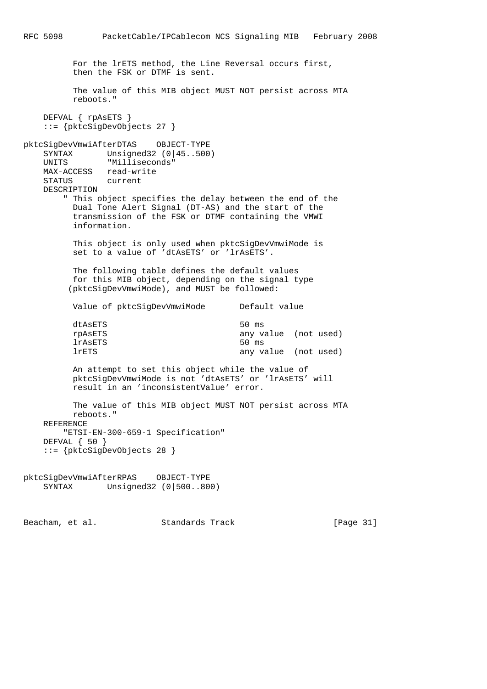```
 For the lrETS method, the Line Reversal occurs first,
          then the FSK or DTMF is sent.
          The value of this MIB object MUST NOT persist across MTA
          reboots."
    DEFVAL { rpAsETS }
    ::= {pktcSigDevObjects 27 }
pktcSigDevVmwiAfterDTAS OBJECT-TYPE
    SYNTAX Unsigned32 (0|45..500)
    UNITS "Milliseconds"
    MAX-ACCESS read-write
    STATUS current
    DESCRIPTION
        " This object specifies the delay between the end of the
          Dual Tone Alert Signal (DT-AS) and the start of the
          transmission of the FSK or DTMF containing the VMWI
          information.
          This object is only used when pktcSigDevVmwiMode is
          set to a value of 'dtAsETS' or 'lrAsETS'.
          The following table defines the default values
          for this MIB object, depending on the signal type
         (pktcSigDevVmwiMode), and MUST be followed:
         Value of pktcSigDevVmwiMode Default value
          dtAsETS 50 ms
          rpAsETS any value (not used)
          lrAsETS 50 ms
          lrETS any value (not used)
          An attempt to set this object while the value of
          pktcSigDevVmwiMode is not 'dtAsETS' or 'lrAsETS' will
          result in an 'inconsistentValue' error.
          The value of this MIB object MUST NOT persist across MTA
          reboots."
    REFERENCE
        "ETSI-EN-300-659-1 Specification"
    DEFVAL { 50 }
    ::= {pktcSigDevObjects 28 }
pktcSigDevVmwiAfterRPAS OBJECT-TYPE
    SYNTAX Unsigned32 (0|500..800)
```
Beacham, et al. Standards Track [Page 31]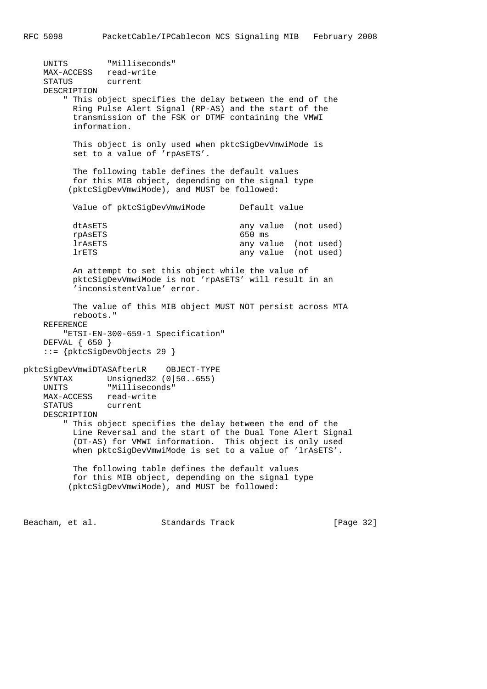```
 UNITS "Milliseconds"
    MAX-ACCESS read-write
    STATUS current
    DESCRIPTION
        " This object specifies the delay between the end of the
         Ring Pulse Alert Signal (RP-AS) and the start of the
          transmission of the FSK or DTMF containing the VMWI
          information.
          This object is only used when pktcSigDevVmwiMode is
          set to a value of 'rpAsETS'.
          The following table defines the default values
          for this MIB object, depending on the signal type
         (pktcSigDevVmwiMode), and MUST be followed:
         Value of pktcSigDevVmwiMode Default value
         dtAsETS any value (not used)
          rpAsETS 650 ms
          lrAsETS any value (not used)
          lrETS any value (not used)
          An attempt to set this object while the value of
          pktcSigDevVmwiMode is not 'rpAsETS' will result in an
          'inconsistentValue' error.
          The value of this MIB object MUST NOT persist across MTA
          reboots."
    REFERENCE
        "ETSI-EN-300-659-1 Specification"
    DEFVAL { 650 }
    ::= {pktcSigDevObjects 29 }
pktcSigDevVmwiDTASAfterLR OBJECT-TYPE
    SYNTAX Unsigned32 (0|50..655)
    UNITS "Milliseconds"
    MAX-ACCESS read-write
    STATUS current
    DESCRIPTION
        " This object specifies the delay between the end of the
          Line Reversal and the start of the Dual Tone Alert Signal
          (DT-AS) for VMWI information. This object is only used
          when pktcSigDevVmwiMode is set to a value of 'lrAsETS'.
          The following table defines the default values
          for this MIB object, depending on the signal type
         (pktcSigDevVmwiMode), and MUST be followed:
```
Beacham, et al. Standards Track [Page 32]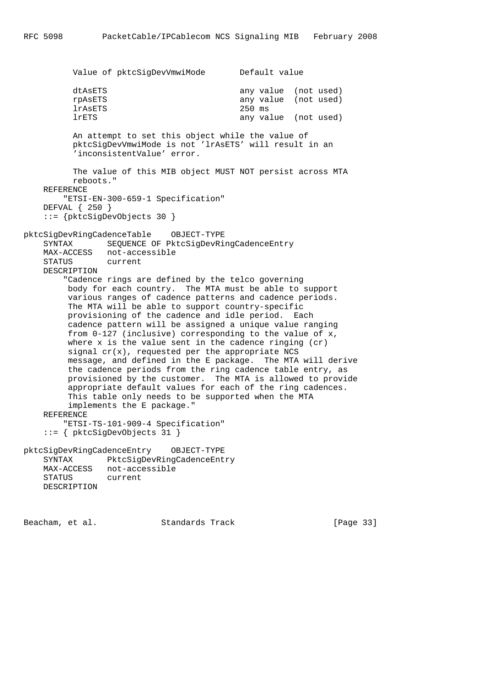Value of pktcSigDevVmwiMode Default value dtAsETS any value (not used)<br>
repasETS any value (not used) any value (not used) lrAsETS 250 ms lrETS any value (not used) An attempt to set this object while the value of pktcSigDevVmwiMode is not 'lrAsETS' will result in an 'inconsistentValue' error. The value of this MIB object MUST NOT persist across MTA reboots." REFERENCE "ETSI-EN-300-659-1 Specification" DEFVAL { 250 } ::= {pktcSigDevObjects 30 } pktcSigDevRingCadenceTable OBJECT-TYPE SYNTAX SEQUENCE OF PktcSigDevRingCadenceEntry MAX-ACCESS not-accessible STATUS current DESCRIPTION "Cadence rings are defined by the telco governing body for each country. The MTA must be able to support various ranges of cadence patterns and cadence periods. The MTA will be able to support country-specific provisioning of the cadence and idle period. Each cadence pattern will be assigned a unique value ranging from 0-127 (inclusive) corresponding to the value of x, where x is the value sent in the cadence ringing (cr) signal  $cr(x)$ , requested per the appropriate NCS message, and defined in the E package. The MTA will derive the cadence periods from the ring cadence table entry, as provisioned by the customer. The MTA is allowed to provide appropriate default values for each of the ring cadences. This table only needs to be supported when the MTA implements the E package." REFERENCE "ETSI-TS-101-909-4 Specification" ::= { pktcSigDevObjects 31 } pktcSigDevRingCadenceEntry OBJECT-TYPE SYNTAX PktcSigDevRingCadenceEntry MAX-ACCESS not-accessible STATUS current DESCRIPTION

Beacham, et al. Standards Track [Page 33]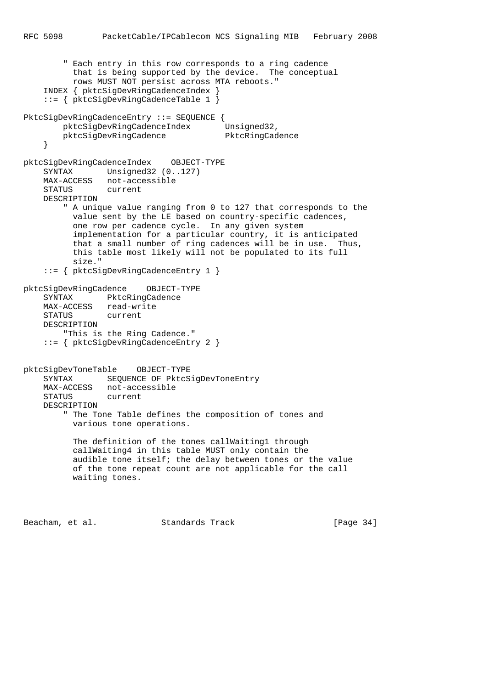```
 " Each entry in this row corresponds to a ring cadence
          that is being supported by the device. The conceptual
          rows MUST NOT persist across MTA reboots."
     INDEX { pktcSigDevRingCadenceIndex }
     ::= { pktcSigDevRingCadenceTable 1 }
PktcSigDevRingCadenceEntry ::= SEQUENCE {
 pktcSigDevRingCadenceIndex Unsigned32,
pktcSigDevRingCadence PktcRingCadence
     }
pktcSigDevRingCadenceIndex OBJECT-TYPE
   SYNTAX Unsigned32 (0..127)
    MAX-ACCESS not-accessible
    STATUS current
    DESCRIPTION
         " A unique value ranging from 0 to 127 that corresponds to the
          value sent by the LE based on country-specific cadences,
          one row per cadence cycle. In any given system
          implementation for a particular country, it is anticipated
          that a small number of ring cadences will be in use. Thus,
          this table most likely will not be populated to its full
          size."
     ::= { pktcSigDevRingCadenceEntry 1 }
pktcSigDevRingCadence OBJECT-TYPE
    SYNTAX PktcRingCadence
    MAX-ACCESS read-write
    STATUS current
    DESCRIPTION
        "This is the Ring Cadence."
     ::= { pktcSigDevRingCadenceEntry 2 }
pktcSigDevToneTable OBJECT-TYPE
    SYNTAX SEQUENCE OF PktcSigDevToneEntry
    MAX-ACCESS not-accessible
    STATUS current
    DESCRIPTION
        " The Tone Table defines the composition of tones and
          various tone operations.
          The definition of the tones callWaiting1 through
          callWaiting4 in this table MUST only contain the
          audible tone itself; the delay between tones or the value
          of the tone repeat count are not applicable for the call
          waiting tones.
```
Beacham, et al. Standards Track [Page 34]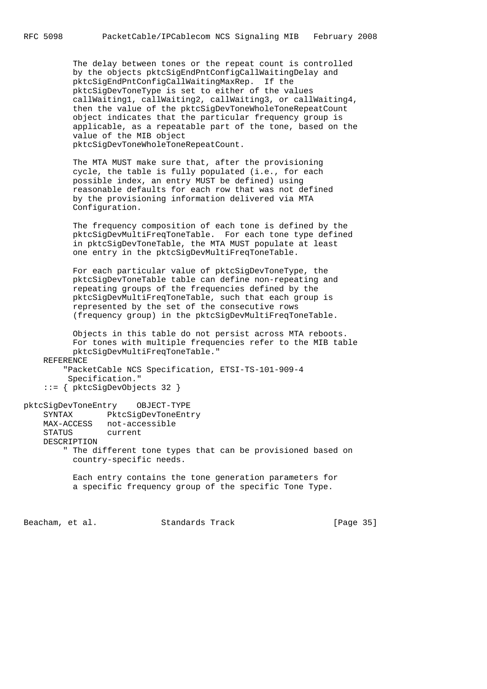The delay between tones or the repeat count is controlled by the objects pktcSigEndPntConfigCallWaitingDelay and pktcSigEndPntConfigCallWaitingMaxRep. If the pktcSigDevToneType is set to either of the values callWaiting1, callWaiting2, callWaiting3, or callWaiting4, then the value of the pktcSigDevToneWholeToneRepeatCount object indicates that the particular frequency group is applicable, as a repeatable part of the tone, based on the value of the MIB object pktcSigDevToneWholeToneRepeatCount.

 The MTA MUST make sure that, after the provisioning cycle, the table is fully populated (i.e., for each possible index, an entry MUST be defined) using reasonable defaults for each row that was not defined by the provisioning information delivered via MTA Configuration.

 The frequency composition of each tone is defined by the pktcSigDevMultiFreqToneTable. For each tone type defined in pktcSigDevToneTable, the MTA MUST populate at least one entry in the pktcSigDevMultiFreqToneTable.

 For each particular value of pktcSigDevToneType, the pktcSigDevToneTable table can define non-repeating and repeating groups of the frequencies defined by the pktcSigDevMultiFreqToneTable, such that each group is represented by the set of the consecutive rows (frequency group) in the pktcSigDevMultiFreqToneTable.

 Objects in this table do not persist across MTA reboots. For tones with multiple frequencies refer to the MIB table pktcSigDevMultiFreqToneTable." REFERENCE "PacketCable NCS Specification, ETSI-TS-101-909-4 Specification."

::= { pktcSigDevObjects 32 }

## pktcSigDevToneEntry OBJECT-TYPE SYNTAX PktcSigDevToneEntry MAX-ACCESS not-accessible STATUS current DESCRIPTION

 " The different tone types that can be provisioned based on country-specific needs.

 Each entry contains the tone generation parameters for a specific frequency group of the specific Tone Type.

Beacham, et al. Standards Track [Page 35]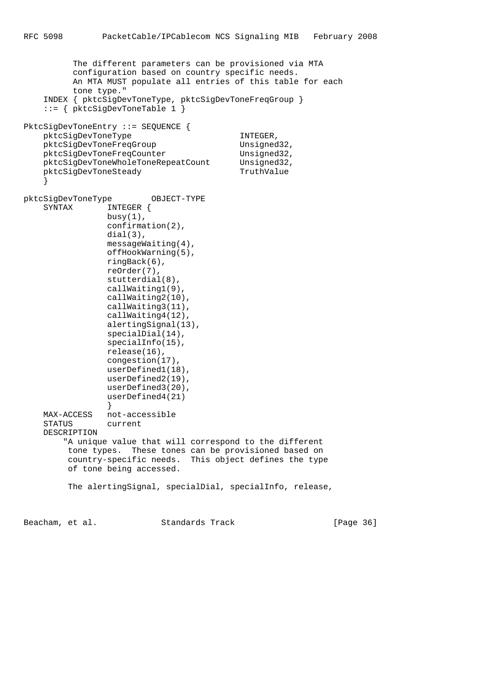The different parameters can be provisioned via MTA configuration based on country specific needs. An MTA MUST populate all entries of this table for each tone type." INDEX { pktcSigDevToneType, pktcSigDevToneFreqGroup } ::= { pktcSigDevToneTable 1 } PktcSigDevToneEntry ::= SEQUENCE { pktcSigDevToneType INTEGER, pktcSigDevToneFreqGroup Unsigned32, pktcSigDevToneFreqCounter Unsigned32, pktcSigDevToneWholeToneRepeatCount Unsigned32, pktcSigDevToneSteady TruthValue } pktcSigDevToneType OBJECT-TYPE SYNTAX INTEGER {  $busy(1)$ , confirmation(2), dial(3), messageWaiting(4), offHookWarning(5), ringBack(6), reOrder(7), stutterdial(8), callWaiting1(9), callWaiting2(10), callWaiting3(11), callWaiting4(12), alertingSignal(13), specialDial(14), specialInfo(15), release(16), congestion(17), userDefined1(18), userDefined2(19), userDefined3(20), userDefined4(21) } MAX-ACCESS not-accessible STATUS current DESCRIPTION "A unique value that will correspond to the different tone types. These tones can be provisioned based on country-specific needs. This object defines the type of tone being accessed. The alertingSignal, specialDial, specialInfo, release,

Beacham, et al. Standards Track [Page 36]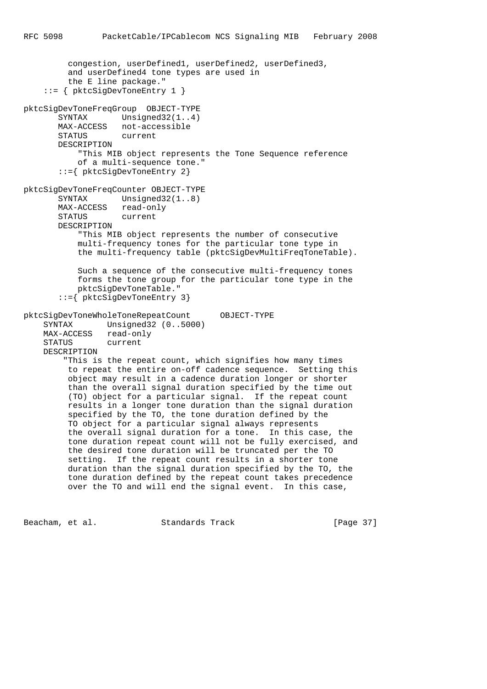```
 congestion, userDefined1, userDefined2, userDefined3,
          and userDefined4 tone types are used in
          the E line package."
     ::= { pktcSigDevToneEntry 1 }
pktcSigDevToneFreqGroup OBJECT-TYPE
      SYNTAX Unsigned32(1..4)
       MAX-ACCESS not-accessible
       STATUS current
        DESCRIPTION
            "This MIB object represents the Tone Sequence reference
            of a multi-sequence tone."
        ::={ pktcSigDevToneEntry 2}
pktcSigDevToneFreqCounter OBJECT-TYPE
       SYNTAX Unsigned32(1..8)
       MAX-ACCESS read-only
        STATUS current
        DESCRIPTION
            "This MIB object represents the number of consecutive
            multi-frequency tones for the particular tone type in
            the multi-frequency table (pktcSigDevMultiFreqToneTable).
            Such a sequence of the consecutive multi-frequency tones
            forms the tone group for the particular tone type in the
           pktcSigDevToneTable."
        ::={ pktcSigDevToneEntry 3}
pktcSigDevToneWholeToneRepeatCount OBJECT-TYPE
     SYNTAX Unsigned32 (0..5000)
     MAX-ACCESS read-only
     STATUS current
     DESCRIPTION
         "This is the repeat count, which signifies how many times
         to repeat the entire on-off cadence sequence. Setting this
          object may result in a cadence duration longer or shorter
          than the overall signal duration specified by the time out
          (TO) object for a particular signal. If the repeat count
         results in a longer tone duration than the signal duration
          specified by the TO, the tone duration defined by the
         TO object for a particular signal always represents
          the overall signal duration for a tone. In this case, the
          tone duration repeat count will not be fully exercised, and
          the desired tone duration will be truncated per the TO
          setting. If the repeat count results in a shorter tone
          duration than the signal duration specified by the TO, the
          tone duration defined by the repeat count takes precedence
          over the TO and will end the signal event. In this case,
```
Beacham, et al. Standards Track [Page 37]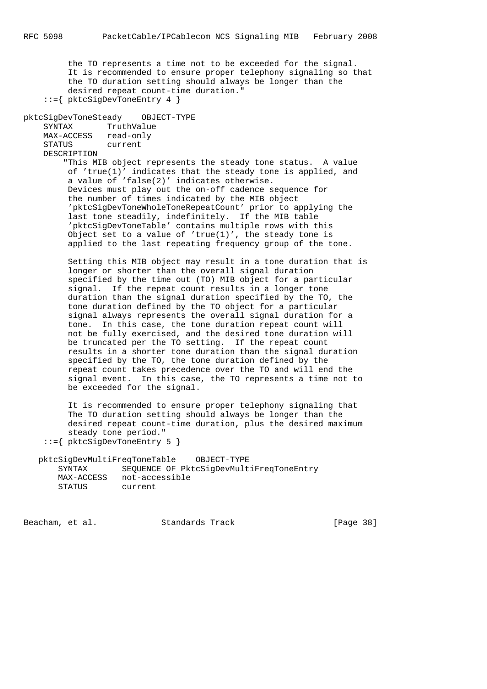the TO represents a time not to be exceeded for the signal. It is recommended to ensure proper telephony signaling so that the TO duration setting should always be longer than the desired repeat count-time duration." ::={ pktcSigDevToneEntry 4 }

pktcSigDevToneSteady OBJECT-TYPE

| SYNTAX       | TruthValue |
|--------------|------------|
| MAX-ACCESS   | read-only  |
| STATUS       | current    |
| DROOD TRETOM |            |

DESCRIPTION

 "This MIB object represents the steady tone status. A value of 'true(1)' indicates that the steady tone is applied, and a value of 'false(2)' indicates otherwise. Devices must play out the on-off cadence sequence for the number of times indicated by the MIB object 'pktcSigDevToneWholeToneRepeatCount' prior to applying the last tone steadily, indefinitely. If the MIB table 'pktcSigDevToneTable' contains multiple rows with this Object set to a value of 'true(1)', the steady tone is applied to the last repeating frequency group of the tone.

 Setting this MIB object may result in a tone duration that is longer or shorter than the overall signal duration specified by the time out (TO) MIB object for a particular signal. If the repeat count results in a longer tone duration than the signal duration specified by the TO, the tone duration defined by the TO object for a particular signal always represents the overall signal duration for a tone. In this case, the tone duration repeat count will not be fully exercised, and the desired tone duration will be truncated per the TO setting. If the repeat count results in a shorter tone duration than the signal duration specified by the TO, the tone duration defined by the repeat count takes precedence over the TO and will end the signal event. In this case, the TO represents a time not to be exceeded for the signal.

 It is recommended to ensure proper telephony signaling that The TO duration setting should always be longer than the desired repeat count-time duration, plus the desired maximum steady tone period."

::={ pktcSigDevToneEntry 5 }

 pktcSigDevMultiFreqToneTable OBJECT-TYPE SYNTAX SEQUENCE OF PktcSigDevMultiFreqToneEntry MAX-ACCESS not-accessible<br>STATUS current current

Beacham, et al. Standards Track [Page 38]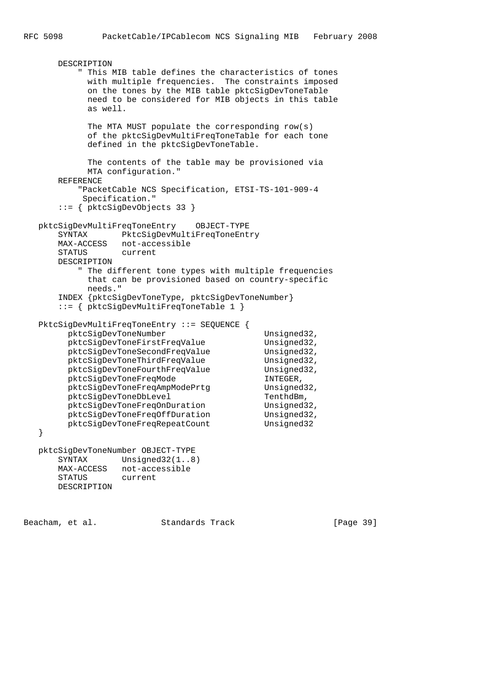```
 DESCRIPTION
           " This MIB table defines the characteristics of tones
             with multiple frequencies. The constraints imposed
             on the tones by the MIB table pktcSigDevToneTable
             need to be considered for MIB objects in this table
             as well.
             The MTA MUST populate the corresponding row(s)
             of the pktcSigDevMultiFreqToneTable for each tone
             defined in the pktcSigDevToneTable.
             The contents of the table may be provisioned via
             MTA configuration."
       REFERENCE
           "PacketCable NCS Specification, ETSI-TS-101-909-4
            Specification."
       ::= { pktcSigDevObjects 33 }
   pktcSigDevMultiFreqToneEntry OBJECT-TYPE
       SYNTAX PktcSigDevMultiFreqToneEntry
       MAX-ACCESS not-accessible
       STATUS current
       DESCRIPTION
           " The different tone types with multiple frequencies
             that can be provisioned based on country-specific
             needs."
       INDEX {pktcSigDevToneType, pktcSigDevToneNumber}
       ::= { pktcSigDevMultiFreqToneTable 1 }
   PktcSigDevMultiFreqToneEntry ::= SEQUENCE {
        pktcSigDevToneNumber Unsigned32,
        pktcSigDevToneFirstFreqValue Unsigned32,
        pktcSigDevToneSecondFreqValue Unsigned32,
        pktcSigDevToneThirdFreqValue Unsigned32,
        pktcSigDevToneFourthFreqValue Unsigned32,
        pktcSigDevToneFreqMode INTEGER,
        pktcSigDevToneFreqAmpModePrtg Unsigned32,
pktcSigDevToneDbLevel enthdBm,
pktcSigDevToneFreqOnDuration Unsigned32,
pktcSigDevToneFreqOffDuration Unsigned32,
        PhicSigDevToneFreqOnDuration Unsigned32,<br>pktcSigDevToneFreqOffDuration Unsigned32,<br>pktcSigDevToneFreqRepeatCount Unsigned32
   }
   pktcSigDevToneNumber OBJECT-TYPE
      SYNTAX Unsigned32(1..8)
       MAX-ACCESS not-accessible
       STATUS current
       DESCRIPTION
```
Beacham, et al. Standards Track [Page 39]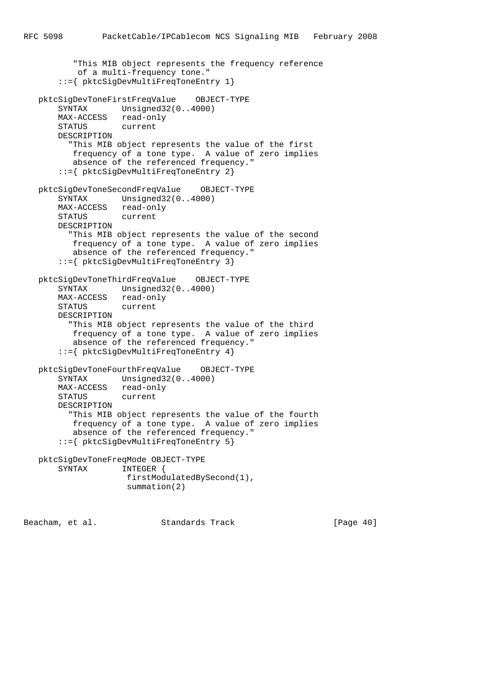```
 "This MIB object represents the frequency reference
           of a multi-frequency tone."
       ::={ pktcSigDevMultiFreqToneEntry 1}
   pktcSigDevToneFirstFreqValue OBJECT-TYPE
       SYNTAX Unsigned32(0..4000)
       MAX-ACCESS read-only
       STATUS current
       DESCRIPTION
         "This MIB object represents the value of the first
         frequency of a tone type. A value of zero implies
          absence of the referenced frequency."
       ::={ pktcSigDevMultiFreqToneEntry 2}
   pktcSigDevToneSecondFreqValue OBJECT-TYPE
      SYNTAX Unsigned32(0..4000)
       MAX-ACCESS read-only
       STATUS current
       DESCRIPTION
         "This MIB object represents the value of the second
 frequency of a tone type. A value of zero implies
 absence of the referenced frequency."
       ::={ pktcSigDevMultiFreqToneEntry 3}
   pktcSigDevToneThirdFreqValue OBJECT-TYPE
 SYNTAX Unsigned32(0..4000)
 MAX-ACCESS read-only
       STATUS current
       DESCRIPTION
         "This MIB object represents the value of the third
          frequency of a tone type. A value of zero implies
          absence of the referenced frequency."
       ::={ pktcSigDevMultiFreqToneEntry 4}
   pktcSigDevToneFourthFreqValue OBJECT-TYPE
      SYNTAX Unsigned32(0..4000)
       MAX-ACCESS read-only
       STATUS current
       DESCRIPTION
         "This MIB object represents the value of the fourth
          frequency of a tone type. A value of zero implies
          absence of the referenced frequency."
       ::={ pktcSigDevMultiFreqToneEntry 5}
   pktcSigDevToneFreqMode OBJECT-TYPE
       SYNTAX INTEGER {
                    firstModulatedBySecond(1),
                    summation(2)
```
Beacham, et al. Standards Track [Page 40]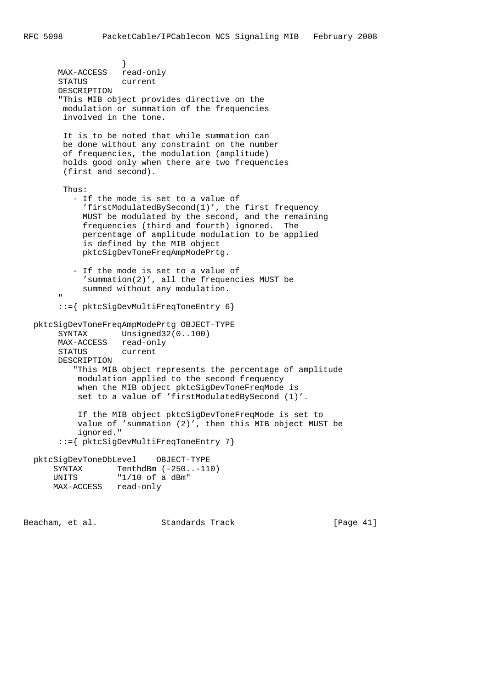```
 }
       MAX-ACCESS read-only
       STATUS current
       DESCRIPTION
        "This MIB object provides directive on the
        modulation or summation of the frequencies
        involved in the tone.
        It is to be noted that while summation can
        be done without any constraint on the number
        of frequencies, the modulation (amplitude)
        holds good only when there are two frequencies
        (first and second).
        Thus:
          - If the mode is set to a value of
            'firstModulatedBySecond(1)', the first frequency
            MUST be modulated by the second, and the remaining
            frequencies (third and fourth) ignored. The
            percentage of amplitude modulation to be applied
            is defined by the MIB object
            pktcSigDevToneFreqAmpModePrtg.
          - If the mode is set to a value of
            'summation(2)', all the frequencies MUST be
            summed without any modulation.
 "
        ::={ pktcSigDevMultiFreqToneEntry 6}
  pktcSigDevToneFreqAmpModePrtg OBJECT-TYPE
       SYNTAX Unsigned32(0..100)
       MAX-ACCESS read-only
       STATUS current
       DESCRIPTION
          "This MIB object represents the percentage of amplitude
           modulation applied to the second frequency
           when the MIB object pktcSigDevToneFreqMode is
           set to a value of 'firstModulatedBySecond (1)'.
           If the MIB object pktcSigDevToneFreqMode is set to
           value of 'summation (2)', then this MIB object MUST be
           ignored."
        ::={ pktcSigDevMultiFreqToneEntry 7}
  pktcSigDevToneDbLevel OBJECT-TYPE
     SYNTAX TenthdBm (-250..-110)
     UNITS "1/10 of a dBm"
      MAX-ACCESS read-only
Beacham, et al. Standards Track [Page 41]
```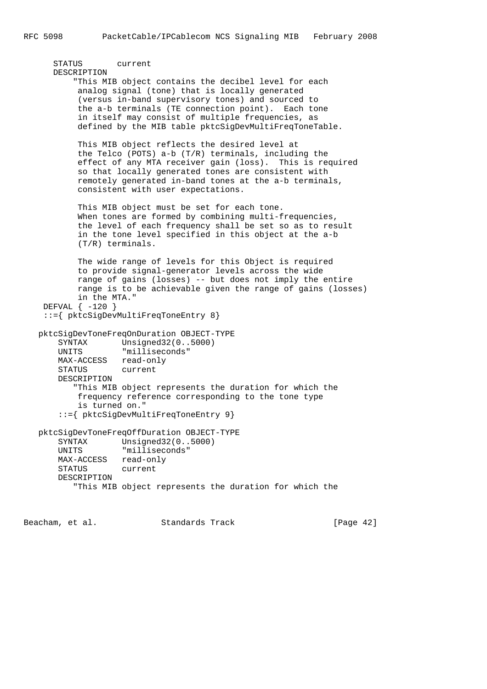```
 STATUS current
      DESCRIPTION
           "This MIB object contains the decibel level for each
           analog signal (tone) that is locally generated
           (versus in-band supervisory tones) and sourced to
           the a-b terminals (TE connection point). Each tone
           in itself may consist of multiple frequencies, as
           defined by the MIB table pktcSigDevMultiFreqToneTable.
           This MIB object reflects the desired level at
           the Telco (POTS) a-b (T/R) terminals, including the
           effect of any MTA receiver gain (loss). This is required
           so that locally generated tones are consistent with
           remotely generated in-band tones at the a-b terminals,
           consistent with user expectations.
           This MIB object must be set for each tone.
          When tones are formed by combining multi-frequencies,
           the level of each frequency shall be set so as to result
           in the tone level specified in this object at the a-b
           (T/R) terminals.
           The wide range of levels for this Object is required
           to provide signal-generator levels across the wide
           range of gains (losses) -- but does not imply the entire
           range is to be achievable given the range of gains (losses)
           in the MTA."
    DEFVAL { -120 }
    ::={ pktcSigDevMultiFreqToneEntry 8}
   pktcSigDevToneFreqOnDuration OBJECT-TYPE
 SYNTAX Unsigned32(0..5000)
 UNITS "milliseconds"
       MAX-ACCESS read-only
       STATUS current
       DESCRIPTION
          "This MIB object represents the duration for which the
           frequency reference corresponding to the tone type
           is turned on."
       ::={ pktcSigDevMultiFreqToneEntry 9}
   pktcSigDevToneFreqOffDuration OBJECT-TYPE
      SYNTAX Unsigned32(0..5000)
       UNITS "milliseconds"
       MAX-ACCESS read-only
       STATUS current
       DESCRIPTION
          "This MIB object represents the duration for which the
```
Beacham, et al. Standards Track [Page 42]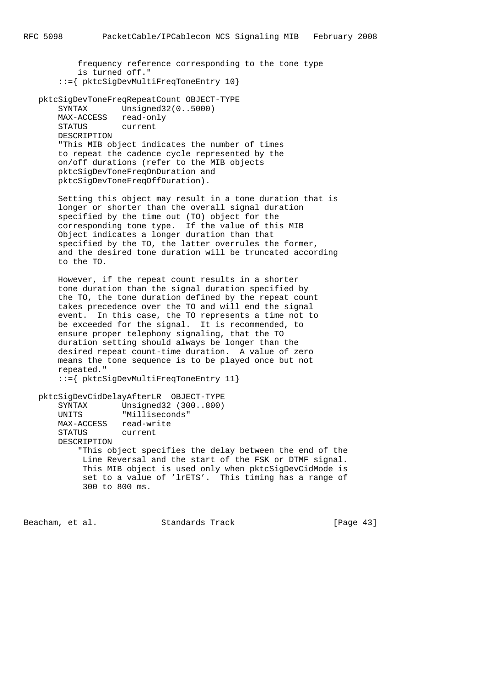frequency reference corresponding to the tone type is turned off." ::={ pktcSigDevMultiFreqToneEntry 10}

pktcSigDevToneFreqRepeatCount OBJECT-TYPE

 SYNTAX Unsigned32(0..5000) MAX-ACCESS read-only STATUS current DESCRIPTION "This MIB object indicates the number of times to repeat the cadence cycle represented by the on/off durations (refer to the MIB objects pktcSigDevToneFreqOnDuration and pktcSigDevToneFreqOffDuration).

 Setting this object may result in a tone duration that is longer or shorter than the overall signal duration specified by the time out (TO) object for the corresponding tone type. If the value of this MIB Object indicates a longer duration than that specified by the TO, the latter overrules the former, and the desired tone duration will be truncated according to the TO.

> However, if the repeat count results in a shorter tone duration than the signal duration specified by the TO, the tone duration defined by the repeat count takes precedence over the TO and will end the signal event. In this case, the TO represents a time not to be exceeded for the signal. It is recommended, to ensure proper telephony signaling, that the TO duration setting should always be longer than the desired repeat count-time duration. A value of zero means the tone sequence is to be played once but not repeated."

::={ pktcSigDevMultiFreqToneEntry 11}

## pktcSigDevCidDelayAfterLR OBJECT-TYPE SYNTAX Unsigned32 (300..800)

 UNITS "Milliseconds" MAX-ACCESS read-write STATUS current DESCRIPTION "This object specifies the delay between the end of the Line Reversal and the start of the FSK or DTMF signal. This MIB object is used only when pktcSigDevCidMode is set to a value of 'lrETS'. This timing has a range of 300 to 800 ms.

Beacham, et al. Standards Track [Page 43]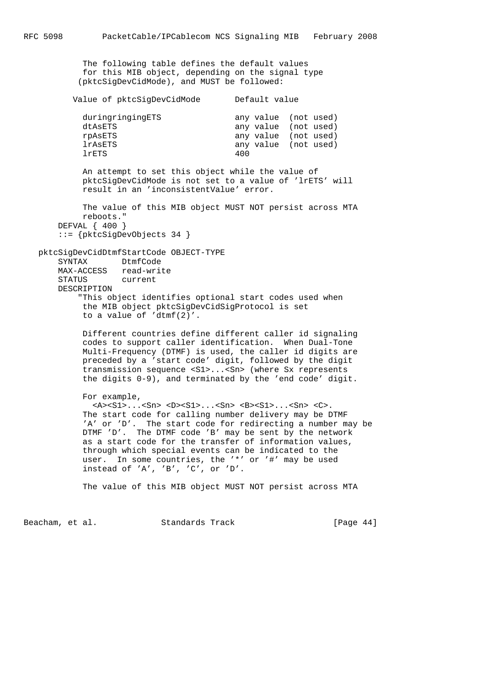The following table defines the default values for this MIB object, depending on the signal type (pktcSigDevCidMode), and MUST be followed:

Value of pktcSigDevCidMode Default value duringringingETS any value (not used) dtAsETS any value (not used) rpAsETS any value (not used) lrAsETS any value (not used) lrETS 400 An attempt to set this object while the value of pktcSigDevCidMode is not set to a value of 'lrETS' will result in an 'inconsistentValue' error. The value of this MIB object MUST NOT persist across MTA reboots." DEFVAL { 400 } ::= {pktcSigDevObjects 34 } pktcSigDevCidDtmfStartCode OBJECT-TYPE SYNTAX DtmfCode MAX-ACCESS read-write STATUS current DESCRIPTION "This object identifies optional start codes used when the MIB object pktcSigDevCidSigProtocol is set to a value of 'dtmf(2)'. Different countries define different caller id signaling codes to support caller identification. When Dual-Tone Multi-Frequency (DTMF) is used, the caller id digits are preceded by a 'start code' digit, followed by the digit transmission sequence <S1>...<Sn> (where Sx represents the digits 0-9), and terminated by the 'end code' digit. For example,  $<\!\!A\!\!>\!\!<\!\!S1\!\!>\!\dots<\!\!Sn\!\!>\!\cdot\!Sn\!\!>\!\cdot\!S1\!\!>\!\dots<\!\!Sn\!\!>\!\cdot\!Sn\!\!>\!\cdot\!S1\!\!>\!\dots<\!\!Sn\!\!>\!\cdot\!S1\!\!>\!\dots<\!\!Sn\!\!>\!\cdot\!Sn\!\!>\!\cdot\!S$  The start code for calling number delivery may be DTMF 'A' or 'D'. The start code for redirecting a number may be DTMF 'D'. The DTMF code 'B' may be sent by the network as a start code for the transfer of information values, through which special events can be indicated to the user. In some countries, the '\*' or '#' may be used instead of 'A', 'B', 'C', or 'D'. The value of this MIB object MUST NOT persist across MTA

Beacham, et al. Standards Track [Page 44]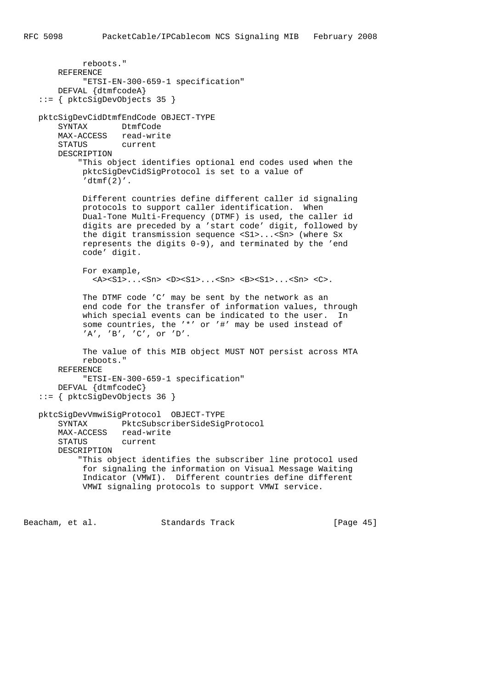```
 reboots."
     REFERENCE
          "ETSI-EN-300-659-1 specification"
     DEFVAL {dtmfcodeA}
 ::= { pktcSigDevObjects 35 }
 pktcSigDevCidDtmfEndCode OBJECT-TYPE
     SYNTAX DtmfCode
     MAX-ACCESS read-write
     STATUS current
     DESCRIPTION
          "This object identifies optional end codes used when the
          pktcSigDevCidSigProtocol is set to a value of
          'dtmf(2)'.
          Different countries define different caller id signaling
           protocols to support caller identification. When
           Dual-Tone Multi-Frequency (DTMF) is used, the caller id
          digits are preceded by a 'start code' digit, followed by
           the digit transmission sequence <S1>...<Sn> (where Sx
           represents the digits 0-9), and terminated by the 'end
           code' digit.
          For example,
            <\lambda</math>><SL>...<Sn>></sup> <sub>DP</sub><sub>SD</sub> <sub>SP</sub><sub>SD</sub> <sub>CP</sub> <sub>SP</sub><sub>SP</sub> <sub>SP</sub><sub>SP</sub> <sub>SP</sub> <sub>CP</sub> <sub>CP</sub> The DTMF code 'C' may be sent by the network as an
           end code for the transfer of information values, through
           which special events can be indicated to the user. In
          some countries, the '*' or '#' may be used instead of
           'A', 'B', 'C', or 'D'.
          The value of this MIB object MUST NOT persist across MTA
          reboots."
     REFERENCE
           "ETSI-EN-300-659-1 specification"
     DEFVAL {dtmfcodeC}
 ::= { pktcSigDevObjects 36 }
 pktcSigDevVmwiSigProtocol OBJECT-TYPE
     SYNTAX PktcSubscriberSideSigProtocol
     MAX-ACCESS read-write
     STATUS current
     DESCRIPTION
          "This object identifies the subscriber line protocol used
           for signaling the information on Visual Message Waiting
           Indicator (VMWI). Different countries define different
           VMWI signaling protocols to support VMWI service.
```
Beacham, et al. Standards Track [Page 45]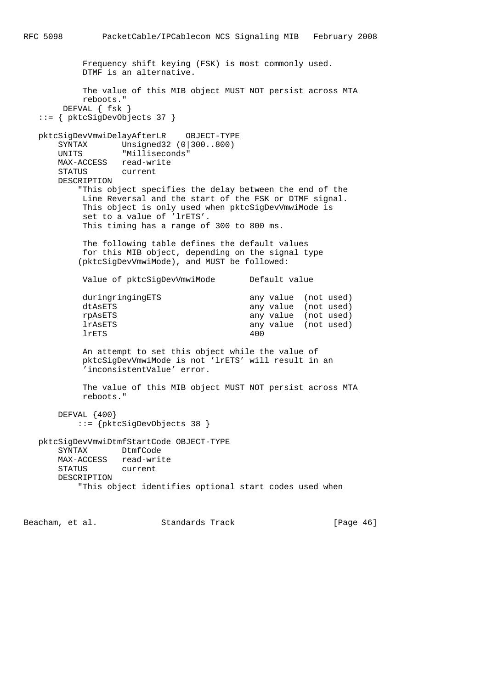Frequency shift keying (FSK) is most commonly used. DTMF is an alternative. The value of this MIB object MUST NOT persist across MTA reboots." DEFVAL { fsk } ::= { pktcSigDevObjects 37 } pktcSigDevVmwiDelayAfterLR OBJECT-TYPE SYNTAX Unsigned32 (0|300..800) UNITS "Milliseconds" MAX-ACCESS read-write STATUS current DESCRIPTION "This object specifies the delay between the end of the Line Reversal and the start of the FSK or DTMF signal. This object is only used when pktcSigDevVmwiMode is set to a value of 'lrETS'. This timing has a range of 300 to 800 ms. The following table defines the default values for this MIB object, depending on the signal type (pktcSigDevVmwiMode), and MUST be followed: Value of pktcSigDevVmwiMode Default value duringringingETS any value (not used) dtAsETS dtAseTS any value (not used) rpAsETS any value (not used) rpassis<br>lrAsETS any value (not used) lrETS 400 An attempt to set this object while the value of pktcSigDevVmwiMode is not 'lrETS' will result in an 'inconsistentValue' error. The value of this MIB object MUST NOT persist across MTA reboots." DEFVAL {400} ::= {pktcSigDevObjects 38 } pktcSigDevVmwiDtmfStartCode OBJECT-TYPE SYNTAX DtmfCode MAX-ACCESS read-write STATUS current DESCRIPTION "This object identifies optional start codes used when

Beacham, et al. Standards Track [Page 46]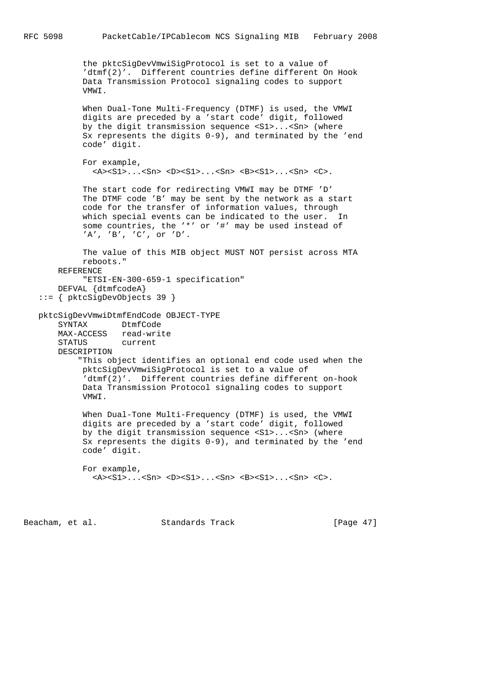the pktcSigDevVmwiSigProtocol is set to a value of 'dtmf(2)'. Different countries define different On Hook Data Transmission Protocol signaling codes to support VMWI. When Dual-Tone Multi-Frequency (DTMF) is used, the VMWI digits are preceded by a 'start code' digit, followed by the digit transmission sequence <S1>...<Sn> (where Sx represents the digits 0-9), and terminated by the 'end code' digit. For example,  $<\lambda$ >< $S1$ >... $Sn$ >  $1$ > $S1$ >... $Sn$ >  $S1$ >... $Sn$ >  $C$ . The start code for redirecting VMWI may be DTMF 'D' The DTMF code 'B' may be sent by the network as a start code for the transfer of information values, through which special events can be indicated to the user. In some countries, the '\*' or '#' may be used instead of 'A', 'B', 'C', or 'D'. The value of this MIB object MUST NOT persist across MTA reboots." REFERENCE "ETSI-EN-300-659-1 specification" DEFVAL {dtmfcodeA} ::= { pktcSigDevObjects 39 } pktcSigDevVmwiDtmfEndCode OBJECT-TYPE SYNTAX DtmfCode MAX-ACCESS read-write STATUS current DESCRIPTION "This object identifies an optional end code used when the pktcSigDevVmwiSigProtocol is set to a value of 'dtmf(2)'. Different countries define different on-hook Data Transmission Protocol signaling codes to support VMWI. When Dual-Tone Multi-Frequency (DTMF) is used, the VMWI digits are preceded by a 'start code' digit, followed by the digit transmission sequence <S1>...<Sn> (where Sx represents the digits 0-9), and terminated by the 'end code' digit. For example, <A><S1>...<Sn> <D><S1>...<Sn> <B><S1>...<Sn> <C>.

Beacham, et al. Standards Track [Page 47]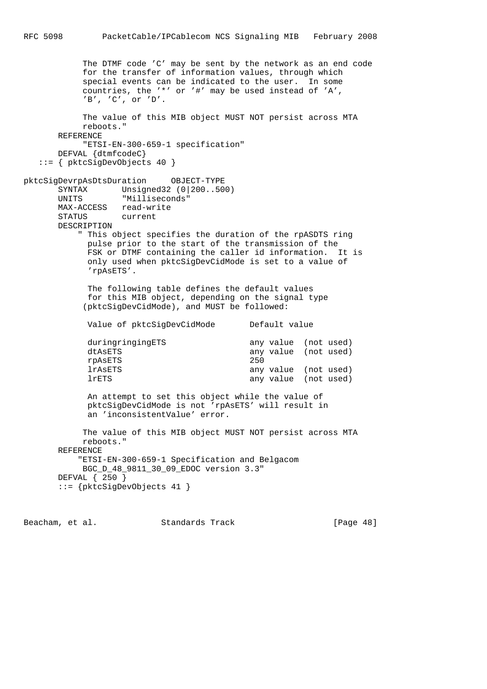```
 The DTMF code 'C' may be sent by the network as an end code
            for the transfer of information values, through which
            special events can be indicated to the user. In some
            countries, the '*' or '#' may be used instead of 'A',
            'B', 'C', or 'D'.
            The value of this MIB object MUST NOT persist across MTA
            reboots."
       REFERENCE
            "ETSI-EN-300-659-1 specification"
       DEFVAL {dtmfcodeC}
    ::= { pktcSigDevObjects 40 }
pktcSigDevrpAsDtsDuration OBJECT-TYPE
       SYNTAX Unsigned32 (0|200..500)
       UNITS "Milliseconds"
       MAX-ACCESS read-write
       STATUS current
       DESCRIPTION
           " This object specifies the duration of the rpASDTS ring
             pulse prior to the start of the transmission of the
             FSK or DTMF containing the caller id information. It is
             only used when pktcSigDevCidMode is set to a value of
             'rpAsETS'.
             The following table defines the default values
             for this MIB object, depending on the signal type
            (pktcSigDevCidMode), and MUST be followed:
            Value of pktcSigDevCidMode Default value
           duringringingETS any value (not used)
           dtAsETS dtAseTS dtAseTS
            rpAsETS 250
             lrAsETS any value (not used)
             lrETS any value (not used)
            An attempt to set this object while the value of
             pktcSigDevCidMode is not 'rpAsETS' will result in
             an 'inconsistentValue' error.
            The value of this MIB object MUST NOT persist across MTA
            reboots."
       REFERENCE
           "ETSI-EN-300-659-1 Specification and Belgacom
           BGC_D_48_9811_30_09_EDOC version 3.3"
       DEFVAL { 250 }
       ::= {pktcSigDevObjects 41 }
```
Beacham, et al. Standards Track [Page 48]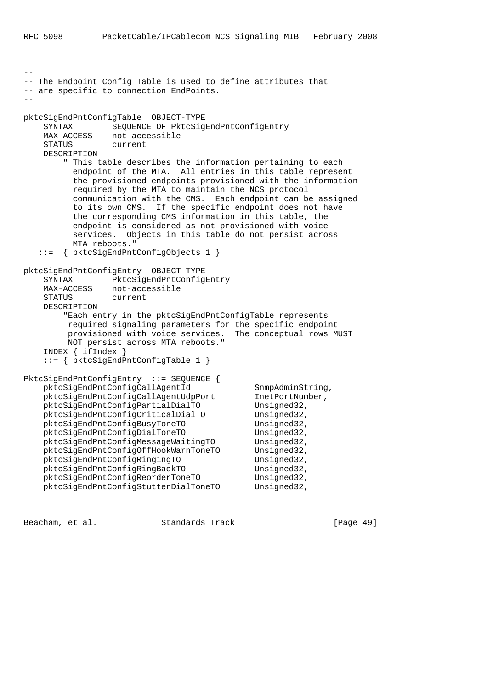-- -- The Endpoint Config Table is used to define attributes that -- are specific to connection EndPoints. - pktcSigEndPntConfigTable OBJECT-TYPE SYNTAX SEQUENCE OF PktcSigEndPntConfigEntry MAX-ACCESS not-accessible STATUS current DESCRIPTION " This table describes the information pertaining to each endpoint of the MTA. All entries in this table represent the provisioned endpoints provisioned with the information required by the MTA to maintain the NCS protocol communication with the CMS. Each endpoint can be assigned to its own CMS. If the specific endpoint does not have the corresponding CMS information in this table, the endpoint is considered as not provisioned with voice services. Objects in this table do not persist across MTA reboots." ::= { pktcSigEndPntConfigObjects 1 } pktcSigEndPntConfigEntry OBJECT-TYPE SYNTAX PktcSigEndPntConfigEntry MAX-ACCESS not-accessible STATUS current DESCRIPTION "Each entry in the pktcSigEndPntConfigTable represents required signaling parameters for the specific endpoint provisioned with voice services. The conceptual rows MUST NOT persist across MTA reboots." INDEX { ifIndex } ::= { pktcSigEndPntConfigTable 1 } PktcSigEndPntConfigEntry ::= SEQUENCE { pktcSigEndPntConfigCallAgentId SnmpAdminString, pktcSigEndPntConfigCallAgentUdpPort InetPortNumber, pktcSigEndPntConfigPartialDialTO Unsigned32, pktcSigEndPntConfigCriticalDialTO Unsigned32, pktcSigEndPntConfigBusyToneTO Unsigned32, pktcSigEndPntConfigDialToneTO Unsigned32,<br>pktcSigEndPntConfigMessageWaitingTO Unsigned32, pktcSigEndPntConfigMessageWaitingTO pktcSigEndPntConfigOffHookWarnToneTO Unsigned32, pktcSigEndPntConfigRingingTO pktcSigEndPntConfigRingBackTO Unsigned32, pktcSigEndPntConfigReorderToneTO Unsigned32, pktcSigEndPntConfigStutterDialToneTO Unsigned32,

Beacham, et al. Standards Track [Page 49]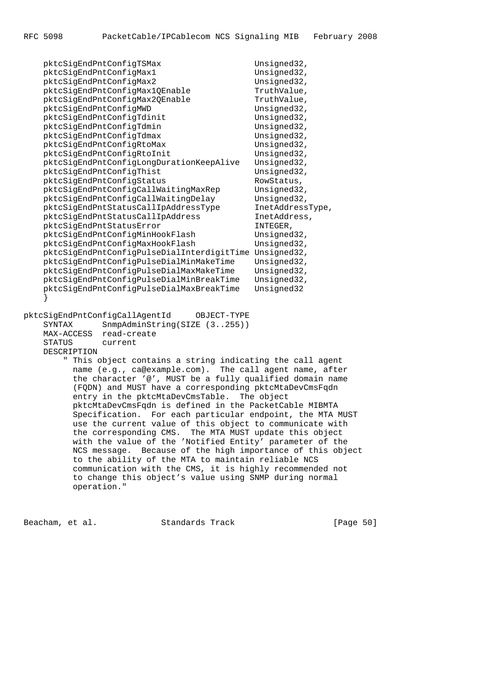| pktcSigEndPntConfigTSMax                                   | Unsigned32,      |
|------------------------------------------------------------|------------------|
| pktcSigEndPntConfigMax1                                    | Unsigned32,      |
| pktcSigEndPntConfigMax2                                    | Unsigned32,      |
| pktcSigEndPntConfigMax1QEnable                             | TruthValue,      |
| pktcSigEndPntConfigMax2QEnable                             | TruthValue,      |
| pktcSigEndPntConfigMWD                                     | Unsigned32,      |
| pktcSigEndPntConfigTdinit                                  | Unsigned32,      |
| pktcSigEndPntConfigTdmin                                   | Unsigned32,      |
| pktcSigEndPntConfigTdmax                                   | Unsigned32,      |
| pktcSigEndPntConfigRtoMax                                  | Unsigned32,      |
| pktcSigEndPntConfigRtoInit                                 | Unsigned32,      |
| pktcSigEndPntConfigLongDurationKeepAlive                   | Unsigned32,      |
| pktcSigEndPntConfigThist                                   | Unsigned32,      |
| pktcSigEndPntConfigStatus                                  | RowStatus,       |
| pktcSigEndPntConfigCallWaitingMaxRep                       | Unsigned32,      |
| pktcSigEndPntConfigCallWaitingDelay                        | Unsigned32,      |
| pktcSigEndPntStatusCallIpAddressType                       | InetAddressType, |
| pktcSigEndPntStatusCallIpAddress                           | InetAddress,     |
| pktcSigEndPntStatusError                                   | INTEGER,         |
| pktcSigEndPntConfigMinHookFlash                            | Unsigned32,      |
| pktcSigEndPntConfigMaxHookFlash                            | Unsigned32,      |
| pktcSigEndPntConfigPulseDialInterdigitTime Unsigned32,     |                  |
| pktcSigEndPntConfigPulseDialMinMakeTime                    | Unsigned32,      |
| pktcSigEndPntConfigPulseDialMaxMakeTime                    | Unsigned32,      |
| pktcSigEndPntConfigPulseDialMinBreakTime                   | Unsigned32,      |
| pktcSigEndPntConfigPulseDialMaxBreakTime                   | Unsigned32       |
| $\left\{ \right\}$                                         |                  |
|                                                            |                  |
| pktcSigEndPntConfigCallAgentId<br>OBJECT-TYPE              |                  |
| SnmpAdminString(SIZE (3255))<br>SYNTAX                     |                  |
| read-create<br>MAX-ACCESS                                  |                  |
| <b>STATUS</b><br>current                                   |                  |
| DESCRIPTION                                                |                  |
| This object contains a string indicating the call agent    |                  |
| name (e.g., ca@example.com). The call agent name, after    |                  |
| the character '@', MUST be a fully qualified domain name   |                  |
| (FQDN) and MUST have a corresponding pktcMtaDevCmsFqdn     |                  |
| entry in the pktcMtaDevCmsTable.                           | The object       |
| pktcMtaDevCmsFqdn is defined in the PacketCable MIBMTA     |                  |
| Specification. For each particular endpoint, the MTA MUST  |                  |
| use the current value of this object to communicate with   |                  |
| the corresponding CMS. The MTA MUST update this object     |                  |
| with the value of the 'Notified Entity' parameter of the   |                  |
| NCS message. Because of the high importance of this object |                  |
| to the ability of the MTA to maintain reliable NCS         |                  |

 communication with the CMS, it is highly recommended not to change this object's value using SNMP during normal operation."

Beacham, et al. Standards Track [Page 50]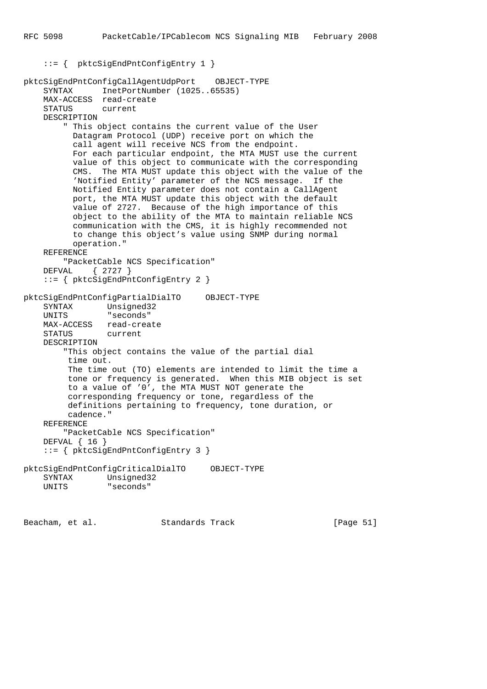```
 ::= { pktcSigEndPntConfigEntry 1 }
```

```
pktcSigEndPntConfigCallAgentUdpPort OBJECT-TYPE
     SYNTAX InetPortNumber (1025..65535)
    MAX-ACCESS read-create
    STATUS current
    DESCRIPTION
         " This object contains the current value of the User
          Datagram Protocol (UDP) receive port on which the
          call agent will receive NCS from the endpoint.
          For each particular endpoint, the MTA MUST use the current
          value of this object to communicate with the corresponding
          CMS. The MTA MUST update this object with the value of the
          'Notified Entity' parameter of the NCS message. If the
          Notified Entity parameter does not contain a CallAgent
          port, the MTA MUST update this object with the default
          value of 2727. Because of the high importance of this
          object to the ability of the MTA to maintain reliable NCS
          communication with the CMS, it is highly recommended not
          to change this object's value using SNMP during normal
          operation."
    REFERENCE
         "PacketCable NCS Specification"
    DEFVAL { 2727 }
     ::= { pktcSigEndPntConfigEntry 2 }
pktcSigEndPntConfigPartialDialTO OBJECT-TYPE
 SYNTAX Unsigned32
 UNITS "seconds"
    MAX-ACCESS read-create
    STATUS current
    DESCRIPTION
         "This object contains the value of the partial dial
         time out.
         The time out (TO) elements are intended to limit the time a
         tone or frequency is generated. When this MIB object is set
         to a value of '0', the MTA MUST NOT generate the
         corresponding frequency or tone, regardless of the
         definitions pertaining to frequency, tone duration, or
         cadence."
    REFERENCE
        "PacketCable NCS Specification"
    DEFVAL { 16 }
     ::= { pktcSigEndPntConfigEntry 3 }
pktcSigEndPntConfigCriticalDialTO OBJECT-TYPE
    SYNTAX Unsigned32
    UNITS "seconds"
```
Beacham, et al. Standards Track [Page 51]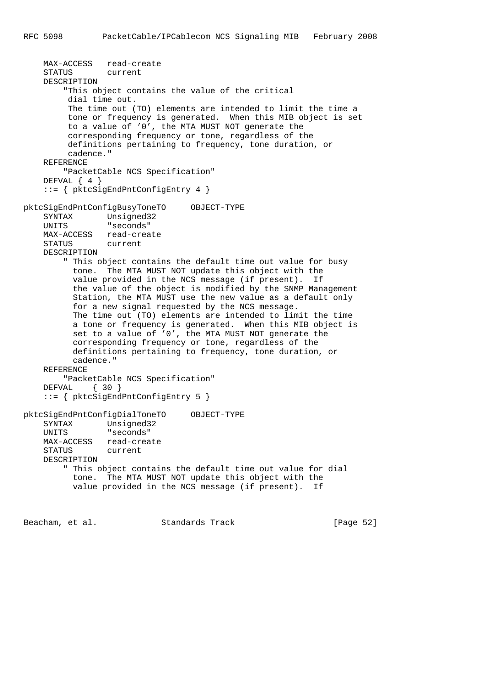MAX-ACCESS read-create STATUS current DESCRIPTION "This object contains the value of the critical dial time out. The time out (TO) elements are intended to limit the time a tone or frequency is generated. When this MIB object is set to a value of '0', the MTA MUST NOT generate the corresponding frequency or tone, regardless of the definitions pertaining to frequency, tone duration, or cadence." REFERENCE "PacketCable NCS Specification" DEFVAL  $\{ 4 \}$  ::= { pktcSigEndPntConfigEntry 4 } pktcSigEndPntConfigBusyToneTO OBJECT-TYPE SYNTAX Unsigned32 UNITS "seconds" MAX-ACCESS read-create STATUS current DESCRIPTION " This object contains the default time out value for busy tone. The MTA MUST NOT update this object with the value provided in the NCS message (if present). If the value of the object is modified by the SNMP Management Station, the MTA MUST use the new value as a default only for a new signal requested by the NCS message. The time out (TO) elements are intended to limit the time a tone or frequency is generated. When this MIB object is set to a value of '0', the MTA MUST NOT generate the corresponding frequency or tone, regardless of the definitions pertaining to frequency, tone duration, or cadence." REFERENCE "PacketCable NCS Specification" DEFVAL { 30 } ::= { pktcSigEndPntConfigEntry 5 } pktcSigEndPntConfigDialToneTO OBJECT-TYPE SYNTAX Unsigned32 UNITS "seconds" MAX-ACCESS read-create STATUS current DESCRIPTION " This object contains the default time out value for dial tone. The MTA MUST NOT update this object with the value provided in the NCS message (if present). If

Beacham, et al. Standards Track [Page 52]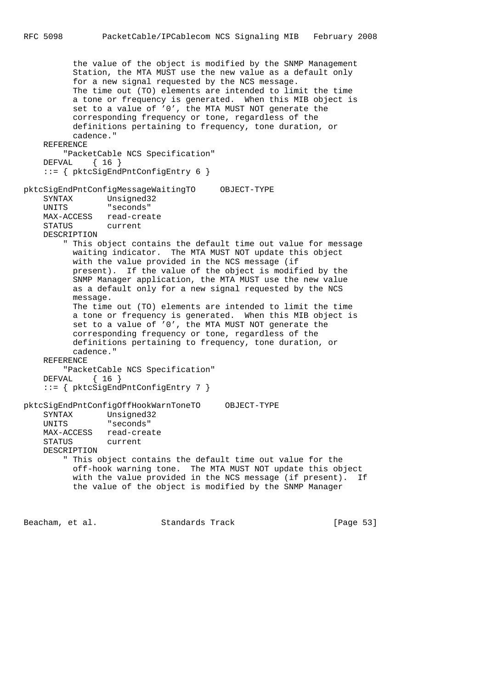the value of the object is modified by the SNMP Management Station, the MTA MUST use the new value as a default only for a new signal requested by the NCS message. The time out (TO) elements are intended to limit the time a tone or frequency is generated. When this MIB object is set to a value of '0', the MTA MUST NOT generate the corresponding frequency or tone, regardless of the definitions pertaining to frequency, tone duration, or cadence." REFERENCE "PacketCable NCS Specification" DEFVAL { 16 } ::= { pktcSigEndPntConfigEntry 6 } pktcSigEndPntConfigMessageWaitingTO OBJECT-TYPE SYNTAX Unsigned32 UNITS "seconds" MAX-ACCESS read-create STATUS current DESCRIPTION " This object contains the default time out value for message waiting indicator. The MTA MUST NOT update this object with the value provided in the NCS message (if present). If the value of the object is modified by the SNMP Manager application, the MTA MUST use the new value as a default only for a new signal requested by the NCS message. The time out (TO) elements are intended to limit the time a tone or frequency is generated. When this MIB object is set to a value of '0', the MTA MUST NOT generate the corresponding frequency or tone, regardless of the definitions pertaining to frequency, tone duration, or cadence." REFERENCE "PacketCable NCS Specification" DEFVAL { 16 } ::= { pktcSigEndPntConfigEntry 7 } pktcSigEndPntConfigOffHookWarnToneTO OBJECT-TYPE SYNTAX Unsigned32 UNITS "seconds" MAX-ACCESS read-create STATUS current DESCRIPTION " This object contains the default time out value for the off-hook warning tone. The MTA MUST NOT update this object with the value provided in the NCS message (if present). If the value of the object is modified by the SNMP Manager

Beacham, et al. Standards Track [Page 53]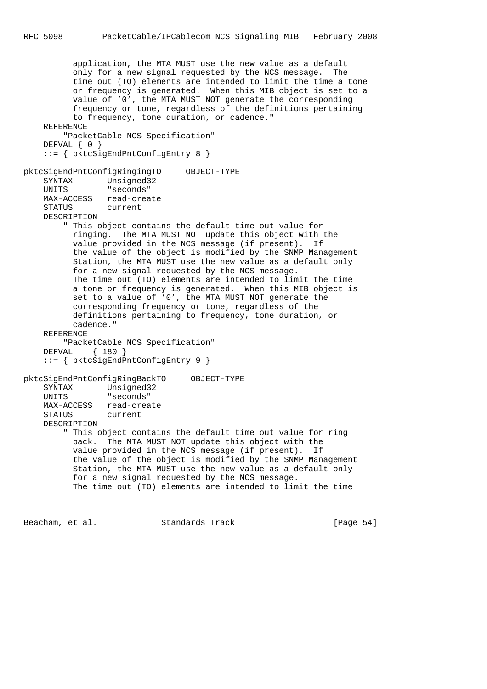```
 application, the MTA MUST use the new value as a default
           only for a new signal requested by the NCS message. The
           time out (TO) elements are intended to limit the time a tone
           or frequency is generated. When this MIB object is set to a
           value of '0', the MTA MUST NOT generate the corresponding
          frequency or tone, regardless of the definitions pertaining
          to frequency, tone duration, or cadence."
     REFERENCE
         "PacketCable NCS Specification"
     DEFVAL { 0 }
     ::= { pktcSigEndPntConfigEntry 8 }
pktcSigEndPntConfigRingingTO OBJECT-TYPE
     SYNTAX Unsigned32
     UNITS "seconds"
     MAX-ACCESS read-create
     STATUS current
     DESCRIPTION
         " This object contains the default time out value for
          ringing. The MTA MUST NOT update this object with the
           value provided in the NCS message (if present). If
           the value of the object is modified by the SNMP Management
           Station, the MTA MUST use the new value as a default only
           for a new signal requested by the NCS message.
          The time out (TO) elements are intended to limit the time
           a tone or frequency is generated. When this MIB object is
          set to a value of '0', the MTA MUST NOT generate the
          corresponding frequency or tone, regardless of the
          definitions pertaining to frequency, tone duration, or
          cadence."
     REFERENCE
         "PacketCable NCS Specification"
     DEFVAL { 180 }
     ::= { pktcSigEndPntConfigEntry 9 }
pktcSigEndPntConfigRingBackTO OBJECT-TYPE
     SYNTAX Unsigned32
     UNITS "seconds"
     MAX-ACCESS read-create
     STATUS current
     DESCRIPTION
         " This object contains the default time out value for ring
          back. The MTA MUST NOT update this object with the
           value provided in the NCS message (if present). If
           the value of the object is modified by the SNMP Management
           Station, the MTA MUST use the new value as a default only
           for a new signal requested by the NCS message.
           The time out (TO) elements are intended to limit the time
```
Beacham, et al. Standards Track [Page 54]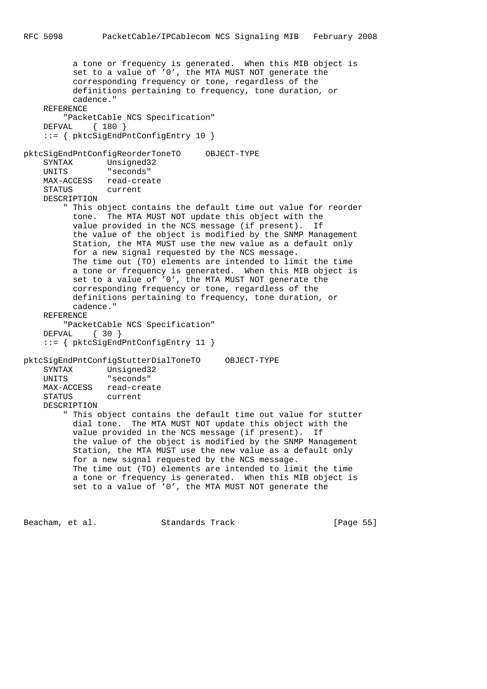```
 a tone or frequency is generated. When this MIB object is
           set to a value of '0', the MTA MUST NOT generate the
           corresponding frequency or tone, regardless of the
          definitions pertaining to frequency, tone duration, or
           cadence."
     REFERENCE
        "PacketCable NCS Specification"
     DEFVAL { 180 }
     ::= { pktcSigEndPntConfigEntry 10 }
pktcSigEndPntConfigReorderToneTO OBJECT-TYPE
     SYNTAX Unsigned32
     UNITS "seconds"
     MAX-ACCESS read-create
     STATUS current
     DESCRIPTION
         " This object contains the default time out value for reorder
           tone. The MTA MUST NOT update this object with the
           value provided in the NCS message (if present). If
           the value of the object is modified by the SNMP Management
           Station, the MTA MUST use the new value as a default only
           for a new signal requested by the NCS message.
           The time out (TO) elements are intended to limit the time
           a tone or frequency is generated. When this MIB object is
           set to a value of '0', the MTA MUST NOT generate the
           corresponding frequency or tone, regardless of the
          definitions pertaining to frequency, tone duration, or
          cadence."
     REFERENCE
         "PacketCable NCS Specification"
     DEFVAL { 30 }
     ::= { pktcSigEndPntConfigEntry 11 }
pktcSigEndPntConfigStutterDialToneTO OBJECT-TYPE
     SYNTAX Unsigned32
     UNITS "seconds"
     MAX-ACCESS read-create
     STATUS current
     DESCRIPTION
         " This object contains the default time out value for stutter
          dial tone. The MTA MUST NOT update this object with the
           value provided in the NCS message (if present). If
           the value of the object is modified by the SNMP Management
           Station, the MTA MUST use the new value as a default only
           for a new signal requested by the NCS message.
           The time out (TO) elements are intended to limit the time
           a tone or frequency is generated. When this MIB object is
           set to a value of '0', the MTA MUST NOT generate the
```
Beacham, et al. Standards Track [Page 55]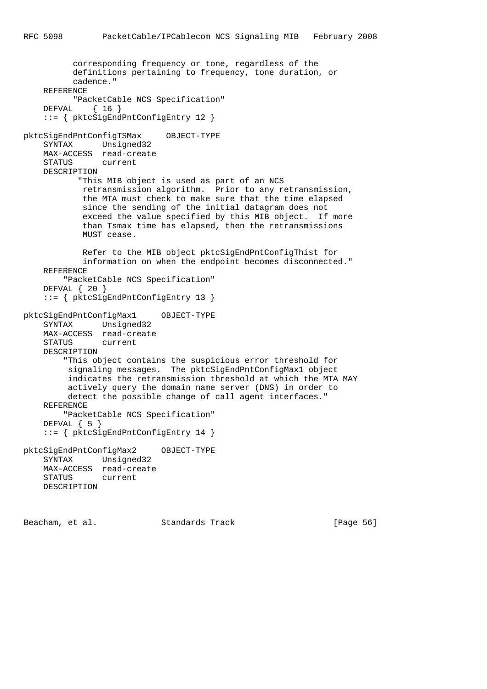```
 corresponding frequency or tone, regardless of the
           definitions pertaining to frequency, tone duration, or
           cadence."
     REFERENCE
          "PacketCable NCS Specification"
     DEFVAL { 16 }
     ::= { pktcSigEndPntConfigEntry 12 }
pktcSigEndPntConfigTSMax OBJECT-TYPE
     SYNTAX Unsigned32
     MAX-ACCESS read-create
     STATUS current
     DESCRIPTION
            "This MIB object is used as part of an NCS
            retransmission algorithm. Prior to any retransmission,
            the MTA must check to make sure that the time elapsed
             since the sending of the initial datagram does not
            exceed the value specified by this MIB object. If more
             than Tsmax time has elapsed, then the retransmissions
            MUST cease.
            Refer to the MIB object pktcSigEndPntConfigThist for
            information on when the endpoint becomes disconnected."
     REFERENCE
         "PacketCable NCS Specification"
     DEFVAL { 20 }
     ::= { pktcSigEndPntConfigEntry 13 }
pktcSigEndPntConfigMax1 OBJECT-TYPE
     SYNTAX Unsigned32
     MAX-ACCESS read-create
     STATUS current
     DESCRIPTION
         "This object contains the suspicious error threshold for
         signaling messages. The pktcSigEndPntConfigMax1 object
         indicates the retransmission threshold at which the MTA MAY
         actively query the domain name server (DNS) in order to
         detect the possible change of call agent interfaces."
     REFERENCE
         "PacketCable NCS Specification"
     DEFVAL { 5 }
     ::= { pktcSigEndPntConfigEntry 14 }
pktcSigEndPntConfigMax2 OBJECT-TYPE
     SYNTAX Unsigned32
     MAX-ACCESS read-create
     STATUS current
     DESCRIPTION
```
Beacham, et al. Standards Track [Page 56]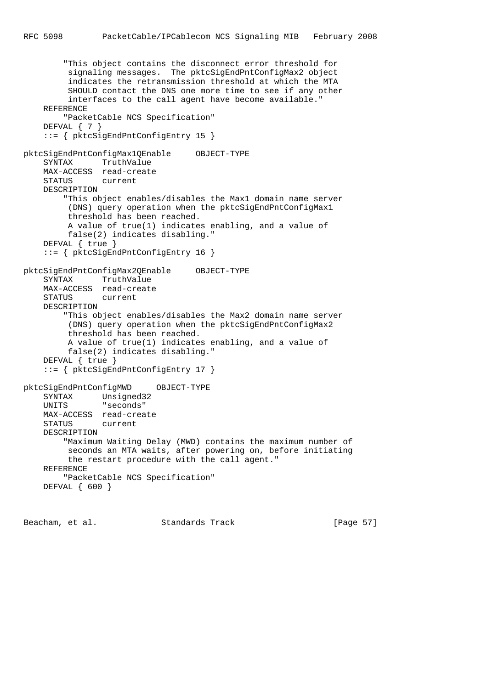```
 "This object contains the disconnect error threshold for
          signaling messages. The pktcSigEndPntConfigMax2 object
          indicates the retransmission threshold at which the MTA
         SHOULD contact the DNS one more time to see if any other
         interfaces to the call agent have become available."
     REFERENCE
         "PacketCable NCS Specification"
     DEFVAL { 7 }
     ::= { pktcSigEndPntConfigEntry 15 }
pktcSigEndPntConfigMax1QEnable OBJECT-TYPE
     SYNTAX TruthValue
     MAX-ACCESS read-create
     STATUS current
     DESCRIPTION
         "This object enables/disables the Max1 domain name server
         (DNS) query operation when the pktcSigEndPntConfigMax1
         threshold has been reached.
         A value of true(1) indicates enabling, and a value of
         false(2) indicates disabling."
     DEFVAL { true }
     ::= { pktcSigEndPntConfigEntry 16 }
pktcSigEndPntConfigMax2QEnable OBJECT-TYPE
     SYNTAX TruthValue
     MAX-ACCESS read-create
    STATUS current
     DESCRIPTION
         "This object enables/disables the Max2 domain name server
          (DNS) query operation when the pktcSigEndPntConfigMax2
         threshold has been reached.
         A value of true(1) indicates enabling, and a value of
         false(2) indicates disabling."
     DEFVAL { true }
     ::= { pktcSigEndPntConfigEntry 17 }
pktcSigEndPntConfigMWD OBJECT-TYPE
     SYNTAX Unsigned32
     UNITS "seconds"
     MAX-ACCESS read-create
     STATUS current
     DESCRIPTION
         "Maximum Waiting Delay (MWD) contains the maximum number of
         seconds an MTA waits, after powering on, before initiating
         the restart procedure with the call agent."
     REFERENCE
         "PacketCable NCS Specification"
     DEFVAL { 600 }
```
Beacham, et al. Standards Track [Page 57]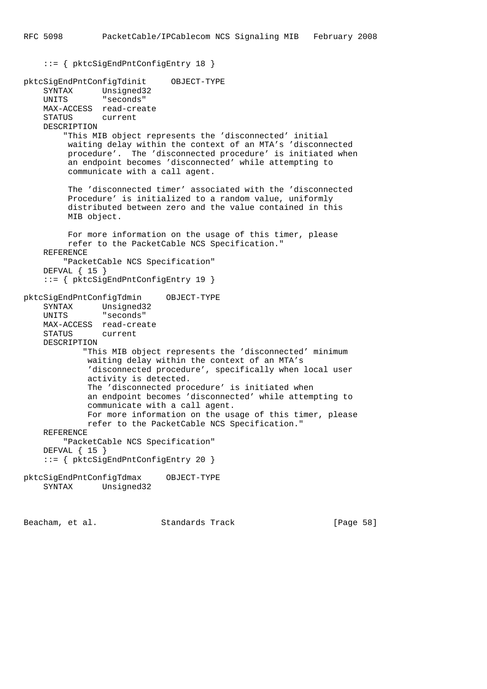::= { pktcSigEndPntConfigEntry 18 }

```
pktcSigEndPntConfigTdinit OBJECT-TYPE
    SYNTAX Unsigned32
    UNITS "seconds"
    MAX-ACCESS read-create
    STATUS current
    DESCRIPTION
         "This MIB object represents the 'disconnected' initial
         waiting delay within the context of an MTA's 'disconnected
         procedure'. The 'disconnected procedure' is initiated when
         an endpoint becomes 'disconnected' while attempting to
         communicate with a call agent.
         The 'disconnected timer' associated with the 'disconnected
         Procedure' is initialized to a random value, uniformly
         distributed between zero and the value contained in this
         MIB object.
         For more information on the usage of this timer, please
         refer to the PacketCable NCS Specification."
    REFERENCE
         "PacketCable NCS Specification"
    DEFVAL { 15 }
     ::= { pktcSigEndPntConfigEntry 19 }
pktcSigEndPntConfigTdmin OBJECT-TYPE
 SYNTAX Unsigned32
 UNITS "seconds"
    MAX-ACCESS read-create
    STATUS current
    DESCRIPTION
             "This MIB object represents the 'disconnected' minimum
             waiting delay within the context of an MTA's
             'disconnected procedure', specifically when local user
             activity is detected.
             The 'disconnected procedure' is initiated when
             an endpoint becomes 'disconnected' while attempting to
             communicate with a call agent.
             For more information on the usage of this timer, please
             refer to the PacketCable NCS Specification."
    REFERENCE
        "PacketCable NCS Specification"
    DEFVAL { 15 }
     ::= { pktcSigEndPntConfigEntry 20 }
pktcSigEndPntConfigTdmax OBJECT-TYPE
    SYNTAX Unsigned32
```
Beacham, et al. Standards Track [Page 58]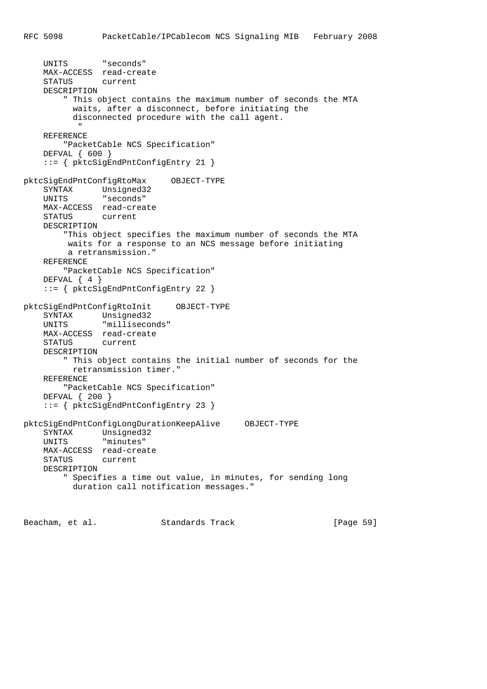```
 UNITS "seconds"
     MAX-ACCESS read-create
     STATUS current
     DESCRIPTION
          " This object contains the maximum number of seconds the MTA
            waits, after a disconnect, before initiating the
            disconnected procedure with the call agent.
" "The Contract of the Contract of the Contract of the Contract of the Contract of the Contract of the Contract of the Contract of the Contract of the Contract of the Contract of the Contract of the Contract of the Contrac
     REFERENCE
          "PacketCable NCS Specification"
     DEFVAL { 600 }
     ::= { pktcSigEndPntConfigEntry 21 }
pktcSigEndPntConfigRtoMax OBJECT-TYPE
     SYNTAX Unsigned32
     UNITS "seconds"
     MAX-ACCESS read-create
     STATUS current
     DESCRIPTION
          "This object specifies the maximum number of seconds the MTA
           waits for a response to an NCS message before initiating
           a retransmission."
     REFERENCE
          "PacketCable NCS Specification"
    DEFVAL { 4 }
     ::= { pktcSigEndPntConfigEntry 22 }
pktcSigEndPntConfigRtoInit OBJECT-TYPE
     SYNTAX Unsigned32
     UNITS "milliseconds"
     MAX-ACCESS read-create
     STATUS current
     DESCRIPTION
          " This object contains the initial number of seconds for the
           retransmission timer."
     REFERENCE
          "PacketCable NCS Specification"
     DEFVAL { 200 }
     ::= { pktcSigEndPntConfigEntry 23 }
pktcSigEndPntConfigLongDurationKeepAlive OBJECT-TYPE
     SYNTAX Unsigned32
     UNITS "minutes"
    MAX-ACCESS read-create<br>STATUS current
    STATUS
     DESCRIPTION
          " Specifies a time out value, in minutes, for sending long
            duration call notification messages."
```
Beacham, et al. Standards Track [Page 59]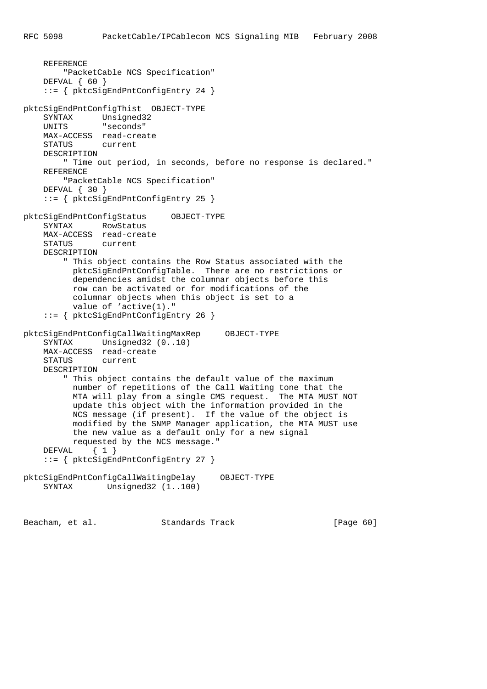```
 REFERENCE
        "PacketCable NCS Specification"
    DEFVAL { 60 }
     ::= { pktcSigEndPntConfigEntry 24 }
pktcSigEndPntConfigThist OBJECT-TYPE
    SYNTAX Unsigned32
    UNITS "seconds"
    MAX-ACCESS read-create
    STATUS current
    DESCRIPTION
         " Time out period, in seconds, before no response is declared."
    REFERENCE
         "PacketCable NCS Specification"
    DEFVAL { 30 }
     ::= { pktcSigEndPntConfigEntry 25 }
pktcSigEndPntConfigStatus OBJECT-TYPE
    SYNTAX RowStatus
    MAX-ACCESS read-create
     STATUS current
    DESCRIPTION
         " This object contains the Row Status associated with the
          pktcSigEndPntConfigTable. There are no restrictions or
          dependencies amidst the columnar objects before this
          row can be activated or for modifications of the
          columnar objects when this object is set to a
          value of 'active(1)."
     ::= { pktcSigEndPntConfigEntry 26 }
pktcSigEndPntConfigCallWaitingMaxRep OBJECT-TYPE
    SYNTAX Unsigned32 (0..10)
    MAX-ACCESS read-create
    STATUS current
    DESCRIPTION
         " This object contains the default value of the maximum
          number of repetitions of the Call Waiting tone that the
          MTA will play from a single CMS request. The MTA MUST NOT
          update this object with the information provided in the
          NCS message (if present). If the value of the object is
          modified by the SNMP Manager application, the MTA MUST use
          the new value as a default only for a new signal
          requested by the NCS message."
   DEFVAL { 1 }
     ::= { pktcSigEndPntConfigEntry 27 }
pktcSigEndPntConfigCallWaitingDelay OBJECT-TYPE
     SYNTAX Unsigned32 (1..100)
```
Beacham, et al. Standards Track [Page 60]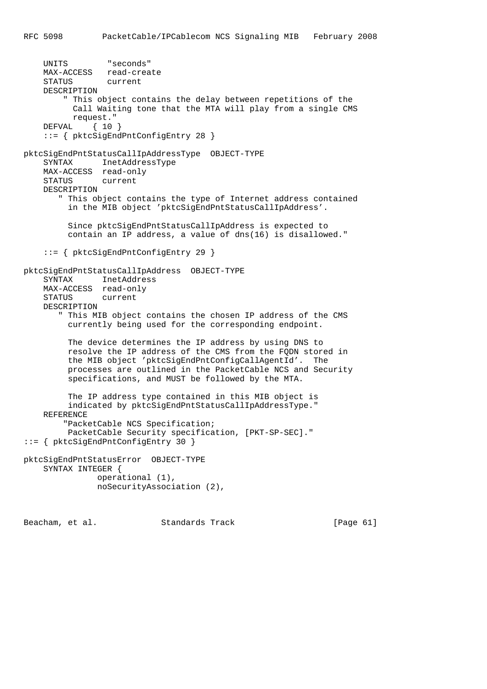```
 UNITS "seconds"
     MAX-ACCESS read-create
     STATUS current
     DESCRIPTION
         " This object contains the delay between repetitions of the
          Call Waiting tone that the MTA will play from a single CMS
          request."
     DEFVAL { 10 }
     ::= { pktcSigEndPntConfigEntry 28 }
pktcSigEndPntStatusCallIpAddressType OBJECT-TYPE
     SYNTAX InetAddressType
     MAX-ACCESS read-only
     STATUS current
     DESCRIPTION
        " This object contains the type of Internet address contained
          in the MIB object 'pktcSigEndPntStatusCallIpAddress'.
          Since pktcSigEndPntStatusCallIpAddress is expected to
          contain an IP address, a value of dns(16) is disallowed."
     ::= { pktcSigEndPntConfigEntry 29 }
pktcSigEndPntStatusCallIpAddress OBJECT-TYPE
     SYNTAX InetAddress
     MAX-ACCESS read-only
     STATUS current
     DESCRIPTION
        " This MIB object contains the chosen IP address of the CMS
         currently being used for the corresponding endpoint.
         The device determines the IP address by using DNS to
         resolve the IP address of the CMS from the FQDN stored in
         the MIB object 'pktcSigEndPntConfigCallAgentId'. The
         processes are outlined in the PacketCable NCS and Security
         specifications, and MUST be followed by the MTA.
         The IP address type contained in this MIB object is
         indicated by pktcSigEndPntStatusCallIpAddressType."
     REFERENCE
         "PacketCable NCS Specification;
         PacketCable Security specification, [PKT-SP-SEC]."
::= { pktcSigEndPntConfigEntry 30 }
pktcSigEndPntStatusError OBJECT-TYPE
     SYNTAX INTEGER {
                operational (1),
                noSecurityAssociation (2),
```
Beacham, et al. Standards Track [Page 61]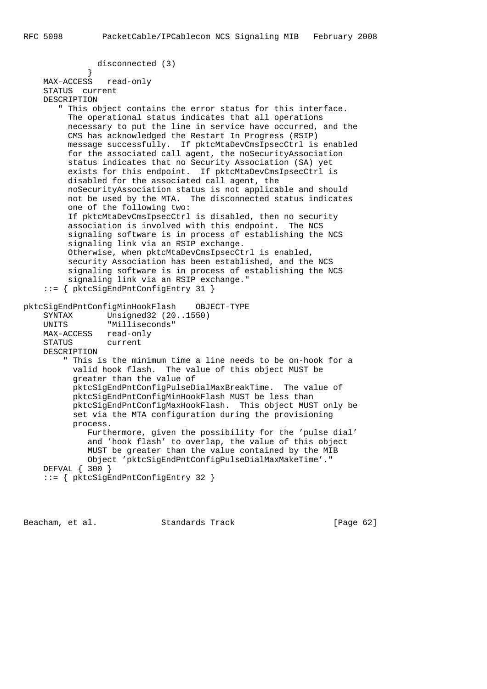```
 disconnected (3)
 }
     MAX-ACCESS read-only
     STATUS current
     DESCRIPTION
        " This object contains the error status for this interface.
         The operational status indicates that all operations
         necessary to put the line in service have occurred, and the
         CMS has acknowledged the Restart In Progress (RSIP)
         message successfully. If pktcMtaDevCmsIpsecCtrl is enabled
          for the associated call agent, the noSecurityAssociation
          status indicates that no Security Association (SA) yet
         exists for this endpoint. If pktcMtaDevCmsIpsecCtrl is
         disabled for the associated call agent, the
         noSecurityAssociation status is not applicable and should
         not be used by the MTA. The disconnected status indicates
         one of the following two:
          If pktcMtaDevCmsIpsecCtrl is disabled, then no security
         association is involved with this endpoint. The NCS
          signaling software is in process of establishing the NCS
          signaling link via an RSIP exchange.
          Otherwise, when pktcMtaDevCmsIpsecCtrl is enabled,
          security Association has been established, and the NCS
          signaling software is in process of establishing the NCS
          signaling link via an RSIP exchange."
     ::= { pktcSigEndPntConfigEntry 31 }
pktcSigEndPntConfigMinHookFlash OBJECT-TYPE
 SYNTAX Unsigned32 (20..1550)
 UNITS "Milliseconds"
     MAX-ACCESS read-only
     STATUS current
     DESCRIPTION
         " This is the minimum time a line needs to be on-hook for a
          valid hook flash. The value of this object MUST be
          greater than the value of
          pktcSigEndPntConfigPulseDialMaxBreakTime. The value of
          pktcSigEndPntConfigMinHookFlash MUST be less than
          pktcSigEndPntConfigMaxHookFlash. This object MUST only be
          set via the MTA configuration during the provisioning
          process.
             Furthermore, given the possibility for the 'pulse dial'
              and 'hook flash' to overlap, the value of this object
              MUST be greater than the value contained by the MIB
              Object 'pktcSigEndPntConfigPulseDialMaxMakeTime'."
     DEFVAL { 300 }
     ::= { pktcSigEndPntConfigEntry 32 }
```
Beacham, et al. Standards Track [Page 62]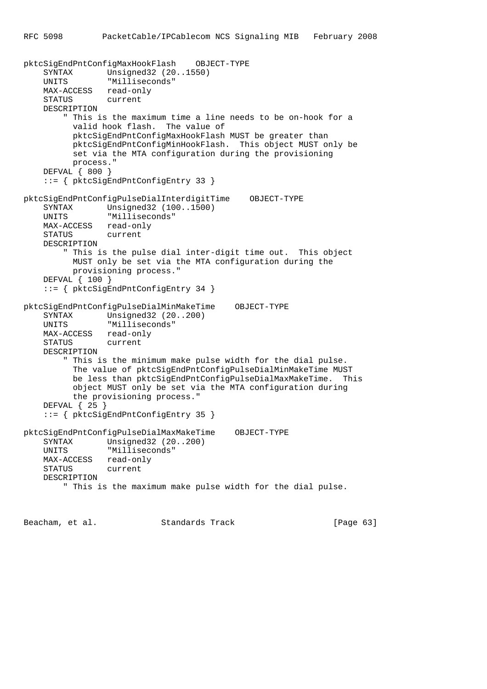```
pktcSigEndPntConfigMaxHookFlash OBJECT-TYPE
     SYNTAX Unsigned32 (20..1550)
    UNITS "Milliseconds"
    MAX-ACCESS read-only
    STATUS current
    DESCRIPTION
         " This is the maximum time a line needs to be on-hook for a
          valid hook flash. The value of
          pktcSigEndPntConfigMaxHookFlash MUST be greater than
          pktcSigEndPntConfigMinHookFlash. This object MUST only be
          set via the MTA configuration during the provisioning
          process."
    DEFVAL { 800 }
     ::= { pktcSigEndPntConfigEntry 33 }
pktcSigEndPntConfigPulseDialInterdigitTime OBJECT-TYPE
    SYNTAX Unsigned32 (100..1500)
    UNITS "Milliseconds"
   MAX-ACCESS read-only<br>STATUS current
   STATUS
    DESCRIPTION
         " This is the pulse dial inter-digit time out. This object
          MUST only be set via the MTA configuration during the
          provisioning process."
    DEFVAL { 100 }
     ::= { pktcSigEndPntConfigEntry 34 }
pktcSigEndPntConfigPulseDialMinMakeTime OBJECT-TYPE
    SYNTAX Unsigned32 (20..200)
    UNITS "Milliseconds"
    MAX-ACCESS read-only
    STATUS current
    DESCRIPTION
         " This is the minimum make pulse width for the dial pulse.
          The value of pktcSigEndPntConfigPulseDialMinMakeTime MUST
          be less than pktcSigEndPntConfigPulseDialMaxMakeTime. This
           object MUST only be set via the MTA configuration during
           the provisioning process."
    DEFVAL { 25 }
     ::= { pktcSigEndPntConfigEntry 35 }
pktcSigEndPntConfigPulseDialMaxMakeTime OBJECT-TYPE
    SYNTAX Unsigned32 (20..200)
    UNITS "Milliseconds"
    MAX-ACCESS read-only
     STATUS current
    DESCRIPTION
         " This is the maximum make pulse width for the dial pulse.
```
Beacham, et al. Standards Track [Page 63]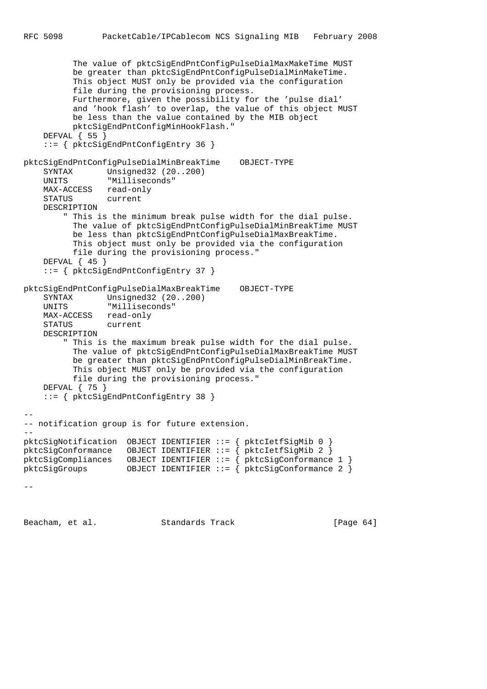```
 The value of pktcSigEndPntConfigPulseDialMaxMakeTime MUST
          be greater than pktcSigEndPntConfigPulseDialMinMakeTime.
          This object MUST only be provided via the configuration
           file during the provisioning process.
          Furthermore, given the possibility for the 'pulse dial'
          and 'hook flash' to overlap, the value of this object MUST
          be less than the value contained by the MIB object
          pktcSigEndPntConfigMinHookFlash."
    DEFVAL { 55 }
     ::= { pktcSigEndPntConfigEntry 36 }
pktcSigEndPntConfigPulseDialMinBreakTime OBJECT-TYPE
    SYNTAX Unsigned32 (20..200)
    UNITS "Milliseconds"
    MAX-ACCESS read-only
    STATUS current
    DESCRIPTION
         " This is the minimum break pulse width for the dial pulse.
          The value of pktcSigEndPntConfigPulseDialMinBreakTime MUST
          be less than pktcSigEndPntConfigPulseDialMaxBreakTime.
           This object must only be provided via the configuration
           file during the provisioning process."
    DEFVAL { 45 }
     ::= { pktcSigEndPntConfigEntry 37 }
pktcSigEndPntConfigPulseDialMaxBreakTime OBJECT-TYPE
   SYNTAX Unsigned32 (20..200)
    UNITS "Milliseconds"
    MAX-ACCESS read-only
   STATUS current
    DESCRIPTION
         " This is the maximum break pulse width for the dial pulse.
          The value of pktcSigEndPntConfigPulseDialMaxBreakTime MUST
          be greater than pktcSigEndPntConfigPulseDialMinBreakTime.
          This object MUST only be provided via the configuration
          file during the provisioning process."
    DEFVAL { 75 }
     ::= { pktcSigEndPntConfigEntry 38 }
--
-- notification group is for future extension.
--
pktcSigNotification OBJECT IDENTIFIER ::= { pktcIetfSigMib 0 }
ptcsigConformance OBJECT IDENTIFIER ::= { ptccIetSigmib 2 }
pktcSigCompliances OBJECT IDENTIFIER ::= { pktcSigConformance 1
pktcSigGroups OBJECT IDENTIFIER ::= { pktcSigConformance 2 }
--
```
Beacham, et al. Standards Track [Page 64]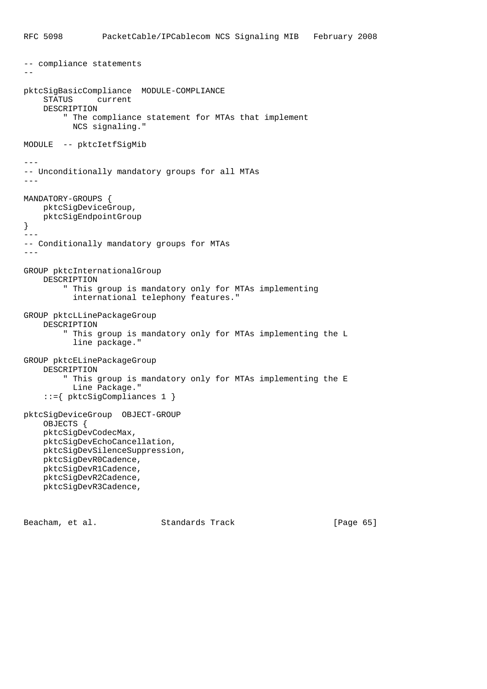```
-- compliance statements
--
pktcSigBasicCompliance MODULE-COMPLIANCE
     STATUS current
     DESCRIPTION
         " The compliance statement for MTAs that implement
         NCS signaling."
MODULE -- pktcIetfSigMib
---
-- Unconditionally mandatory groups for all MTAs
---MANDATORY-GROUPS {
    pktcSigDeviceGroup,
    pktcSigEndpointGroup
}
---- Conditionally mandatory groups for MTAs
---
GROUP pktcInternationalGroup
     DESCRIPTION
         " This group is mandatory only for MTAs implementing
           international telephony features."
GROUP pktcLLinePackageGroup
     DESCRIPTION
         " This group is mandatory only for MTAs implementing the L
          line package."
GROUP pktcELinePackageGroup
     DESCRIPTION
         " This group is mandatory only for MTAs implementing the E
          Line Package."
     ::={ pktcSigCompliances 1 }
pktcSigDeviceGroup OBJECT-GROUP
     OBJECTS {
     pktcSigDevCodecMax,
     pktcSigDevEchoCancellation,
     pktcSigDevSilenceSuppression,
     pktcSigDevR0Cadence,
     pktcSigDevR1Cadence,
     pktcSigDevR2Cadence,
     pktcSigDevR3Cadence,
```
Beacham, et al. Standards Track [Page 65]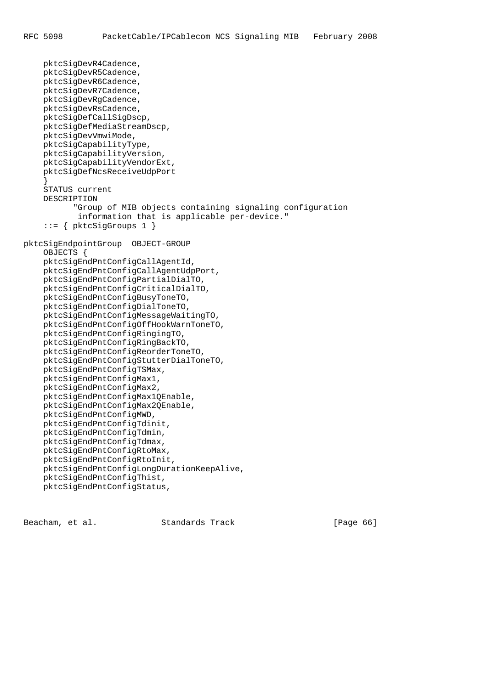pktcSigDevR4Cadence, pktcSigDevR5Cadence, pktcSigDevR6Cadence, pktcSigDevR7Cadence, pktcSigDevRgCadence, pktcSigDevRsCadence, pktcSigDefCallSigDscp, pktcSigDefMediaStreamDscp, pktcSigDevVmwiMode, pktcSigCapabilityType, pktcSigCapabilityVersion, pktcSigCapabilityVendorExt, pktcSigDefNcsReceiveUdpPort } STATUS current DESCRIPTION "Group of MIB objects containing signaling configuration information that is applicable per-device."  $::=$  { pktcSigGroups 1 } pktcSigEndpointGroup OBJECT-GROUP OBJECTS { pktcSigEndPntConfigCallAgentId, pktcSigEndPntConfigCallAgentUdpPort, pktcSigEndPntConfigPartialDialTO, pktcSigEndPntConfigCriticalDialTO, pktcSigEndPntConfigBusyToneTO, pktcSigEndPntConfigDialToneTO, pktcSigEndPntConfigMessageWaitingTO, pktcSigEndPntConfigOffHookWarnToneTO, pktcSigEndPntConfigRingingTO, pktcSigEndPntConfigRingBackTO, pktcSigEndPntConfigReorderToneTO, pktcSigEndPntConfigStutterDialToneTO, pktcSigEndPntConfigTSMax, pktcSigEndPntConfigMax1, pktcSigEndPntConfigMax2, pktcSigEndPntConfigMax1QEnable, pktcSigEndPntConfigMax2QEnable, pktcSigEndPntConfigMWD, pktcSigEndPntConfigTdinit, pktcSigEndPntConfigTdmin, pktcSigEndPntConfigTdmax, pktcSigEndPntConfigRtoMax, pktcSigEndPntConfigRtoInit, pktcSigEndPntConfigLongDurationKeepAlive, pktcSigEndPntConfigThist, pktcSigEndPntConfigStatus,

Beacham, et al. Standards Track [Page 66]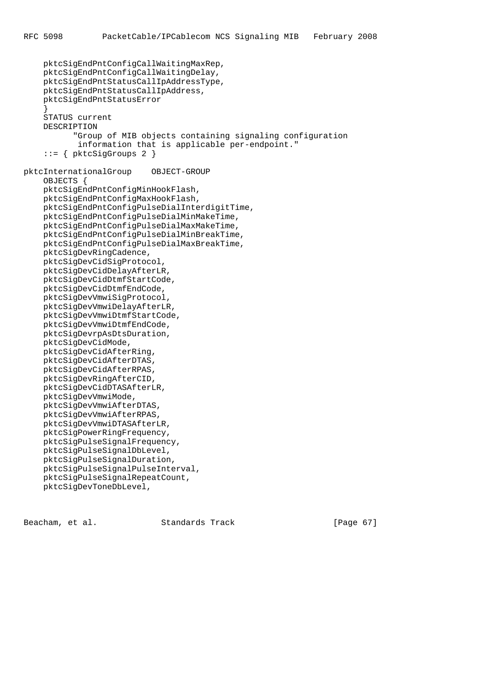```
 pktcSigEndPntConfigCallWaitingMaxRep,
     pktcSigEndPntConfigCallWaitingDelay,
     pktcSigEndPntStatusCallIpAddressType,
     pktcSigEndPntStatusCallIpAddress,
     pktcSigEndPntStatusError
 }
     STATUS current
     DESCRIPTION
           "Group of MIB objects containing signaling configuration
            information that is applicable per-endpoint."
     ::= { pktcSigGroups 2 }
pktcInternationalGroup OBJECT-GROUP
     OBJECTS {
     pktcSigEndPntConfigMinHookFlash,
     pktcSigEndPntConfigMaxHookFlash,
     pktcSigEndPntConfigPulseDialInterdigitTime,
     pktcSigEndPntConfigPulseDialMinMakeTime,
     pktcSigEndPntConfigPulseDialMaxMakeTime,
     pktcSigEndPntConfigPulseDialMinBreakTime,
     pktcSigEndPntConfigPulseDialMaxBreakTime,
     pktcSigDevRingCadence,
     pktcSigDevCidSigProtocol,
     pktcSigDevCidDelayAfterLR,
     pktcSigDevCidDtmfStartCode,
     pktcSigDevCidDtmfEndCode,
     pktcSigDevVmwiSigProtocol,
     pktcSigDevVmwiDelayAfterLR,
     pktcSigDevVmwiDtmfStartCode,
     pktcSigDevVmwiDtmfEndCode,
     pktcSigDevrpAsDtsDuration,
     pktcSigDevCidMode,
     pktcSigDevCidAfterRing,
     pktcSigDevCidAfterDTAS,
     pktcSigDevCidAfterRPAS,
     pktcSigDevRingAfterCID,
     pktcSigDevCidDTASAfterLR,
     pktcSigDevVmwiMode,
     pktcSigDevVmwiAfterDTAS,
     pktcSigDevVmwiAfterRPAS,
     pktcSigDevVmwiDTASAfterLR,
     pktcSigPowerRingFrequency,
     pktcSigPulseSignalFrequency,
     pktcSigPulseSignalDbLevel,
     pktcSigPulseSignalDuration,
     pktcSigPulseSignalPulseInterval,
     pktcSigPulseSignalRepeatCount,
     pktcSigDevToneDbLevel,
```
Beacham, et al. Standards Track [Page 67]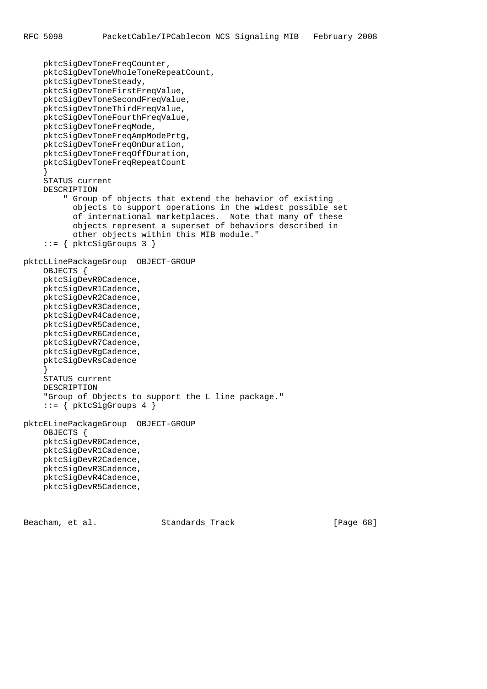```
 pktcSigDevToneFreqCounter,
     pktcSigDevToneWholeToneRepeatCount,
     pktcSigDevToneSteady,
     pktcSigDevToneFirstFreqValue,
     pktcSigDevToneSecondFreqValue,
     pktcSigDevToneThirdFreqValue,
     pktcSigDevToneFourthFreqValue,
     pktcSigDevToneFreqMode,
     pktcSigDevToneFreqAmpModePrtg,
     pktcSigDevToneFreqOnDuration,
     pktcSigDevToneFreqOffDuration,
     pktcSigDevToneFreqRepeatCount
     }
     STATUS current
     DESCRIPTION
         " Group of objects that extend the behavior of existing
           objects to support operations in the widest possible set
           of international marketplaces. Note that many of these
           objects represent a superset of behaviors described in
           other objects within this MIB module."
     ::= { pktcSigGroups 3 }
pktcLLinePackageGroup OBJECT-GROUP
     OBJECTS {
     pktcSigDevR0Cadence,
     pktcSigDevR1Cadence,
     pktcSigDevR2Cadence,
     pktcSigDevR3Cadence,
     pktcSigDevR4Cadence,
     pktcSigDevR5Cadence,
     pktcSigDevR6Cadence,
     pktcSigDevR7Cadence,
     pktcSigDevRgCadence,
     pktcSigDevRsCadence
 }
     STATUS current
     DESCRIPTION
     "Group of Objects to support the L line package."
     ::= { pktcSigGroups 4 }
pktcELinePackageGroup OBJECT-GROUP
     OBJECTS {
     pktcSigDevR0Cadence,
     pktcSigDevR1Cadence,
     pktcSigDevR2Cadence,
     pktcSigDevR3Cadence,
     pktcSigDevR4Cadence,
     pktcSigDevR5Cadence,
```
Beacham, et al. Standards Track [Page 68]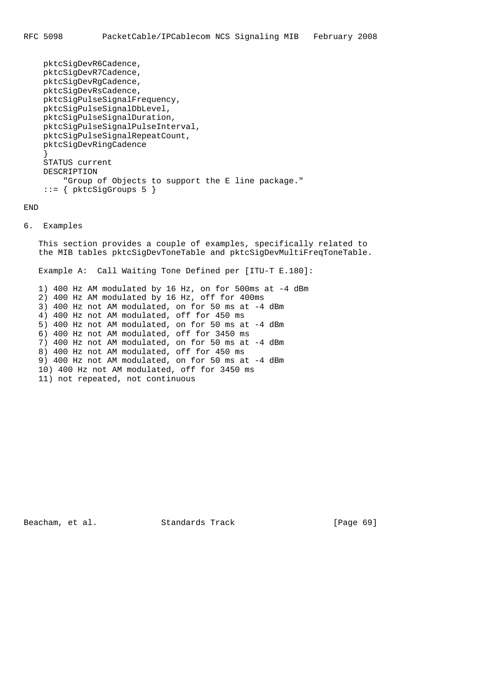```
 pktcSigDevR6Cadence,
    pktcSigDevR7Cadence,
    pktcSigDevRgCadence,
    pktcSigDevRsCadence,
    pktcSigPulseSignalFrequency,
    pktcSigPulseSignalDbLevel,
    pktcSigPulseSignalDuration,
    pktcSigPulseSignalPulseInterval,
    pktcSigPulseSignalRepeatCount,
    pktcSigDevRingCadence
 }
    STATUS current
    DESCRIPTION
         "Group of Objects to support the E line package."
    ::= { pktcSigGroups 5 }
```
END

6. Examples

 This section provides a couple of examples, specifically related to the MIB tables pktcSigDevToneTable and pktcSigDevMultiFreqToneTable.

Example A: Call Waiting Tone Defined per [ITU-T E.180]:

 1) 400 Hz AM modulated by 16 Hz, on for 500ms at -4 dBm 2) 400 Hz AM modulated by 16 Hz, off for 400ms 3) 400 Hz not AM modulated, on for 50 ms at -4 dBm 4) 400 Hz not AM modulated, off for 450 ms 5) 400 Hz not AM modulated, on for 50 ms at -4 dBm 6) 400 Hz not AM modulated, off for 3450 ms 7) 400 Hz not AM modulated, on for 50 ms at -4 dBm 8) 400 Hz not AM modulated, off for 450 ms 9) 400 Hz not AM modulated, on for 50 ms at -4 dBm 10) 400 Hz not AM modulated, off for 3450 ms 11) not repeated, not continuous

Beacham, et al. Standards Track [Page 69]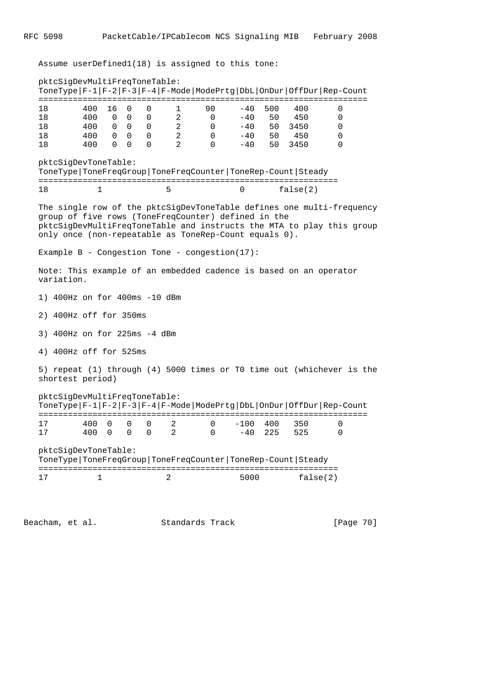Assume userDefined1(18) is assigned to this tone:

|                                                                                                                          |                                                                                                                                                                                                                                            |              |             |          |                |          |          |     |          | ToneType   F-1   F-2   F-3   F-4   F-Mode   ModePrtg   DbL   OnDur   OffDur   Rep-Count |
|--------------------------------------------------------------------------------------------------------------------------|--------------------------------------------------------------------------------------------------------------------------------------------------------------------------------------------------------------------------------------------|--------------|-------------|----------|----------------|----------|----------|-----|----------|-----------------------------------------------------------------------------------------|
| 18                                                                                                                       | 400                                                                                                                                                                                                                                        | 16           | 0           | 0        | 1              | 90       | $-40$    | 500 | 400      | 0                                                                                       |
| 18                                                                                                                       | 400                                                                                                                                                                                                                                        | $\mathbf{0}$ | 0           | 0        | $\overline{2}$ | 0        | $-40$    | 50  | 450      | 0                                                                                       |
| 18                                                                                                                       | 400                                                                                                                                                                                                                                        | 0            | $\mathbf 0$ | 0        | 2              | $\Omega$ | $-40$    |     | 50 3450  | 0                                                                                       |
| 18                                                                                                                       | 400                                                                                                                                                                                                                                        | $\Omega$     | $\Omega$    | $\Omega$ | $\overline{a}$ | $\Omega$ | $-40$    | 50  | 450      | 0                                                                                       |
| 18                                                                                                                       | 400                                                                                                                                                                                                                                        | $\Omega$     | $\Omega$    | $\Omega$ | 2              | $\Omega$ | $-40$    | 50  | 3450     | $\Omega$                                                                                |
| pktcSigDevToneTable:<br>ToneType   ToneFreqGroup   ToneFreqCounter   ToneRep-Count   Steady                              |                                                                                                                                                                                                                                            |              |             |          |                |          |          |     |          |                                                                                         |
| 18                                                                                                                       | 1                                                                                                                                                                                                                                          |              |             |          | 5              |          | $\Omega$ |     | false(2) |                                                                                         |
|                                                                                                                          | group of five rows (ToneFreqCounter) defined in the<br>pktcSigDevMultiFreqToneTable and instructs the MTA to play this group<br>only once (non-repeatable as ToneRep-Count equals 0).<br>Example B - Congestion Tone - congestion( $17$ ): |              |             |          |                |          |          |     |          |                                                                                         |
|                                                                                                                          |                                                                                                                                                                                                                                            |              |             |          |                |          |          |     |          |                                                                                         |
| Note: This example of an embedded cadence is based on an operator<br>variation.                                          |                                                                                                                                                                                                                                            |              |             |          |                |          |          |     |          |                                                                                         |
| 1) 400Hz on for 400ms -10 dBm                                                                                            |                                                                                                                                                                                                                                            |              |             |          |                |          |          |     |          |                                                                                         |
| 2) 400Hz off for 350ms                                                                                                   |                                                                                                                                                                                                                                            |              |             |          |                |          |          |     |          |                                                                                         |
| 3) 400Hz on for 225ms -4 dBm                                                                                             |                                                                                                                                                                                                                                            |              |             |          |                |          |          |     |          |                                                                                         |
| 4) 400Hz off for 525ms                                                                                                   |                                                                                                                                                                                                                                            |              |             |          |                |          |          |     |          |                                                                                         |
| 5) repeat (1) through (4) 5000 times or T0 time out (whichever is the<br>shortest period)                                |                                                                                                                                                                                                                                            |              |             |          |                |          |          |     |          |                                                                                         |
| pktcSigDevMultiFreqToneTable:<br>ToneType   F-1   F-2   F-3   F-4   F-Mode   ModePrtg   DbL   OnDur   OffDur   Rep-Count |                                                                                                                                                                                                                                            |              |             |          |                |          |          |     |          |                                                                                         |
| 17                                                                                                                       | 400                                                                                                                                                                                                                                        | 0            | 0           | 0        | 2              | 0        | $-100$   | 400 | 350      | 0                                                                                       |
| 17                                                                                                                       | 400                                                                                                                                                                                                                                        | $\Omega$     | $\Omega$    | $\Omega$ | 2              | $\Omega$ | $-40$    | 225 | 525      | $\Omega$                                                                                |
| pktcSigDevToneTable:<br>ToneType   ToneFreqGroup   ToneFreqCounter   ToneRep-Count   Steady                              |                                                                                                                                                                                                                                            |              |             |          |                |          |          |     |          |                                                                                         |
|                                                                                                                          |                                                                                                                                                                                                                                            |              |             |          |                |          |          |     |          |                                                                                         |

Beacham, et al. Standards Track [Page 70]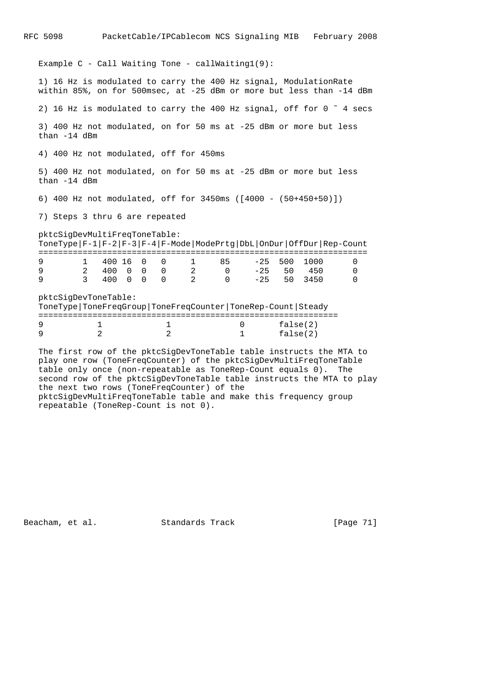| RFC 5098                                                                                                                                             | PacketCable/IPCablecom NCS Signaling MIB February 2008                              |                      |                  |          |               |     |             |                         |  |  |
|------------------------------------------------------------------------------------------------------------------------------------------------------|-------------------------------------------------------------------------------------|----------------------|------------------|----------|---------------|-----|-------------|-------------------------|--|--|
| Example C - Call Waiting Tone - callWaiting1(9):                                                                                                     |                                                                                     |                      |                  |          |               |     |             |                         |  |  |
| 1) 16 Hz is modulated to carry the 400 Hz signal, ModulationRate<br>within 85%, on for 500msec, at -25 dBm or more but less than -14 dBm             |                                                                                     |                      |                  |          |               |     |             |                         |  |  |
| 2) 16 Hz is modulated to carry the 400 Hz signal, off for 0 ~ 4 secs                                                                                 |                                                                                     |                      |                  |          |               |     |             |                         |  |  |
| 3) 400 Hz not modulated, on for 50 ms at -25 dBm or more but less<br>than $-14$ dBm                                                                  |                                                                                     |                      |                  |          |               |     |             |                         |  |  |
| 4) 400 Hz not modulated, off for 450ms                                                                                                               |                                                                                     |                      |                  |          |               |     |             |                         |  |  |
|                                                                                                                                                      | 5) 400 Hz not modulated, on for 50 ms at -25 dBm or more but less<br>than $-14$ dBm |                      |                  |          |               |     |             |                         |  |  |
|                                                                                                                                                      | 6) 400 Hz not modulated, off for 3450ms ([4000 - (50+450+50)])                      |                      |                  |          |               |     |             |                         |  |  |
| 7) Steps 3 thru 6 are repeated                                                                                                                       |                                                                                     |                      |                  |          |               |     |             |                         |  |  |
| pktcSigDevMultiFreqToneTable:<br>ToneType $\lceil F-1 \rceil F-2 \rceil F-3 \rceil F-4 \rceil F$ -Mode   ModePrtg   DbL   OnDur   OffDur   Rep-Count |                                                                                     |                      |                  |          |               |     |             |                         |  |  |
| 9<br>9                                                                                                                                               | 1 400 16<br>2 400 0 0 0 2 0 -25 50                                                  | $\Omega$<br>$\Omega$ | $1 \quad \cdots$ |          | $85 -25$      | 500 | 1000<br>450 | $\Omega$<br>$\mathbf 0$ |  |  |
| 9                                                                                                                                                    | $\mathcal{R}$<br>400 0 0                                                            |                      | $0\qquad 2$      | $\Omega$ | $-25$ 50 3450 |     |             | $\Omega$                |  |  |
| pktcSiqDevToneTable:<br>ToneType   ToneFreqGroup   ToneFreqCounter   ToneRep-Count   Steady                                                          |                                                                                     |                      |                  |          |               |     |             |                         |  |  |
| 9<br>9                                                                                                                                               | 1<br>ı<br>$\overline{a}$<br>$\overline{2}$                                          |                      |                  |          | 0<br>1        |     |             | false(2)<br>false(2)    |  |  |

 The first row of the pktcSigDevToneTable table instructs the MTA to play one row (ToneFreqCounter) of the pktcSigDevMultiFreqToneTable table only once (non-repeatable as ToneRep-Count equals 0). The second row of the pktcSigDevToneTable table instructs the MTA to play the next two rows (ToneFreqCounter) of the pktcSigDevMultiFreqToneTable table and make this frequency group repeatable (ToneRep-Count is not 0).

Beacham, et al. Standards Track [Page 71]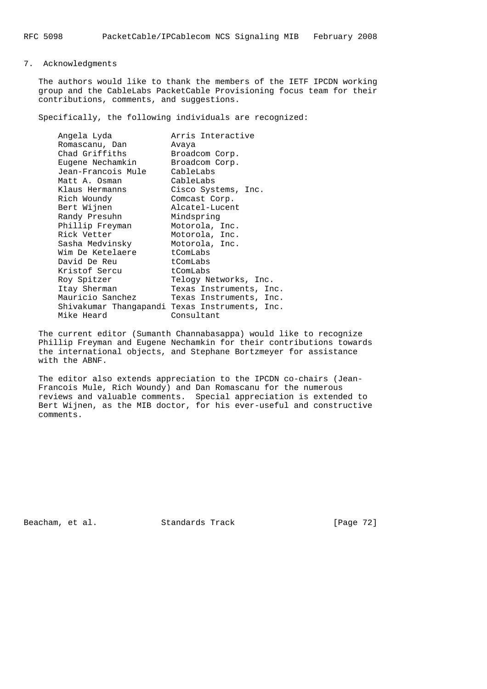## 7. Acknowledgments

 The authors would like to thank the members of the IETF IPCDN working group and the CableLabs PacketCable Provisioning focus team for their contributions, comments, and suggestions.

Specifically, the following individuals are recognized:

| Angela Lyda        | Arris Interactive                              |
|--------------------|------------------------------------------------|
| Romascanu, Dan     | Avaya                                          |
| Chad Griffiths     | Broadcom Corp.                                 |
| Eugene Nechamkin   | Broadcom Corp.                                 |
| Jean-Francois Mule | CableLabs                                      |
| Matt A. Osman      | CableLabs                                      |
| Klaus Hermanns     | Cisco Systems, Inc.                            |
| Rich Woundy        | Comcast Corp.                                  |
| Bert Wijnen        | Alcatel-Lucent                                 |
| Randy Presuhn      | Mindspring                                     |
| Phillip Freyman    | Motorola, Inc.                                 |
| Rick Vetter        | Motorola, Inc.                                 |
| Sasha Medvinsky    | Motorola, Inc.                                 |
| Wim De Ketelaere   | tComLabs                                       |
| David De Reu       | tComLabs                                       |
| Kristof Sercu      | tComLabs                                       |
| Roy Spitzer        | Telogy Networks, Inc.                          |
| Itay Sherman       | Texas Instruments, Inc.                        |
| Mauricio Sanchez   | Texas Instruments, Inc.                        |
|                    | Shivakumar Thangapandi Texas Instruments, Inc. |
| Mike Heard         | Consultant                                     |
|                    |                                                |

 The current editor (Sumanth Channabasappa) would like to recognize Phillip Freyman and Eugene Nechamkin for their contributions towards the international objects, and Stephane Bortzmeyer for assistance with the ABNF.

 The editor also extends appreciation to the IPCDN co-chairs (Jean- Francois Mule, Rich Woundy) and Dan Romascanu for the numerous reviews and valuable comments. Special appreciation is extended to Bert Wijnen, as the MIB doctor, for his ever-useful and constructive comments.

Beacham, et al. Standards Track [Page 72]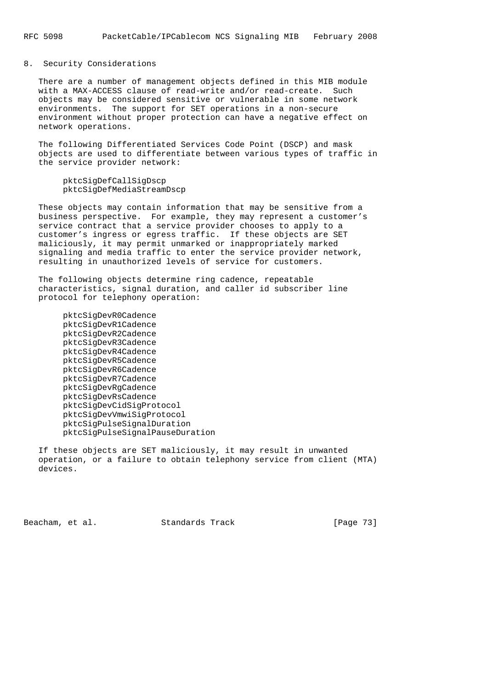## 8. Security Considerations

 There are a number of management objects defined in this MIB module with a MAX-ACCESS clause of read-write and/or read-create. Such objects may be considered sensitive or vulnerable in some network environments. The support for SET operations in a non-secure environment without proper protection can have a negative effect on network operations.

 The following Differentiated Services Code Point (DSCP) and mask objects are used to differentiate between various types of traffic in the service provider network:

 pktcSigDefCallSigDscp pktcSigDefMediaStreamDscp

 These objects may contain information that may be sensitive from a business perspective. For example, they may represent a customer's service contract that a service provider chooses to apply to a customer's ingress or egress traffic. If these objects are SET maliciously, it may permit unmarked or inappropriately marked signaling and media traffic to enter the service provider network, resulting in unauthorized levels of service for customers.

 The following objects determine ring cadence, repeatable characteristics, signal duration, and caller id subscriber line protocol for telephony operation:

 pktcSigDevR0Cadence pktcSigDevR1Cadence pktcSigDevR2Cadence pktcSigDevR3Cadence pktcSigDevR4Cadence pktcSigDevR5Cadence pktcSigDevR6Cadence pktcSigDevR7Cadence pktcSigDevRgCadence pktcSigDevRsCadence pktcSigDevCidSigProtocol pktcSigDevVmwiSigProtocol pktcSigPulseSignalDuration pktcSigPulseSignalPauseDuration

 If these objects are SET maliciously, it may result in unwanted operation, or a failure to obtain telephony service from client (MTA) devices.

Beacham, et al. Standards Track [Page 73]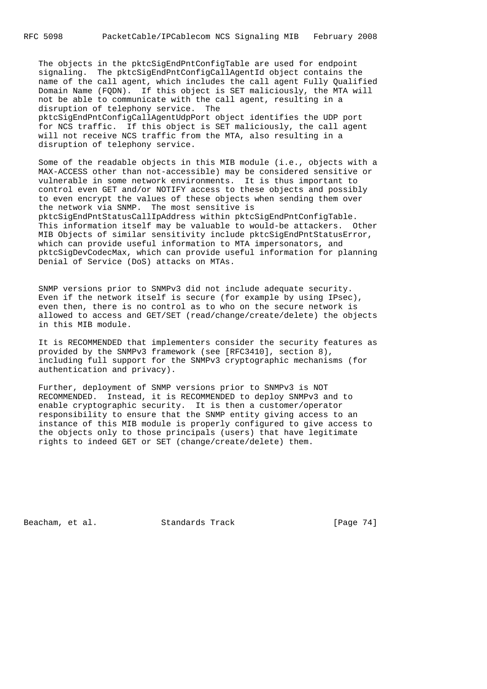The objects in the pktcSigEndPntConfigTable are used for endpoint signaling. The pktcSigEndPntConfigCallAgentId object contains the name of the call agent, which includes the call agent Fully Qualified Domain Name (FQDN). If this object is SET maliciously, the MTA will not be able to communicate with the call agent, resulting in a disruption of telephony service. The pktcSigEndPntConfigCallAgentUdpPort object identifies the UDP port for NCS traffic. If this object is SET maliciously, the call agent will not receive NCS traffic from the MTA, also resulting in a disruption of telephony service.

 Some of the readable objects in this MIB module (i.e., objects with a MAX-ACCESS other than not-accessible) may be considered sensitive or vulnerable in some network environments. It is thus important to control even GET and/or NOTIFY access to these objects and possibly to even encrypt the values of these objects when sending them over the network via SNMP. The most sensitive is pktcSigEndPntStatusCallIpAddress within pktcSigEndPntConfigTable. This information itself may be valuable to would-be attackers. Other MIB Objects of similar sensitivity include pktcSigEndPntStatusError, which can provide useful information to MTA impersonators, and pktcSigDevCodecMax, which can provide useful information for planning Denial of Service (DoS) attacks on MTAs.

 SNMP versions prior to SNMPv3 did not include adequate security. Even if the network itself is secure (for example by using IPsec), even then, there is no control as to who on the secure network is allowed to access and GET/SET (read/change/create/delete) the objects in this MIB module.

 It is RECOMMENDED that implementers consider the security features as provided by the SNMPv3 framework (see [RFC3410], section 8), including full support for the SNMPv3 cryptographic mechanisms (for authentication and privacy).

 Further, deployment of SNMP versions prior to SNMPv3 is NOT RECOMMENDED. Instead, it is RECOMMENDED to deploy SNMPv3 and to enable cryptographic security. It is then a customer/operator responsibility to ensure that the SNMP entity giving access to an instance of this MIB module is properly configured to give access to the objects only to those principals (users) that have legitimate rights to indeed GET or SET (change/create/delete) them.

Beacham, et al. Standards Track [Page 74]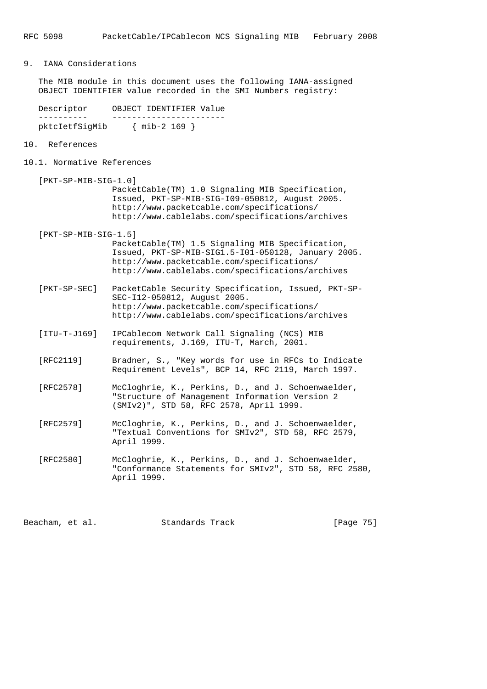## 9. IANA Considerations

 The MIB module in this document uses the following IANA-assigned OBJECT IDENTIFIER value recorded in the SMI Numbers registry:

 Descriptor OBJECT IDENTIFIER Value ---------- ---------------------- pktcIetfSigMib { mib-2 169 }

## 10. References

10.1. Normative References

 [PKT-SP-MIB-SIG-1.0] PacketCable(TM) 1.0 Signaling MIB Specification, Issued, PKT-SP-MIB-SIG-I09-050812, August 2005. http://www.packetcable.com/specifications/ http://www.cablelabs.com/specifications/archives

[PKT-SP-MIB-SIG-1.5]

- PacketCable(TM) 1.5 Signaling MIB Specification, Issued, PKT-SP-MIB-SIG1.5-I01-050128, January 2005. http://www.packetcable.com/specifications/ http://www.cablelabs.com/specifications/archives
- [PKT-SP-SEC] PacketCable Security Specification, Issued, PKT-SP- SEC-I12-050812, August 2005. http://www.packetcable.com/specifications/ http://www.cablelabs.com/specifications/archives
- [ITU-T-J169] IPCablecom Network Call Signaling (NCS) MIB requirements, J.169, ITU-T, March, 2001.
- [RFC2119] Bradner, S., "Key words for use in RFCs to Indicate Requirement Levels", BCP 14, RFC 2119, March 1997.
- [RFC2578] McCloghrie, K., Perkins, D., and J. Schoenwaelder, "Structure of Management Information Version 2 (SMIv2)", STD 58, RFC 2578, April 1999.
- [RFC2579] McCloghrie, K., Perkins, D., and J. Schoenwaelder, "Textual Conventions for SMIv2", STD 58, RFC 2579, April 1999.
- [RFC2580] McCloghrie, K., Perkins, D., and J. Schoenwaelder, "Conformance Statements for SMIv2", STD 58, RFC 2580, April 1999.

Beacham, et al. Standards Track [Page 75]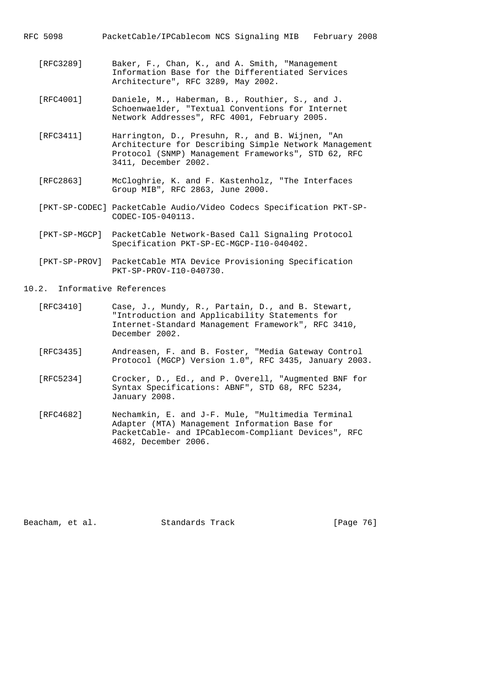RFC 5098 PacketCable/IPCablecom NCS Signaling MIB February 2008

- [RFC3289] Baker, F., Chan, K., and A. Smith, "Management Information Base for the Differentiated Services Architecture", RFC 3289, May 2002.
- [RFC4001] Daniele, M., Haberman, B., Routhier, S., and J. Schoenwaelder, "Textual Conventions for Internet Network Addresses", RFC 4001, February 2005.
- [RFC3411] Harrington, D., Presuhn, R., and B. Wijnen, "An Architecture for Describing Simple Network Management Protocol (SNMP) Management Frameworks", STD 62, RFC 3411, December 2002.
- [RFC2863] McCloghrie, K. and F. Kastenholz, "The Interfaces Group MIB", RFC 2863, June 2000.
- [PKT-SP-CODEC] PacketCable Audio/Video Codecs Specification PKT-SP- CODEC-IO5-040113.
- [PKT-SP-MGCP] PacketCable Network-Based Call Signaling Protocol Specification PKT-SP-EC-MGCP-I10-040402.
- [PKT-SP-PROV] PacketCable MTA Device Provisioning Specification PKT-SP-PROV-I10-040730.
- 10.2. Informative References
	- [RFC3410] Case, J., Mundy, R., Partain, D., and B. Stewart, "Introduction and Applicability Statements for Internet-Standard Management Framework", RFC 3410, December 2002.
- [RFC3435] Andreasen, F. and B. Foster, "Media Gateway Control Protocol (MGCP) Version 1.0", RFC 3435, January 2003.
	- [RFC5234] Crocker, D., Ed., and P. Overell, "Augmented BNF for Syntax Specifications: ABNF", STD 68, RFC 5234, January 2008.
	- [RFC4682] Nechamkin, E. and J-F. Mule, "Multimedia Terminal Adapter (MTA) Management Information Base for PacketCable- and IPCablecom-Compliant Devices", RFC 4682, December 2006.

Beacham, et al. Standards Track [Page 76]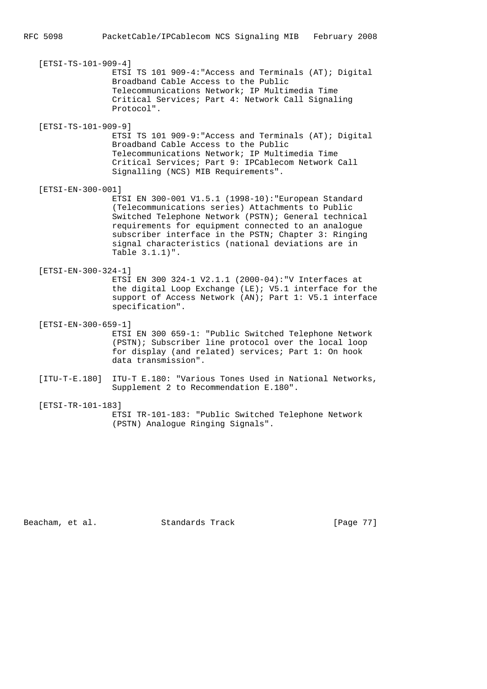|                     | $[ETSI-TS-101-909-4]$                                                                         |                                                                                                                                                                                                                                                                                                                                                             |
|---------------------|-----------------------------------------------------------------------------------------------|-------------------------------------------------------------------------------------------------------------------------------------------------------------------------------------------------------------------------------------------------------------------------------------------------------------------------------------------------------------|
|                     |                                                                                               | ETSI TS 101 909-4: "Access and Terminals (AT); Digital<br>Broadband Cable Access to the Public<br>Telecommunications Network; IP Multimedia Time<br>Critical Services; Part 4: Network Call Signaling                                                                                                                                                       |
|                     |                                                                                               | Protocol".                                                                                                                                                                                                                                                                                                                                                  |
| [ETSI-TS-101-909-9] |                                                                                               |                                                                                                                                                                                                                                                                                                                                                             |
|                     |                                                                                               | ETSI TS 101 909-9: "Access and Terminals (AT); Digital<br>Broadband Cable Access to the Public<br>Telecommunications Network; IP Multimedia Time<br>Critical Services; Part 9: IPCablecom Network Call<br>Signalling (NCS) MIB Requirements".                                                                                                               |
|                     | $[ETSI-EN-300-001]$                                                                           |                                                                                                                                                                                                                                                                                                                                                             |
|                     |                                                                                               | ETSI EN 300-001 V1.5.1 (1998-10): "European Standard<br>(Telecommunications series) Attachments to Public<br>Switched Telephone Network (PSTN); General technical<br>requirements for equipment connected to an analogue<br>subscriber interface in the PSTN; Chapter 3: Ringing<br>signal characteristics (national deviations are in<br>Table $3.1.1$ )". |
|                     | [ETSI-EN-300-324-1]<br>$EPT(T, T)$ 200 224 1 $U(2, T)$ 1 1 $(20, 0, 0, 0, 1)$ intermediate at |                                                                                                                                                                                                                                                                                                                                                             |
|                     |                                                                                               |                                                                                                                                                                                                                                                                                                                                                             |

 ETSI EN 300 324-1 V2.1.1 (2000-04):"V Interfaces at the digital Loop Exchange (LE); V5.1 interface for the support of Access Network (AN); Part 1: V5.1 interface specification".

- [ETSI-EN-300-659-1] ETSI EN 300 659-1: "Public Switched Telephone Network (PSTN); Subscriber line protocol over the local loop for display (and related) services; Part 1: On hook data transmission".
- [ITU-T-E.180] ITU-T E.180: "Various Tones Used in National Networks, Supplement 2 to Recommendation E.180".
- [ETSI-TR-101-183] ETSI TR-101-183: "Public Switched Telephone Network (PSTN) Analogue Ringing Signals".

Beacham, et al. Standards Track [Page 77]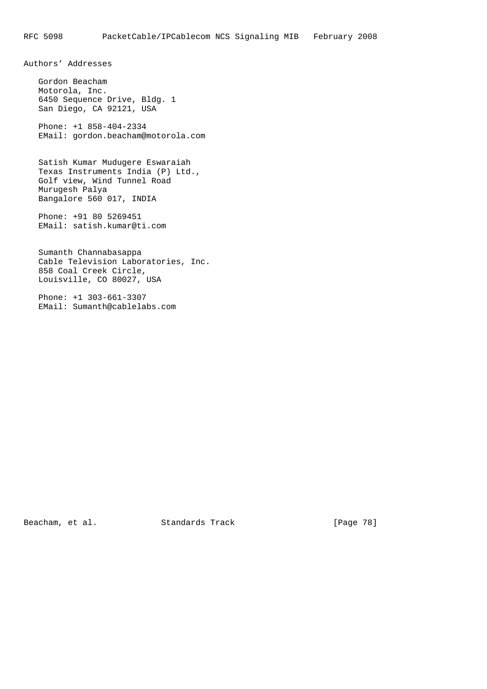Authors' Addresses

 Gordon Beacham Motorola, Inc. 6450 Sequence Drive, Bldg. 1 San Diego, CA 92121, USA

 Phone: +1 858-404-2334 EMail: gordon.beacham@motorola.com

 Satish Kumar Mudugere Eswaraiah Texas Instruments India (P) Ltd., Golf view, Wind Tunnel Road Murugesh Palya Bangalore 560 017, INDIA

 Phone: +91 80 5269451 EMail: satish.kumar@ti.com

 Sumanth Channabasappa Cable Television Laboratories, Inc. 858 Coal Creek Circle, Louisville, CO 80027, USA

 Phone: +1 303-661-3307 EMail: Sumanth@cablelabs.com

Beacham, et al. Standards Track [Page 78]